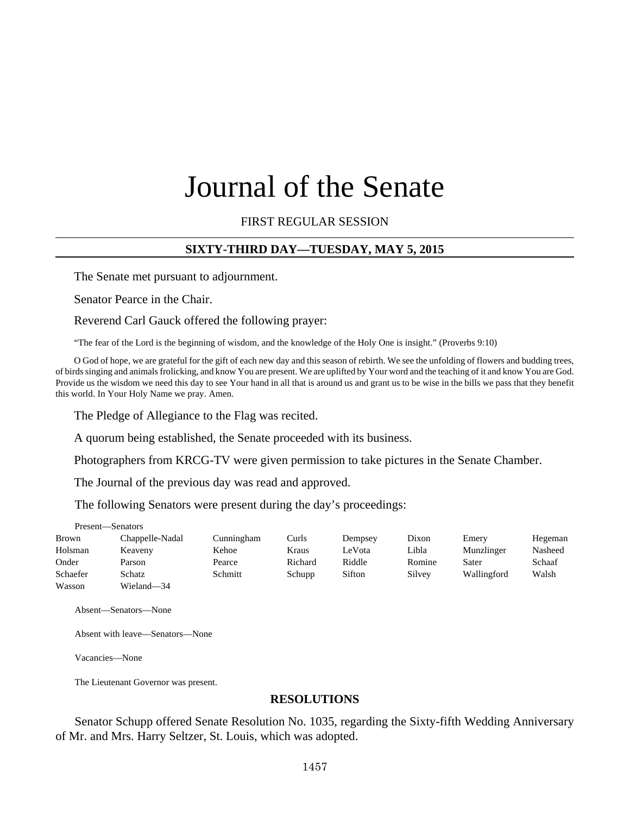# Journal of the Senate

## FIRST REGULAR SESSION

#### **SIXTY-THIRD DAY—TUESDAY, MAY 5, 2015**

The Senate met pursuant to adjournment.

Senator Pearce in the Chair.

Reverend Carl Gauck offered the following prayer:

"The fear of the Lord is the beginning of wisdom, and the knowledge of the Holy One is insight." (Proverbs 9:10)

O God of hope, we are grateful for the gift of each new day and this season of rebirth. We see the unfolding of flowers and budding trees, of birds singing and animals frolicking, and know You are present. We are uplifted by Your word and the teaching of it and know You are God. Provide us the wisdom we need this day to see Your hand in all that is around us and grant us to be wise in the bills we pass that they benefit this world. In Your Holy Name we pray. Amen.

The Pledge of Allegiance to the Flag was recited.

A quorum being established, the Senate proceeded with its business.

Photographers from KRCG-TV were given permission to take pictures in the Senate Chamber.

The Journal of the previous day was read and approved.

The following Senators were present during the day's proceedings:

| Present—Senators |                 |            |         |         |        |             |         |
|------------------|-----------------|------------|---------|---------|--------|-------------|---------|
| Brown            | Chappelle-Nadal | Cunningham | Curls   | Dempsey | Dixon  | Emery       | Hegeman |
| Holsman          | Keaveny         | Kehoe      | Kraus   | LeVota  | Libla  | Munzlinger  | Nasheed |
| Onder            | Parson          | Pearce     | Richard | Riddle  | Romine | Sater       | Schaaf  |
| Schaefer         | Schatz          | Schmitt    | Schupp  | Sifton  | Silvey | Wallingford | Walsh   |
| Wasson           | Wieland-34      |            |         |         |        |             |         |

Absent—Senators—None

Absent with leave—Senators—None

Vacancies—None

The Lieutenant Governor was present.

#### **RESOLUTIONS**

Senator Schupp offered Senate Resolution No. 1035, regarding the Sixty-fifth Wedding Anniversary of Mr. and Mrs. Harry Seltzer, St. Louis, which was adopted.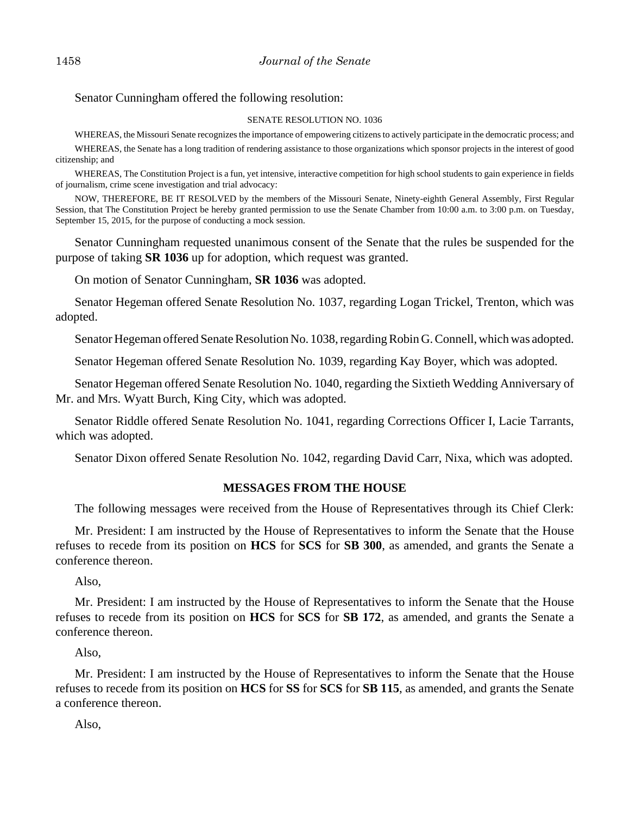## Senator Cunningham offered the following resolution:

#### SENATE RESOLUTION NO. 1036

WHEREAS, the Missouri Senate recognizes the importance of empowering citizens to actively participate in the democratic process; and

WHEREAS, the Senate has a long tradition of rendering assistance to those organizations which sponsor projects in the interest of good citizenship; and

WHEREAS, The Constitution Project is a fun, yet intensive, interactive competition for high school students to gain experience in fields of journalism, crime scene investigation and trial advocacy:

NOW, THEREFORE, BE IT RESOLVED by the members of the Missouri Senate, Ninety-eighth General Assembly, First Regular Session, that The Constitution Project be hereby granted permission to use the Senate Chamber from 10:00 a.m. to 3:00 p.m. on Tuesday, September 15, 2015, for the purpose of conducting a mock session.

Senator Cunningham requested unanimous consent of the Senate that the rules be suspended for the purpose of taking **SR 1036** up for adoption, which request was granted.

On motion of Senator Cunningham, **SR 1036** was adopted.

Senator Hegeman offered Senate Resolution No. 1037, regarding Logan Trickel, Trenton, which was adopted.

Senator Hegeman offered Senate Resolution No. 1038, regarding Robin G. Connell, which was adopted.

Senator Hegeman offered Senate Resolution No. 1039, regarding Kay Boyer, which was adopted.

Senator Hegeman offered Senate Resolution No. 1040, regarding the Sixtieth Wedding Anniversary of Mr. and Mrs. Wyatt Burch, King City, which was adopted.

Senator Riddle offered Senate Resolution No. 1041, regarding Corrections Officer I, Lacie Tarrants, which was adopted.

Senator Dixon offered Senate Resolution No. 1042, regarding David Carr, Nixa, which was adopted.

## **MESSAGES FROM THE HOUSE**

The following messages were received from the House of Representatives through its Chief Clerk:

Mr. President: I am instructed by the House of Representatives to inform the Senate that the House refuses to recede from its position on **HCS** for **SCS** for **SB 300**, as amended, and grants the Senate a conference thereon.

Also,

Mr. President: I am instructed by the House of Representatives to inform the Senate that the House refuses to recede from its position on **HCS** for **SCS** for **SB 172**, as amended, and grants the Senate a conference thereon.

Also,

Mr. President: I am instructed by the House of Representatives to inform the Senate that the House refuses to recede from its position on **HCS** for **SS** for **SCS** for **SB 115**, as amended, and grants the Senate a conference thereon.

Also,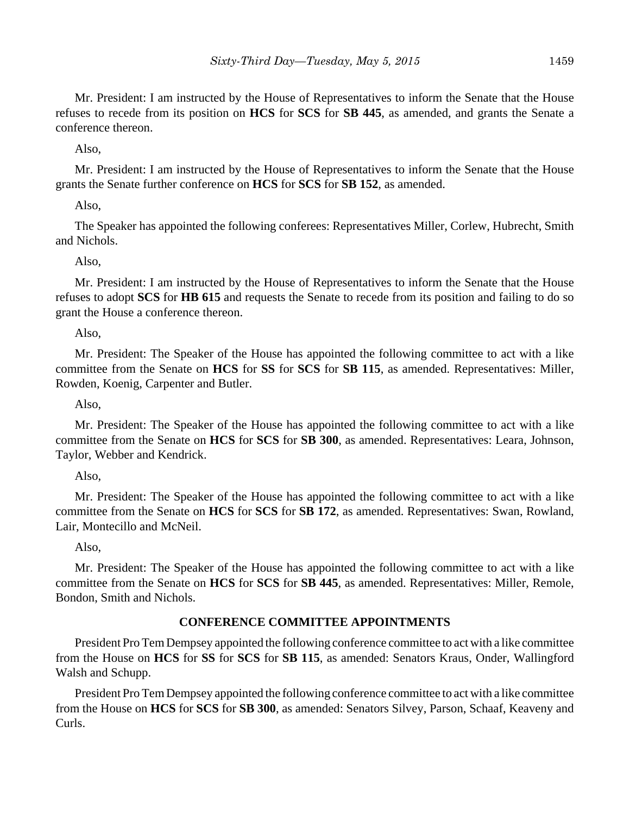Mr. President: I am instructed by the House of Representatives to inform the Senate that the House refuses to recede from its position on **HCS** for **SCS** for **SB 445**, as amended, and grants the Senate a conference thereon.

Also,

Mr. President: I am instructed by the House of Representatives to inform the Senate that the House grants the Senate further conference on **HCS** for **SCS** for **SB 152**, as amended.

Also,

The Speaker has appointed the following conferees: Representatives Miller, Corlew, Hubrecht, Smith and Nichols.

Also,

Mr. President: I am instructed by the House of Representatives to inform the Senate that the House refuses to adopt **SCS** for **HB 615** and requests the Senate to recede from its position and failing to do so grant the House a conference thereon.

Also,

Mr. President: The Speaker of the House has appointed the following committee to act with a like committee from the Senate on **HCS** for **SS** for **SCS** for **SB 115**, as amended. Representatives: Miller, Rowden, Koenig, Carpenter and Butler.

Also,

Mr. President: The Speaker of the House has appointed the following committee to act with a like committee from the Senate on **HCS** for **SCS** for **SB 300**, as amended. Representatives: Leara, Johnson, Taylor, Webber and Kendrick.

Also,

Mr. President: The Speaker of the House has appointed the following committee to act with a like committee from the Senate on **HCS** for **SCS** for **SB 172**, as amended. Representatives: Swan, Rowland, Lair, Montecillo and McNeil.

Also,

Mr. President: The Speaker of the House has appointed the following committee to act with a like committee from the Senate on **HCS** for **SCS** for **SB 445**, as amended. Representatives: Miller, Remole, Bondon, Smith and Nichols.

## **CONFERENCE COMMITTEE APPOINTMENTS**

President Pro Tem Dempsey appointed the following conference committee to act with a like committee from the House on **HCS** for **SS** for **SCS** for **SB 115**, as amended: Senators Kraus, Onder, Wallingford Walsh and Schupp.

President Pro Tem Dempsey appointed the following conference committee to act with a like committee from the House on **HCS** for **SCS** for **SB 300**, as amended: Senators Silvey, Parson, Schaaf, Keaveny and Curls.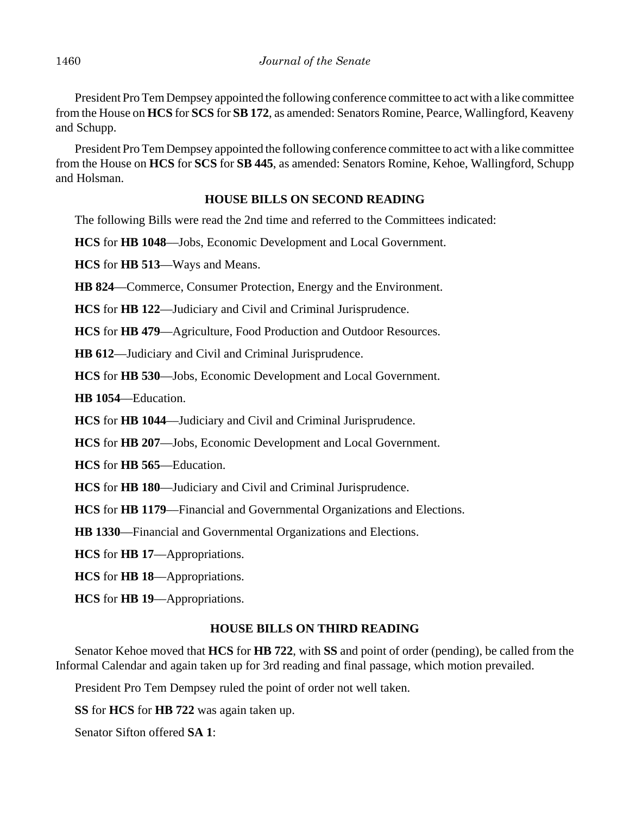President Pro Tem Dempsey appointed the following conference committee to act with a like committee from the House on **HCS** for **SCS** for **SB 172**, as amended: Senators Romine, Pearce, Wallingford, Keaveny and Schupp.

President Pro Tem Dempsey appointed the following conference committee to act with a like committee from the House on **HCS** for **SCS** for **SB 445**, as amended: Senators Romine, Kehoe, Wallingford, Schupp and Holsman.

# **HOUSE BILLS ON SECOND READING**

The following Bills were read the 2nd time and referred to the Committees indicated:

**HCS** for **HB 1048**––Jobs, Economic Development and Local Government.

**HCS** for **HB 513**––Ways and Means.

**HB 824**––Commerce, Consumer Protection, Energy and the Environment.

**HCS** for **HB 122**––Judiciary and Civil and Criminal Jurisprudence.

**HCS** for **HB 479**––Agriculture, Food Production and Outdoor Resources.

**HB 612**––Judiciary and Civil and Criminal Jurisprudence.

**HCS** for **HB 530**––Jobs, Economic Development and Local Government.

**HB 1054**––Education.

**HCS** for **HB 1044**––Judiciary and Civil and Criminal Jurisprudence.

**HCS** for **HB 207**––Jobs, Economic Development and Local Government.

**HCS** for **HB 565**––Education.

**HCS** for **HB 180**––Judiciary and Civil and Criminal Jurisprudence.

**HCS** for **HB 1179**––Financial and Governmental Organizations and Elections.

**HB 1330**––Financial and Governmental Organizations and Elections.

**HCS** for **HB 17**––Appropriations.

**HCS** for **HB 18**––Appropriations.

**HCS** for **HB 19**––Appropriations.

# **HOUSE BILLS ON THIRD READING**

Senator Kehoe moved that **HCS** for **HB 722**, with **SS** and point of order (pending), be called from the Informal Calendar and again taken up for 3rd reading and final passage, which motion prevailed.

President Pro Tem Dempsey ruled the point of order not well taken.

**SS** for **HCS** for **HB 722** was again taken up.

Senator Sifton offered **SA 1**: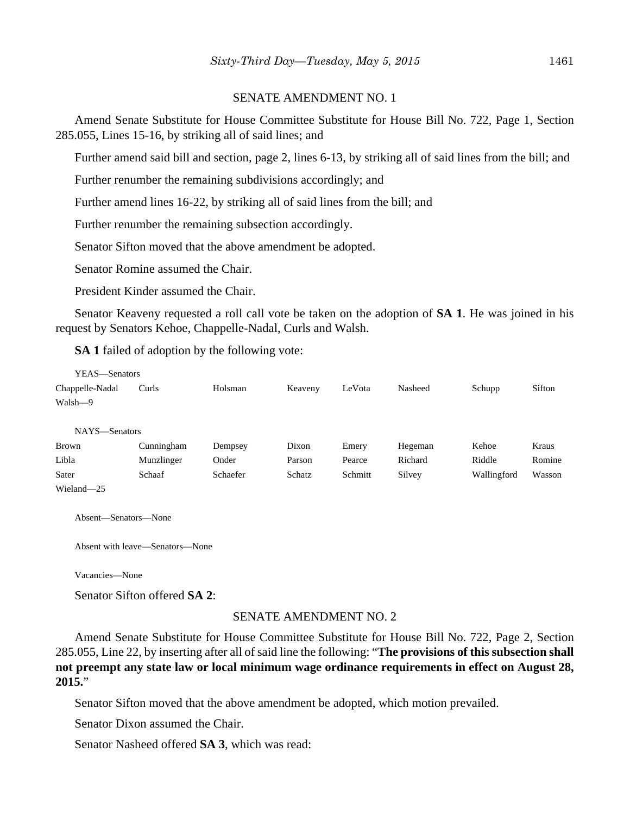#### SENATE AMENDMENT NO. 1

Amend Senate Substitute for House Committee Substitute for House Bill No. 722, Page 1, Section 285.055, Lines 15-16, by striking all of said lines; and

Further amend said bill and section, page 2, lines 6-13, by striking all of said lines from the bill; and

Further renumber the remaining subdivisions accordingly; and

Further amend lines 16-22, by striking all of said lines from the bill; and

Further renumber the remaining subsection accordingly.

Senator Sifton moved that the above amendment be adopted.

Senator Romine assumed the Chair.

President Kinder assumed the Chair.

Senator Keaveny requested a roll call vote be taken on the adoption of **SA 1**. He was joined in his request by Senators Kehoe, Chappelle-Nadal, Curls and Walsh.

**SA 1** failed of adoption by the following vote:

| YEAS—Senators   |            |          |         |         |         |             |        |
|-----------------|------------|----------|---------|---------|---------|-------------|--------|
| Chappelle-Nadal | Curls      | Holsman  | Keaveny | LeVota  | Nasheed | Schupp      | Sifton |
| Walsh-9         |            |          |         |         |         |             |        |
|                 |            |          |         |         |         |             |        |
| NAYS-Senators   |            |          |         |         |         |             |        |
| <b>Brown</b>    | Cunningham | Dempsey  | Dixon   | Emery   | Hegeman | Kehoe       | Kraus  |
| Libla           | Munzlinger | Onder    | Parson  | Pearce  | Richard | Riddle      | Romine |
| Sater           | Schaaf     | Schaefer | Schatz  | Schmitt | Silvey  | Wallingford | Wasson |
| Wieland-25      |            |          |         |         |         |             |        |

Absent—Senators—None

Absent with leave—Senators—None

Vacancies—None

Senator Sifton offered **SA 2**:

#### SENATE AMENDMENT NO. 2

Amend Senate Substitute for House Committee Substitute for House Bill No. 722, Page 2, Section 285.055, Line 22, by inserting after all of said line the following: "**The provisions of this subsection shall not preempt any state law or local minimum wage ordinance requirements in effect on August 28, 2015.**"

Senator Sifton moved that the above amendment be adopted, which motion prevailed.

Senator Dixon assumed the Chair.

Senator Nasheed offered **SA 3**, which was read: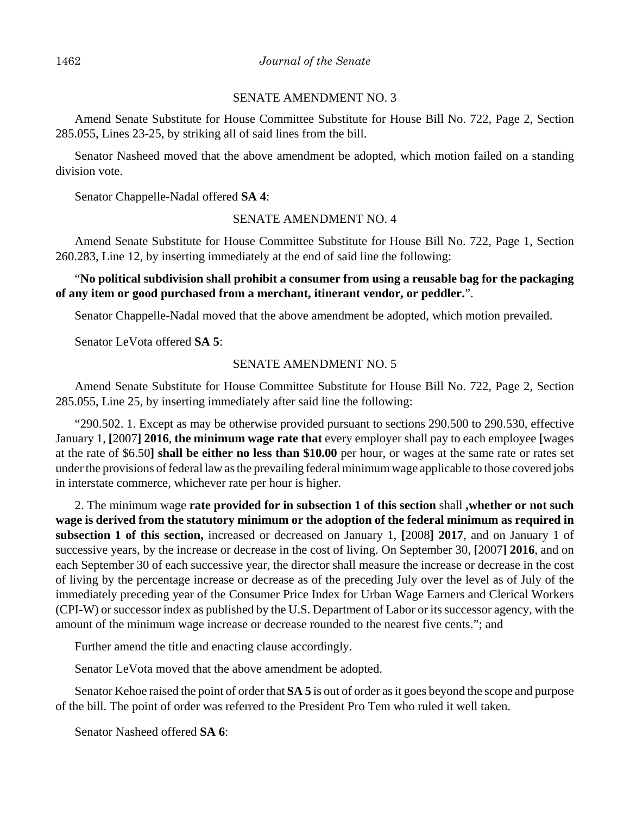#### SENATE AMENDMENT NO. 3

Amend Senate Substitute for House Committee Substitute for House Bill No. 722, Page 2, Section 285.055, Lines 23-25, by striking all of said lines from the bill.

Senator Nasheed moved that the above amendment be adopted, which motion failed on a standing division vote.

Senator Chappelle-Nadal offered **SA 4**:

#### SENATE AMENDMENT NO. 4

Amend Senate Substitute for House Committee Substitute for House Bill No. 722, Page 1, Section 260.283, Line 12, by inserting immediately at the end of said line the following:

## "**No political subdivision shall prohibit a consumer from using a reusable bag for the packaging of any item or good purchased from a merchant, itinerant vendor, or peddler.**".

Senator Chappelle-Nadal moved that the above amendment be adopted, which motion prevailed.

Senator LeVota offered **SA 5**:

#### SENATE AMENDMENT NO. 5

Amend Senate Substitute for House Committee Substitute for House Bill No. 722, Page 2, Section 285.055, Line 25, by inserting immediately after said line the following:

"290.502. 1. Except as may be otherwise provided pursuant to sections 290.500 to 290.530, effective January 1, **[**2007**] 2016**, **the minimum wage rate that** every employer shall pay to each employee **[**wages at the rate of \$6.50**] shall be either no less than \$10.00** per hour, or wages at the same rate or rates set under the provisions of federal law as the prevailing federal minimum wage applicable to those covered jobs in interstate commerce, whichever rate per hour is higher.

2. The minimum wage **rate provided for in subsection 1 of this section** shall **,whether or not such wage is derived from the statutory minimum or the adoption of the federal minimum as required in subsection 1 of this section,** increased or decreased on January 1, **[**2008**] 2017**, and on January 1 of successive years, by the increase or decrease in the cost of living. On September 30, **[**2007**] 2016**, and on each September 30 of each successive year, the director shall measure the increase or decrease in the cost of living by the percentage increase or decrease as of the preceding July over the level as of July of the immediately preceding year of the Consumer Price Index for Urban Wage Earners and Clerical Workers (CPI-W) or successor index as published by the U.S. Department of Labor or its successor agency, with the amount of the minimum wage increase or decrease rounded to the nearest five cents."; and

Further amend the title and enacting clause accordingly.

Senator LeVota moved that the above amendment be adopted.

Senator Kehoe raised the point of order that **SA 5** is out of order as it goes beyond the scope and purpose of the bill. The point of order was referred to the President Pro Tem who ruled it well taken.

Senator Nasheed offered **SA 6**: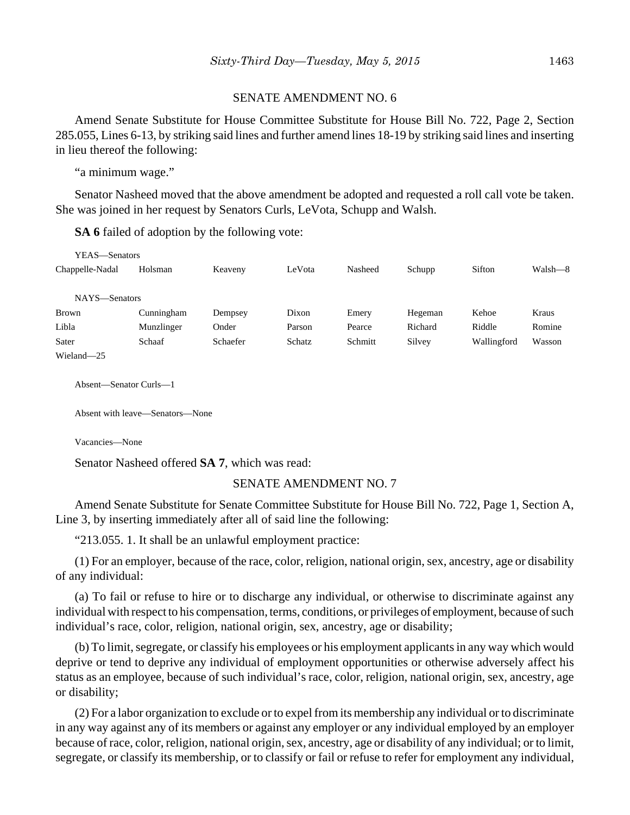#### SENATE AMENDMENT NO. 6

Amend Senate Substitute for House Committee Substitute for House Bill No. 722, Page 2, Section 285.055, Lines 6-13, by striking said lines and further amend lines 18-19 by striking said lines and inserting in lieu thereof the following:

"a minimum wage."

Senator Nasheed moved that the above amendment be adopted and requested a roll call vote be taken. She was joined in her request by Senators Curls, LeVota, Schupp and Walsh.

**SA 6** failed of adoption by the following vote:

| YEAS—Senators   |            |          |        |         |         |             |         |
|-----------------|------------|----------|--------|---------|---------|-------------|---------|
| Chappelle-Nadal | Holsman    | Keaveny  | LeVota | Nasheed | Schupp  | Sifton      | Walsh-8 |
| NAYS-Senators   |            |          |        |         |         |             |         |
| <b>Brown</b>    | Cunningham | Dempsey  | Dixon  | Emery   | Hegeman | Kehoe       | Kraus   |
| Libla           | Munzlinger | Onder    | Parson | Pearce  | Richard | Riddle      | Romine  |
| Sater           | Schaaf     | Schaefer | Schatz | Schmitt | Silvey  | Wallingford | Wasson  |
| Wieland-25      |            |          |        |         |         |             |         |

Absent—Senator Curls—1

Absent with leave—Senators—None

Vacancies—None

Senator Nasheed offered **SA 7**, which was read:

#### SENATE AMENDMENT NO. 7

Amend Senate Substitute for Senate Committee Substitute for House Bill No. 722, Page 1, Section A, Line 3, by inserting immediately after all of said line the following:

"213.055. 1. It shall be an unlawful employment practice:

(1) For an employer, because of the race, color, religion, national origin, sex, ancestry, age or disability of any individual:

(a) To fail or refuse to hire or to discharge any individual, or otherwise to discriminate against any individual with respect to his compensation, terms, conditions, or privileges of employment, because of such individual's race, color, religion, national origin, sex, ancestry, age or disability;

(b) To limit, segregate, or classify his employees or his employment applicants in any way which would deprive or tend to deprive any individual of employment opportunities or otherwise adversely affect his status as an employee, because of such individual's race, color, religion, national origin, sex, ancestry, age or disability;

(2) For a labor organization to exclude or to expel from its membership any individual or to discriminate in any way against any of its members or against any employer or any individual employed by an employer because of race, color, religion, national origin, sex, ancestry, age or disability of any individual; or to limit, segregate, or classify its membership, or to classify or fail or refuse to refer for employment any individual,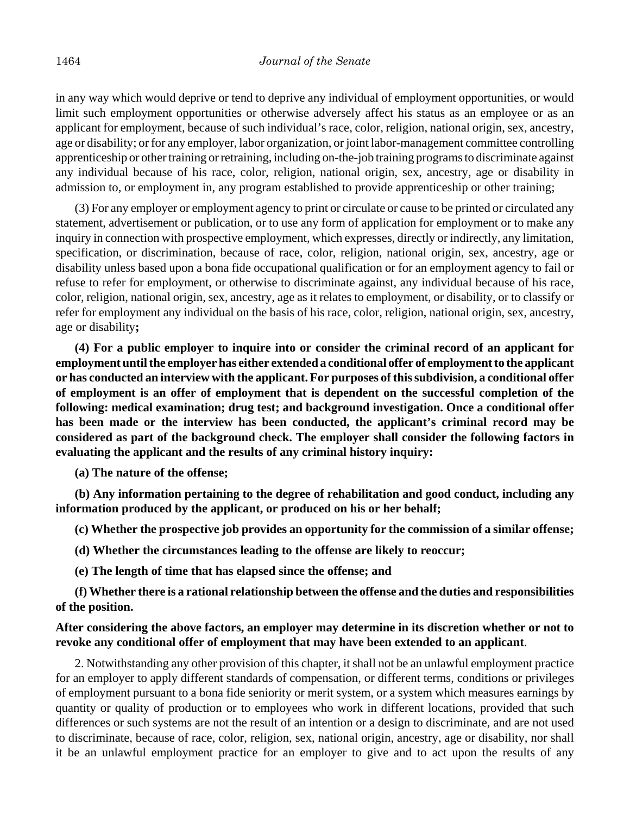in any way which would deprive or tend to deprive any individual of employment opportunities, or would limit such employment opportunities or otherwise adversely affect his status as an employee or as an applicant for employment, because of such individual's race, color, religion, national origin, sex, ancestry, age or disability; or for any employer, labor organization, or joint labor-management committee controlling apprenticeship or other training or retraining, including on-the-job training programs to discriminate against any individual because of his race, color, religion, national origin, sex, ancestry, age or disability in admission to, or employment in, any program established to provide apprenticeship or other training;

(3) For any employer or employment agency to print or circulate or cause to be printed or circulated any statement, advertisement or publication, or to use any form of application for employment or to make any inquiry in connection with prospective employment, which expresses, directly or indirectly, any limitation, specification, or discrimination, because of race, color, religion, national origin, sex, ancestry, age or disability unless based upon a bona fide occupational qualification or for an employment agency to fail or refuse to refer for employment, or otherwise to discriminate against, any individual because of his race, color, religion, national origin, sex, ancestry, age as it relates to employment, or disability, or to classify or refer for employment any individual on the basis of his race, color, religion, national origin, sex, ancestry, age or disability**;**

**(4) For a public employer to inquire into or consider the criminal record of an applicant for employment until the employer has either extended a conditional offer of employment to the applicant or has conducted an interview with the applicant. For purposes of this subdivision, a conditional offer of employment is an offer of employment that is dependent on the successful completion of the following: medical examination; drug test; and background investigation. Once a conditional offer has been made or the interview has been conducted, the applicant's criminal record may be considered as part of the background check. The employer shall consider the following factors in evaluating the applicant and the results of any criminal history inquiry:**

**(a) The nature of the offense;**

**(b) Any information pertaining to the degree of rehabilitation and good conduct, including any information produced by the applicant, or produced on his or her behalf;**

**(c) Whether the prospective job provides an opportunity for the commission of a similar offense;**

**(d) Whether the circumstances leading to the offense are likely to reoccur;**

**(e) The length of time that has elapsed since the offense; and**

**(f) Whether there is a rational relationship between the offense and the duties and responsibilities of the position.**

## **After considering the above factors, an employer may determine in its discretion whether or not to revoke any conditional offer of employment that may have been extended to an applicant**.

2. Notwithstanding any other provision of this chapter, it shall not be an unlawful employment practice for an employer to apply different standards of compensation, or different terms, conditions or privileges of employment pursuant to a bona fide seniority or merit system, or a system which measures earnings by quantity or quality of production or to employees who work in different locations, provided that such differences or such systems are not the result of an intention or a design to discriminate, and are not used to discriminate, because of race, color, religion, sex, national origin, ancestry, age or disability, nor shall it be an unlawful employment practice for an employer to give and to act upon the results of any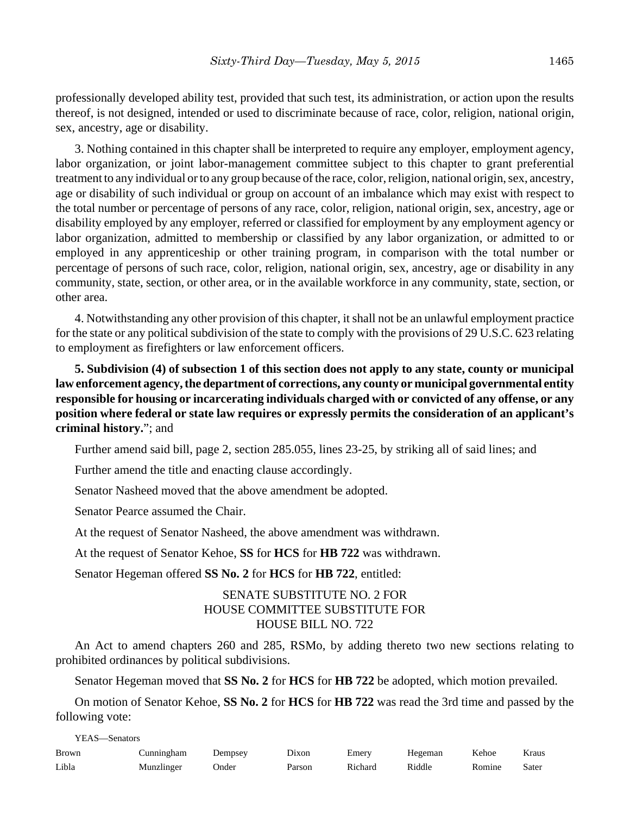professionally developed ability test, provided that such test, its administration, or action upon the results thereof, is not designed, intended or used to discriminate because of race, color, religion, national origin, sex, ancestry, age or disability.

3. Nothing contained in this chapter shall be interpreted to require any employer, employment agency, labor organization, or joint labor-management committee subject to this chapter to grant preferential treatment to any individual or to any group because of the race, color, religion, national origin, sex, ancestry, age or disability of such individual or group on account of an imbalance which may exist with respect to the total number or percentage of persons of any race, color, religion, national origin, sex, ancestry, age or disability employed by any employer, referred or classified for employment by any employment agency or labor organization, admitted to membership or classified by any labor organization, or admitted to or employed in any apprenticeship or other training program, in comparison with the total number or percentage of persons of such race, color, religion, national origin, sex, ancestry, age or disability in any community, state, section, or other area, or in the available workforce in any community, state, section, or other area.

4. Notwithstanding any other provision of this chapter, it shall not be an unlawful employment practice for the state or any political subdivision of the state to comply with the provisions of 29 U.S.C. 623 relating to employment as firefighters or law enforcement officers.

**5. Subdivision (4) of subsection 1 of this section does not apply to any state, county or municipal law enforcement agency, the department of corrections, any county or municipal governmental entity responsible for housing or incarcerating individuals charged with or convicted of any offense, or any position where federal or state law requires or expressly permits the consideration of an applicant's criminal history.**"; and

Further amend said bill, page 2, section 285.055, lines 23-25, by striking all of said lines; and

Further amend the title and enacting clause accordingly.

Senator Nasheed moved that the above amendment be adopted.

Senator Pearce assumed the Chair.

At the request of Senator Nasheed, the above amendment was withdrawn.

At the request of Senator Kehoe, **SS** for **HCS** for **HB 722** was withdrawn.

Senator Hegeman offered **SS No. 2** for **HCS** for **HB 722**, entitled:

# SENATE SUBSTITUTE NO. 2 FOR HOUSE COMMITTEE SUBSTITUTE FOR HOUSE BILL NO. 722

An Act to amend chapters 260 and 285, RSMo, by adding thereto two new sections relating to prohibited ordinances by political subdivisions.

Senator Hegeman moved that **SS No. 2** for **HCS** for **HB 722** be adopted, which motion prevailed.

On motion of Senator Kehoe, **SS No. 2** for **HCS** for **HB 722** was read the 3rd time and passed by the following vote:

YEAS—Senators

| <b>Brown</b> | Cunningham | Dempsey | Dixon  | Emery   | Hegeman | Kehoe  | Kraus |
|--------------|------------|---------|--------|---------|---------|--------|-------|
| Libla        | Munzlinger | Onder   | Parson | Richard | Riddle  | Romine | Sater |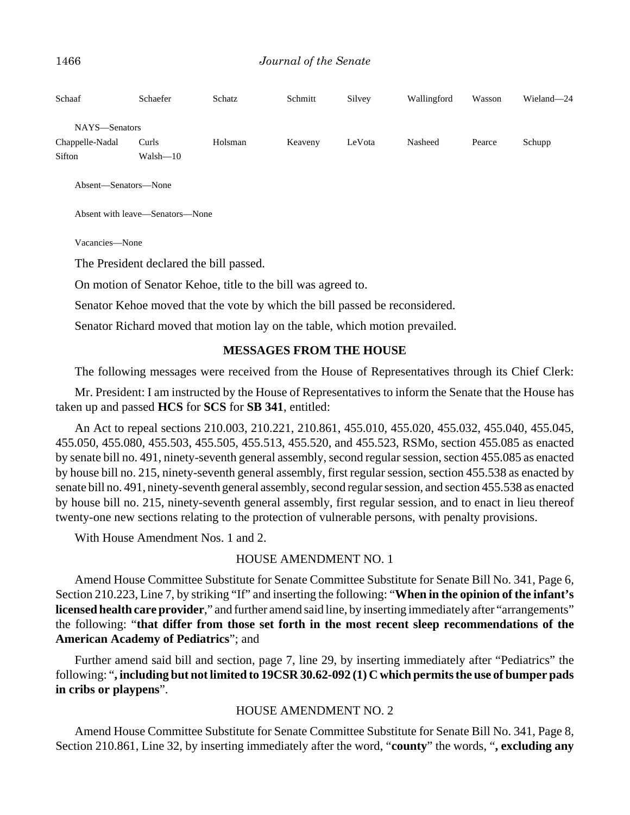| Schaaf          | Schaefer     | Schatz  | Schmitt | Silvey | Wallingford | Wasson | Wieland-24 |
|-----------------|--------------|---------|---------|--------|-------------|--------|------------|
| NAYS-Senators   |              |         |         |        |             |        |            |
| Chappelle-Nadal | Curls        | Holsman | Keaveny | LeVota | Nasheed     | Pearce | Schupp     |
| Sifton          | $Walsh - 10$ |         |         |        |             |        |            |
|                 |              |         |         |        |             |        |            |

Absent—Senators—None

Absent with leave—Senators—None

Vacancies—None

The President declared the bill passed.

On motion of Senator Kehoe, title to the bill was agreed to.

Senator Kehoe moved that the vote by which the bill passed be reconsidered.

Senator Richard moved that motion lay on the table, which motion prevailed.

#### **MESSAGES FROM THE HOUSE**

The following messages were received from the House of Representatives through its Chief Clerk:

Mr. President: I am instructed by the House of Representatives to inform the Senate that the House has taken up and passed **HCS** for **SCS** for **SB 341**, entitled:

An Act to repeal sections 210.003, 210.221, 210.861, 455.010, 455.020, 455.032, 455.040, 455.045, 455.050, 455.080, 455.503, 455.505, 455.513, 455.520, and 455.523, RSMo, section 455.085 as enacted by senate bill no. 491, ninety-seventh general assembly, second regular session, section 455.085 as enacted by house bill no. 215, ninety-seventh general assembly, first regular session, section 455.538 as enacted by senate bill no. 491, ninety-seventh general assembly, second regular session, and section 455.538 as enacted by house bill no. 215, ninety-seventh general assembly, first regular session, and to enact in lieu thereof twenty-one new sections relating to the protection of vulnerable persons, with penalty provisions.

With House Amendment Nos. 1 and 2.

#### HOUSE AMENDMENT NO. 1

Amend House Committee Substitute for Senate Committee Substitute for Senate Bill No. 341, Page 6, Section 210.223, Line 7, by striking "If" and inserting the following: "**When in the opinion of the infant's licensed health care provider**," and further amend said line, by inserting immediately after "arrangements" the following: "**that differ from those set forth in the most recent sleep recommendations of the American Academy of Pediatrics**"; and

Further amend said bill and section, page 7, line 29, by inserting immediately after "Pediatrics" the following: "**, including but not limited to 19CSR 30.62-092 (1) C which permits the use of bumper pads in cribs or playpens**".

#### HOUSE AMENDMENT NO. 2

Amend House Committee Substitute for Senate Committee Substitute for Senate Bill No. 341, Page 8, Section 210.861, Line 32, by inserting immediately after the word, "**county**" the words, "**, excluding any**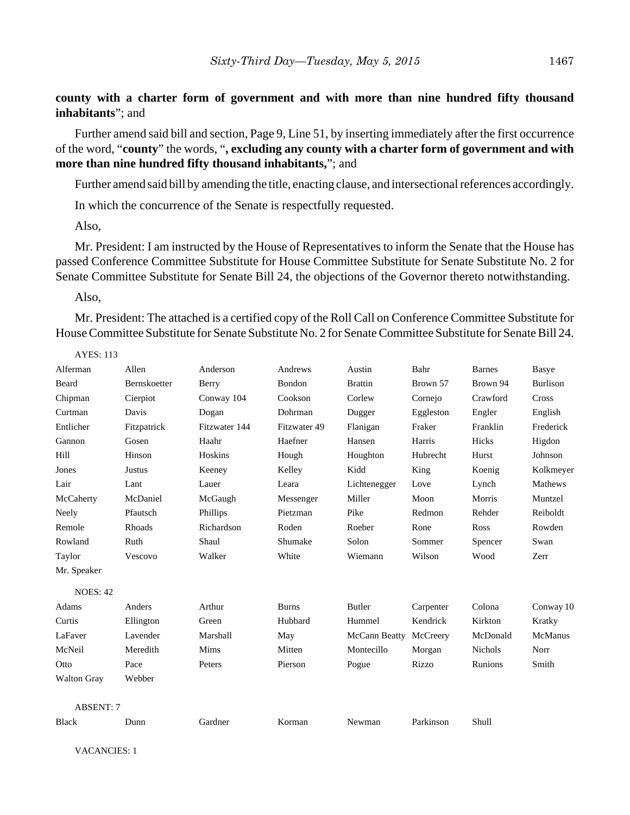**county with a charter form of government and with more than nine hundred fifty thousand inhabitants**"; and

Further amend said bill and section, Page 9, Line 51, by inserting immediately after the first occurrence of the word, "**county**" the words, "**, excluding any county with a charter form of government and with more than nine hundred fifty thousand inhabitants,**"; and

Further amend said bill by amending the title, enacting clause, and intersectional references accordingly.

In which the concurrence of the Senate is respectfully requested.

Also,

Mr. President: I am instructed by the House of Representatives to inform the Senate that the House has passed Conference Committee Substitute for House Committee Substitute for Senate Substitute No. 2 for Senate Committee Substitute for Senate Bill 24, the objections of the Governor thereto notwithstanding.

Also,

Mr. President: The attached is a certified copy of the Roll Call on Conference Committee Substitute for House Committee Substitute for Senate Substitute No. 2 for Senate Committee Substitute for Senate Bill 24.

| <b>AYES: 113</b>   |              |               |              |                |           |                |                 |
|--------------------|--------------|---------------|--------------|----------------|-----------|----------------|-----------------|
| Alferman           | Allen        | Anderson      | Andrews      | Austin         | Bahr      | <b>Barnes</b>  | Basye           |
| Beard              | Bernskoetter | Berry         | Bondon       | <b>Brattin</b> | Brown 57  | Brown 94       | <b>Burlison</b> |
| Chipman            | Cierpiot     | Conway 104    | Cookson      | Corlew         | Cornejo   | Crawford       | Cross           |
| Curtman            | Davis        | Dogan         | Dohrman      | Dugger         | Eggleston | Engler         | English         |
| Entlicher          | Fitzpatrick  | Fitzwater 144 | Fitzwater 49 | Flanigan       | Fraker    | Franklin       | Frederick       |
| Gannon             | Gosen        | Haahr         | Haefner      | Hansen         | Harris    | Hicks          | Higdon          |
| Hill               | Hinson       | Hoskins       | Hough        | Houghton       | Hubrecht  | Hurst          | Johnson         |
| Jones              | Justus       | Keeney        | Kelley       | Kidd           | King      | Koenig         | Kolkmeyer       |
| Lair               | Lant         | Lauer         | Leara        | Lichtenegger   | Love      | Lynch          | Mathews         |
| McCaherty          | McDaniel     | McGaugh       | Messenger    | Miller         | Moon      | Morris         | Muntzel         |
| Neely              | Pfautsch     | Phillips      | Pietzman     | Pike           | Redmon    | Rehder         | Reiboldt        |
| Remole             | Rhoads       | Richardson    | Roden        | Roeber         | Rone      | Ross           | Rowden          |
| Rowland            | Ruth         | Shaul         | Shumake      | Solon          | Sommer    | Spencer        | Swan            |
| Taylor             | Vescovo      | Walker        | White        | Wiemann        | Wilson    | Wood           | Zerr            |
| Mr. Speaker        |              |               |              |                |           |                |                 |
| <b>NOES: 42</b>    |              |               |              |                |           |                |                 |
| Adams              | Anders       | Arthur        | <b>Burns</b> | Butler         | Carpenter | Colona         | Conway 10       |
| Curtis             | Ellington    | Green         | Hubbard      | Hummel         | Kendrick  | Kirkton        | Kratky          |
| LaFaver            | Lavender     | Marshall      | May          | McCann Beatty  | McCreery  | McDonald       | McManus         |
| McNeil             | Meredith     | Mims          | Mitten       | Montecillo     | Morgan    | <b>Nichols</b> | Norr            |
| Otto               | Pace         | Peters        | Pierson      | Pogue          | Rizzo     | Runions        | Smith           |
| <b>Walton Gray</b> | Webber       |               |              |                |           |                |                 |
| <b>ABSENT: 7</b>   |              |               |              |                |           |                |                 |
| <b>Black</b>       | Dunn         | Gardner       | Korman       | Newman         | Parkinson | Shull          |                 |

VACANCIES: 1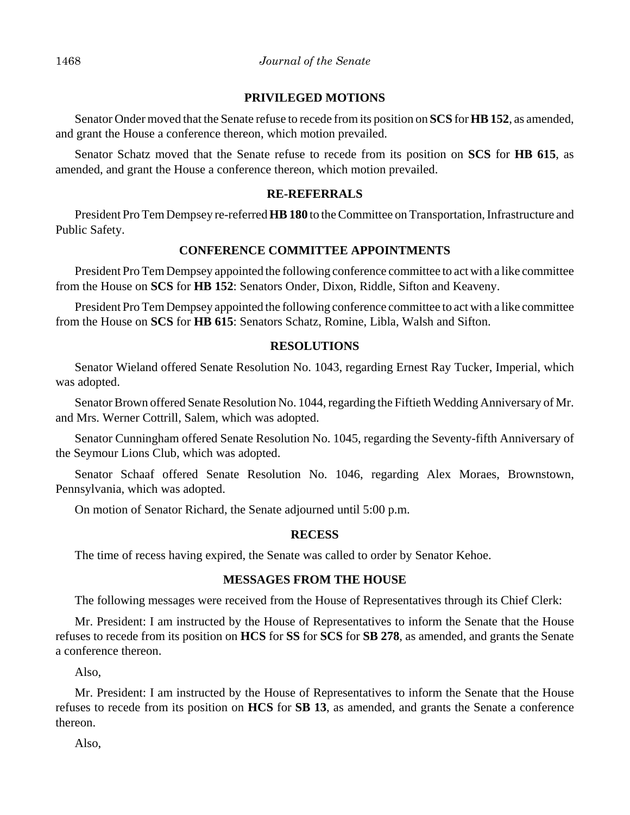## **PRIVILEGED MOTIONS**

Senator Onder moved that the Senate refuse to recede from its position on **SCS** for **HB 152**, as amended, and grant the House a conference thereon, which motion prevailed.

Senator Schatz moved that the Senate refuse to recede from its position on **SCS** for **HB 615**, as amended, and grant the House a conference thereon, which motion prevailed.

# **RE-REFERRALS**

President Pro Tem Dempsey re-referred **HB 180** to the Committee on Transportation, Infrastructure and Public Safety.

# **CONFERENCE COMMITTEE APPOINTMENTS**

President Pro Tem Dempsey appointed the following conference committee to act with a like committee from the House on **SCS** for **HB 152**: Senators Onder, Dixon, Riddle, Sifton and Keaveny.

President Pro Tem Dempsey appointed the following conference committee to act with a like committee from the House on **SCS** for **HB 615**: Senators Schatz, Romine, Libla, Walsh and Sifton.

# **RESOLUTIONS**

Senator Wieland offered Senate Resolution No. 1043, regarding Ernest Ray Tucker, Imperial, which was adopted.

Senator Brown offered Senate Resolution No. 1044, regarding the Fiftieth Wedding Anniversary of Mr. and Mrs. Werner Cottrill, Salem, which was adopted.

Senator Cunningham offered Senate Resolution No. 1045, regarding the Seventy-fifth Anniversary of the Seymour Lions Club, which was adopted.

Senator Schaaf offered Senate Resolution No. 1046, regarding Alex Moraes, Brownstown, Pennsylvania, which was adopted.

On motion of Senator Richard, the Senate adjourned until 5:00 p.m.

# **RECESS**

The time of recess having expired, the Senate was called to order by Senator Kehoe.

# **MESSAGES FROM THE HOUSE**

The following messages were received from the House of Representatives through its Chief Clerk:

Mr. President: I am instructed by the House of Representatives to inform the Senate that the House refuses to recede from its position on **HCS** for **SS** for **SCS** for **SB 278**, as amended, and grants the Senate a conference thereon.

Also,

Mr. President: I am instructed by the House of Representatives to inform the Senate that the House refuses to recede from its position on **HCS** for **SB 13**, as amended, and grants the Senate a conference thereon.

Also,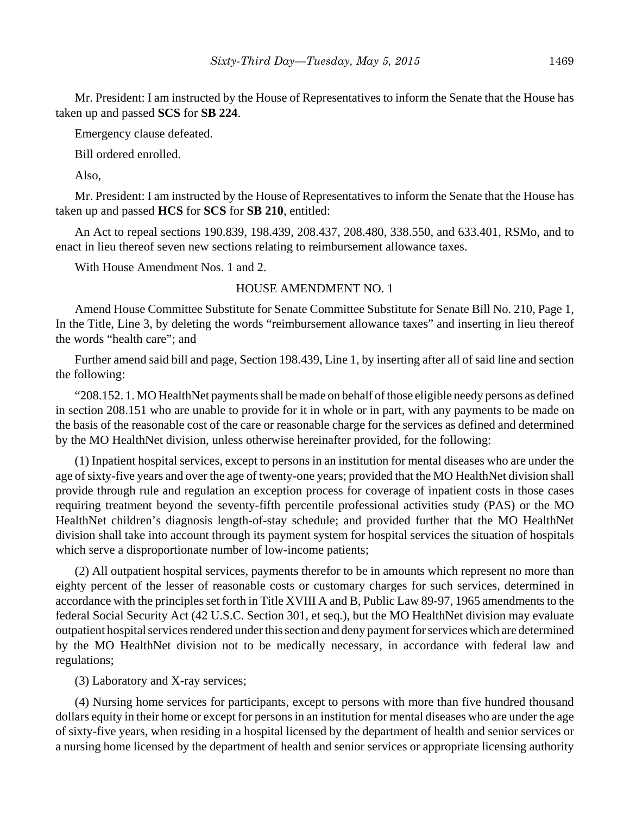Mr. President: I am instructed by the House of Representatives to inform the Senate that the House has taken up and passed **SCS** for **SB 224**.

Emergency clause defeated.

Bill ordered enrolled.

Also,

Mr. President: I am instructed by the House of Representatives to inform the Senate that the House has taken up and passed **HCS** for **SCS** for **SB 210**, entitled:

An Act to repeal sections 190.839, 198.439, 208.437, 208.480, 338.550, and 633.401, RSMo, and to enact in lieu thereof seven new sections relating to reimbursement allowance taxes.

With House Amendment Nos. 1 and 2.

## HOUSE AMENDMENT NO. 1

Amend House Committee Substitute for Senate Committee Substitute for Senate Bill No. 210, Page 1, In the Title, Line 3, by deleting the words "reimbursement allowance taxes" and inserting in lieu thereof the words "health care"; and

Further amend said bill and page, Section 198.439, Line 1, by inserting after all of said line and section the following:

"208.152. 1. MO HealthNet payments shall be made on behalf of those eligible needy persons as defined in section 208.151 who are unable to provide for it in whole or in part, with any payments to be made on the basis of the reasonable cost of the care or reasonable charge for the services as defined and determined by the MO HealthNet division, unless otherwise hereinafter provided, for the following:

(1) Inpatient hospital services, except to persons in an institution for mental diseases who are under the age of sixty-five years and over the age of twenty-one years; provided that the MO HealthNet division shall provide through rule and regulation an exception process for coverage of inpatient costs in those cases requiring treatment beyond the seventy-fifth percentile professional activities study (PAS) or the MO HealthNet children's diagnosis length-of-stay schedule; and provided further that the MO HealthNet division shall take into account through its payment system for hospital services the situation of hospitals which serve a disproportionate number of low-income patients;

(2) All outpatient hospital services, payments therefor to be in amounts which represent no more than eighty percent of the lesser of reasonable costs or customary charges for such services, determined in accordance with the principles set forth in Title XVIII A and B, Public Law 89-97, 1965 amendments to the federal Social Security Act (42 U.S.C. Section 301, et seq.), but the MO HealthNet division may evaluate outpatient hospital services rendered under this section and deny payment for services which are determined by the MO HealthNet division not to be medically necessary, in accordance with federal law and regulations;

(3) Laboratory and X-ray services;

(4) Nursing home services for participants, except to persons with more than five hundred thousand dollars equity in their home or except for persons in an institution for mental diseases who are under the age of sixty-five years, when residing in a hospital licensed by the department of health and senior services or a nursing home licensed by the department of health and senior services or appropriate licensing authority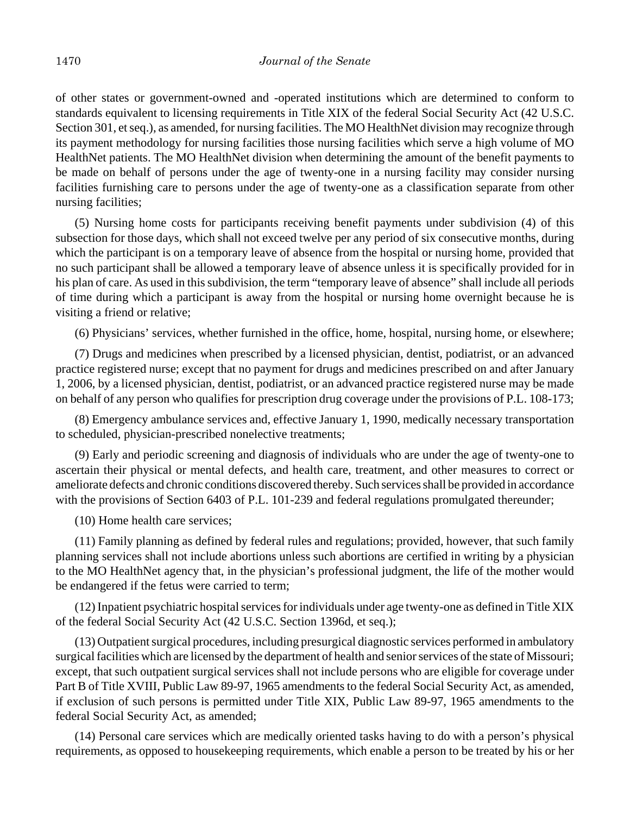of other states or government-owned and -operated institutions which are determined to conform to standards equivalent to licensing requirements in Title XIX of the federal Social Security Act (42 U.S.C. Section 301, et seq.), as amended, for nursing facilities. The MO HealthNet division may recognize through its payment methodology for nursing facilities those nursing facilities which serve a high volume of MO HealthNet patients. The MO HealthNet division when determining the amount of the benefit payments to be made on behalf of persons under the age of twenty-one in a nursing facility may consider nursing facilities furnishing care to persons under the age of twenty-one as a classification separate from other nursing facilities;

(5) Nursing home costs for participants receiving benefit payments under subdivision (4) of this subsection for those days, which shall not exceed twelve per any period of six consecutive months, during which the participant is on a temporary leave of absence from the hospital or nursing home, provided that no such participant shall be allowed a temporary leave of absence unless it is specifically provided for in his plan of care. As used in this subdivision, the term "temporary leave of absence" shall include all periods of time during which a participant is away from the hospital or nursing home overnight because he is visiting a friend or relative;

(6) Physicians' services, whether furnished in the office, home, hospital, nursing home, or elsewhere;

(7) Drugs and medicines when prescribed by a licensed physician, dentist, podiatrist, or an advanced practice registered nurse; except that no payment for drugs and medicines prescribed on and after January 1, 2006, by a licensed physician, dentist, podiatrist, or an advanced practice registered nurse may be made on behalf of any person who qualifies for prescription drug coverage under the provisions of P.L. 108-173;

(8) Emergency ambulance services and, effective January 1, 1990, medically necessary transportation to scheduled, physician-prescribed nonelective treatments;

(9) Early and periodic screening and diagnosis of individuals who are under the age of twenty-one to ascertain their physical or mental defects, and health care, treatment, and other measures to correct or ameliorate defects and chronic conditions discovered thereby. Such services shall be provided in accordance with the provisions of Section 6403 of P.L. 101-239 and federal regulations promulgated thereunder;

(10) Home health care services;

(11) Family planning as defined by federal rules and regulations; provided, however, that such family planning services shall not include abortions unless such abortions are certified in writing by a physician to the MO HealthNet agency that, in the physician's professional judgment, the life of the mother would be endangered if the fetus were carried to term;

(12) Inpatient psychiatric hospital services for individuals under age twenty-one as defined in Title XIX of the federal Social Security Act (42 U.S.C. Section 1396d, et seq.);

(13) Outpatient surgical procedures, including presurgical diagnostic services performed in ambulatory surgical facilities which are licensed by the department of health and senior services of the state of Missouri; except, that such outpatient surgical services shall not include persons who are eligible for coverage under Part B of Title XVIII, Public Law 89-97, 1965 amendments to the federal Social Security Act, as amended, if exclusion of such persons is permitted under Title XIX, Public Law 89-97, 1965 amendments to the federal Social Security Act, as amended;

(14) Personal care services which are medically oriented tasks having to do with a person's physical requirements, as opposed to housekeeping requirements, which enable a person to be treated by his or her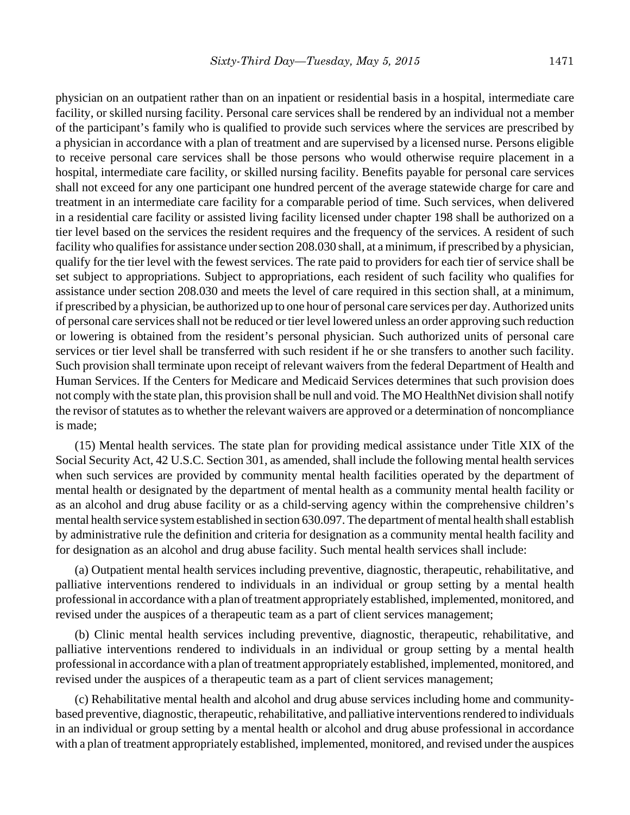physician on an outpatient rather than on an inpatient or residential basis in a hospital, intermediate care facility, or skilled nursing facility. Personal care services shall be rendered by an individual not a member of the participant's family who is qualified to provide such services where the services are prescribed by a physician in accordance with a plan of treatment and are supervised by a licensed nurse. Persons eligible to receive personal care services shall be those persons who would otherwise require placement in a hospital, intermediate care facility, or skilled nursing facility. Benefits payable for personal care services shall not exceed for any one participant one hundred percent of the average statewide charge for care and treatment in an intermediate care facility for a comparable period of time. Such services, when delivered in a residential care facility or assisted living facility licensed under chapter 198 shall be authorized on a tier level based on the services the resident requires and the frequency of the services. A resident of such facility who qualifies for assistance under section 208.030 shall, at a minimum, if prescribed by a physician, qualify for the tier level with the fewest services. The rate paid to providers for each tier of service shall be set subject to appropriations. Subject to appropriations, each resident of such facility who qualifies for assistance under section 208.030 and meets the level of care required in this section shall, at a minimum, if prescribed by a physician, be authorized up to one hour of personal care services per day. Authorized units of personal care services shall not be reduced or tier level lowered unless an order approving such reduction or lowering is obtained from the resident's personal physician. Such authorized units of personal care services or tier level shall be transferred with such resident if he or she transfers to another such facility. Such provision shall terminate upon receipt of relevant waivers from the federal Department of Health and Human Services. If the Centers for Medicare and Medicaid Services determines that such provision does not comply with the state plan, this provision shall be null and void. The MO HealthNet division shall notify the revisor of statutes as to whether the relevant waivers are approved or a determination of noncompliance is made;

(15) Mental health services. The state plan for providing medical assistance under Title XIX of the Social Security Act, 42 U.S.C. Section 301, as amended, shall include the following mental health services when such services are provided by community mental health facilities operated by the department of mental health or designated by the department of mental health as a community mental health facility or as an alcohol and drug abuse facility or as a child-serving agency within the comprehensive children's mental health service system established in section 630.097. The department of mental health shall establish by administrative rule the definition and criteria for designation as a community mental health facility and for designation as an alcohol and drug abuse facility. Such mental health services shall include:

(a) Outpatient mental health services including preventive, diagnostic, therapeutic, rehabilitative, and palliative interventions rendered to individuals in an individual or group setting by a mental health professional in accordance with a plan of treatment appropriately established, implemented, monitored, and revised under the auspices of a therapeutic team as a part of client services management;

(b) Clinic mental health services including preventive, diagnostic, therapeutic, rehabilitative, and palliative interventions rendered to individuals in an individual or group setting by a mental health professional in accordance with a plan of treatment appropriately established, implemented, monitored, and revised under the auspices of a therapeutic team as a part of client services management;

(c) Rehabilitative mental health and alcohol and drug abuse services including home and communitybased preventive, diagnostic, therapeutic, rehabilitative, and palliative interventions rendered to individuals in an individual or group setting by a mental health or alcohol and drug abuse professional in accordance with a plan of treatment appropriately established, implemented, monitored, and revised under the auspices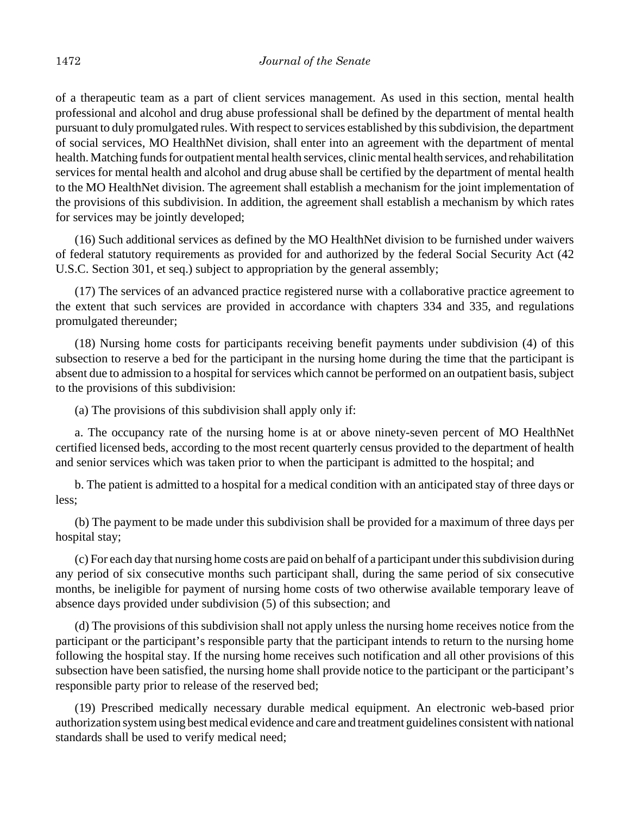of a therapeutic team as a part of client services management. As used in this section, mental health professional and alcohol and drug abuse professional shall be defined by the department of mental health pursuant to duly promulgated rules. With respect to services established by this subdivision, the department of social services, MO HealthNet division, shall enter into an agreement with the department of mental health. Matching funds for outpatient mental health services, clinic mental health services, and rehabilitation services for mental health and alcohol and drug abuse shall be certified by the department of mental health to the MO HealthNet division. The agreement shall establish a mechanism for the joint implementation of the provisions of this subdivision. In addition, the agreement shall establish a mechanism by which rates for services may be jointly developed;

(16) Such additional services as defined by the MO HealthNet division to be furnished under waivers of federal statutory requirements as provided for and authorized by the federal Social Security Act (42 U.S.C. Section 301, et seq.) subject to appropriation by the general assembly;

(17) The services of an advanced practice registered nurse with a collaborative practice agreement to the extent that such services are provided in accordance with chapters 334 and 335, and regulations promulgated thereunder;

(18) Nursing home costs for participants receiving benefit payments under subdivision (4) of this subsection to reserve a bed for the participant in the nursing home during the time that the participant is absent due to admission to a hospital for services which cannot be performed on an outpatient basis, subject to the provisions of this subdivision:

(a) The provisions of this subdivision shall apply only if:

a. The occupancy rate of the nursing home is at or above ninety-seven percent of MO HealthNet certified licensed beds, according to the most recent quarterly census provided to the department of health and senior services which was taken prior to when the participant is admitted to the hospital; and

b. The patient is admitted to a hospital for a medical condition with an anticipated stay of three days or less;

(b) The payment to be made under this subdivision shall be provided for a maximum of three days per hospital stay;

(c) For each day that nursing home costs are paid on behalf of a participant under this subdivision during any period of six consecutive months such participant shall, during the same period of six consecutive months, be ineligible for payment of nursing home costs of two otherwise available temporary leave of absence days provided under subdivision (5) of this subsection; and

(d) The provisions of this subdivision shall not apply unless the nursing home receives notice from the participant or the participant's responsible party that the participant intends to return to the nursing home following the hospital stay. If the nursing home receives such notification and all other provisions of this subsection have been satisfied, the nursing home shall provide notice to the participant or the participant's responsible party prior to release of the reserved bed;

(19) Prescribed medically necessary durable medical equipment. An electronic web-based prior authorization system using best medical evidence and care and treatment guidelines consistent with national standards shall be used to verify medical need;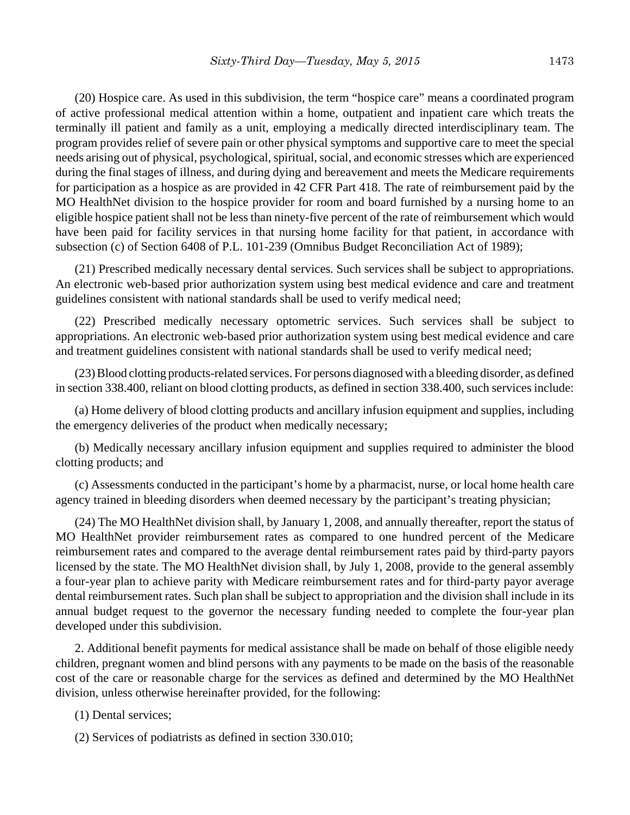(20) Hospice care. As used in this subdivision, the term "hospice care" means a coordinated program of active professional medical attention within a home, outpatient and inpatient care which treats the terminally ill patient and family as a unit, employing a medically directed interdisciplinary team. The program provides relief of severe pain or other physical symptoms and supportive care to meet the special needs arising out of physical, psychological, spiritual, social, and economic stresses which are experienced during the final stages of illness, and during dying and bereavement and meets the Medicare requirements for participation as a hospice as are provided in 42 CFR Part 418. The rate of reimbursement paid by the MO HealthNet division to the hospice provider for room and board furnished by a nursing home to an eligible hospice patient shall not be less than ninety-five percent of the rate of reimbursement which would have been paid for facility services in that nursing home facility for that patient, in accordance with subsection (c) of Section 6408 of P.L. 101-239 (Omnibus Budget Reconciliation Act of 1989);

(21) Prescribed medically necessary dental services. Such services shall be subject to appropriations. An electronic web-based prior authorization system using best medical evidence and care and treatment guidelines consistent with national standards shall be used to verify medical need;

(22) Prescribed medically necessary optometric services. Such services shall be subject to appropriations. An electronic web-based prior authorization system using best medical evidence and care and treatment guidelines consistent with national standards shall be used to verify medical need;

(23) Blood clotting products-related services. For persons diagnosed with a bleeding disorder, as defined in section 338.400, reliant on blood clotting products, as defined in section 338.400, such services include:

(a) Home delivery of blood clotting products and ancillary infusion equipment and supplies, including the emergency deliveries of the product when medically necessary;

(b) Medically necessary ancillary infusion equipment and supplies required to administer the blood clotting products; and

(c) Assessments conducted in the participant's home by a pharmacist, nurse, or local home health care agency trained in bleeding disorders when deemed necessary by the participant's treating physician;

(24) The MO HealthNet division shall, by January 1, 2008, and annually thereafter, report the status of MO HealthNet provider reimbursement rates as compared to one hundred percent of the Medicare reimbursement rates and compared to the average dental reimbursement rates paid by third-party payors licensed by the state. The MO HealthNet division shall, by July 1, 2008, provide to the general assembly a four-year plan to achieve parity with Medicare reimbursement rates and for third-party payor average dental reimbursement rates. Such plan shall be subject to appropriation and the division shall include in its annual budget request to the governor the necessary funding needed to complete the four-year plan developed under this subdivision.

2. Additional benefit payments for medical assistance shall be made on behalf of those eligible needy children, pregnant women and blind persons with any payments to be made on the basis of the reasonable cost of the care or reasonable charge for the services as defined and determined by the MO HealthNet division, unless otherwise hereinafter provided, for the following:

(1) Dental services;

(2) Services of podiatrists as defined in section 330.010;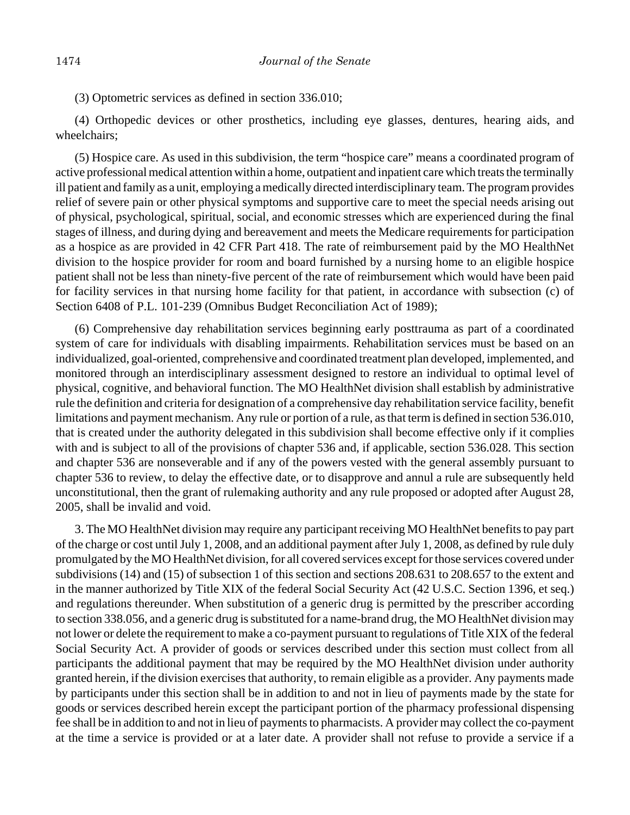(4) Orthopedic devices or other prosthetics, including eye glasses, dentures, hearing aids, and wheelchairs;

(5) Hospice care. As used in this subdivision, the term "hospice care" means a coordinated program of active professional medical attention within a home, outpatient and inpatient care which treats the terminally ill patient and family as a unit, employing a medically directed interdisciplinary team. The program provides relief of severe pain or other physical symptoms and supportive care to meet the special needs arising out of physical, psychological, spiritual, social, and economic stresses which are experienced during the final stages of illness, and during dying and bereavement and meets the Medicare requirements for participation as a hospice as are provided in 42 CFR Part 418. The rate of reimbursement paid by the MO HealthNet division to the hospice provider for room and board furnished by a nursing home to an eligible hospice patient shall not be less than ninety-five percent of the rate of reimbursement which would have been paid for facility services in that nursing home facility for that patient, in accordance with subsection (c) of Section 6408 of P.L. 101-239 (Omnibus Budget Reconciliation Act of 1989);

(6) Comprehensive day rehabilitation services beginning early posttrauma as part of a coordinated system of care for individuals with disabling impairments. Rehabilitation services must be based on an individualized, goal-oriented, comprehensive and coordinated treatment plan developed, implemented, and monitored through an interdisciplinary assessment designed to restore an individual to optimal level of physical, cognitive, and behavioral function. The MO HealthNet division shall establish by administrative rule the definition and criteria for designation of a comprehensive day rehabilitation service facility, benefit limitations and payment mechanism. Any rule or portion of a rule, as that term is defined in section 536.010, that is created under the authority delegated in this subdivision shall become effective only if it complies with and is subject to all of the provisions of chapter 536 and, if applicable, section 536.028. This section and chapter 536 are nonseverable and if any of the powers vested with the general assembly pursuant to chapter 536 to review, to delay the effective date, or to disapprove and annul a rule are subsequently held unconstitutional, then the grant of rulemaking authority and any rule proposed or adopted after August 28, 2005, shall be invalid and void.

3. The MO HealthNet division may require any participant receiving MO HealthNet benefits to pay part of the charge or cost until July 1, 2008, and an additional payment after July 1, 2008, as defined by rule duly promulgated by the MO HealthNet division, for all covered services except for those services covered under subdivisions (14) and (15) of subsection 1 of this section and sections 208.631 to 208.657 to the extent and in the manner authorized by Title XIX of the federal Social Security Act (42 U.S.C. Section 1396, et seq.) and regulations thereunder. When substitution of a generic drug is permitted by the prescriber according to section 338.056, and a generic drug is substituted for a name-brand drug, the MO HealthNet division may not lower or delete the requirement to make a co-payment pursuant to regulations of Title XIX of the federal Social Security Act. A provider of goods or services described under this section must collect from all participants the additional payment that may be required by the MO HealthNet division under authority granted herein, if the division exercises that authority, to remain eligible as a provider. Any payments made by participants under this section shall be in addition to and not in lieu of payments made by the state for goods or services described herein except the participant portion of the pharmacy professional dispensing fee shall be in addition to and not in lieu of payments to pharmacists. A provider may collect the co-payment at the time a service is provided or at a later date. A provider shall not refuse to provide a service if a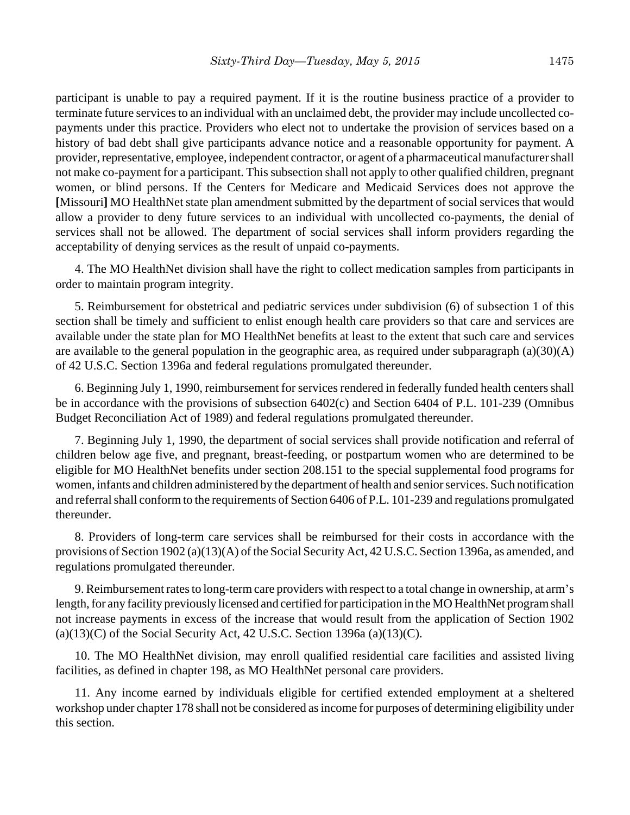participant is unable to pay a required payment. If it is the routine business practice of a provider to terminate future services to an individual with an unclaimed debt, the provider may include uncollected copayments under this practice. Providers who elect not to undertake the provision of services based on a history of bad debt shall give participants advance notice and a reasonable opportunity for payment. A provider, representative, employee, independent contractor, or agent of a pharmaceutical manufacturer shall not make co-payment for a participant. This subsection shall not apply to other qualified children, pregnant women, or blind persons. If the Centers for Medicare and Medicaid Services does not approve the **[**Missouri**]** MO HealthNet state plan amendment submitted by the department of social services that would allow a provider to deny future services to an individual with uncollected co-payments, the denial of services shall not be allowed. The department of social services shall inform providers regarding the acceptability of denying services as the result of unpaid co-payments.

4. The MO HealthNet division shall have the right to collect medication samples from participants in order to maintain program integrity.

5. Reimbursement for obstetrical and pediatric services under subdivision (6) of subsection 1 of this section shall be timely and sufficient to enlist enough health care providers so that care and services are available under the state plan for MO HealthNet benefits at least to the extent that such care and services are available to the general population in the geographic area, as required under subparagraph (a)(30)(A) of 42 U.S.C. Section 1396a and federal regulations promulgated thereunder.

6. Beginning July 1, 1990, reimbursement for services rendered in federally funded health centers shall be in accordance with the provisions of subsection 6402(c) and Section 6404 of P.L. 101-239 (Omnibus Budget Reconciliation Act of 1989) and federal regulations promulgated thereunder.

7. Beginning July 1, 1990, the department of social services shall provide notification and referral of children below age five, and pregnant, breast-feeding, or postpartum women who are determined to be eligible for MO HealthNet benefits under section 208.151 to the special supplemental food programs for women, infants and children administered by the department of health and senior services. Such notification and referral shall conform to the requirements of Section 6406 of P.L. 101-239 and regulations promulgated thereunder.

8. Providers of long-term care services shall be reimbursed for their costs in accordance with the provisions of Section 1902 (a)(13)(A) of the Social Security Act, 42 U.S.C. Section 1396a, as amended, and regulations promulgated thereunder.

9. Reimbursement rates to long-term care providers with respect to a total change in ownership, at arm's length, for any facility previously licensed and certified for participation in the MO HealthNet program shall not increase payments in excess of the increase that would result from the application of Section 1902  $(a)(13)(C)$  of the Social Security Act, 42 U.S.C. Section 1396a  $(a)(13)(C)$ .

10. The MO HealthNet division, may enroll qualified residential care facilities and assisted living facilities, as defined in chapter 198, as MO HealthNet personal care providers.

11. Any income earned by individuals eligible for certified extended employment at a sheltered workshop under chapter 178 shall not be considered as income for purposes of determining eligibility under this section.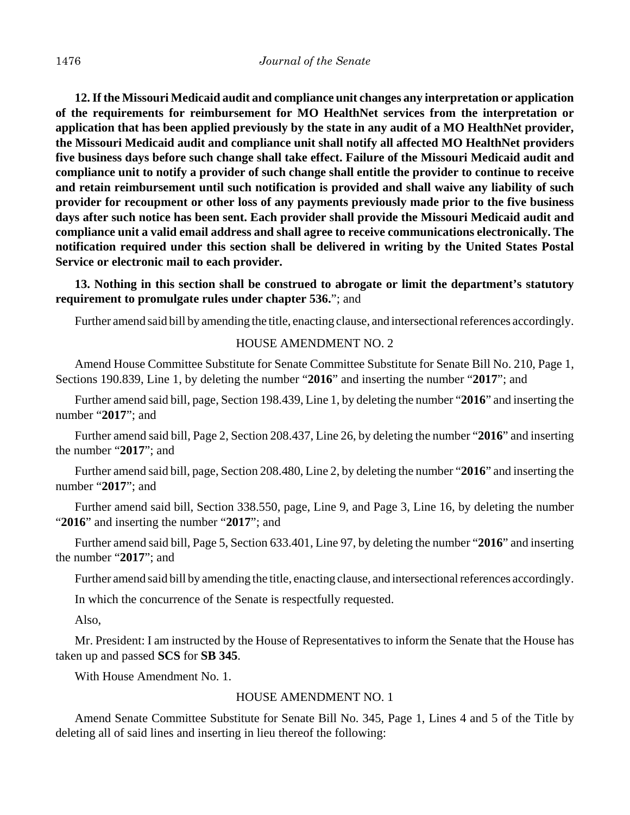**12. If the Missouri Medicaid audit and compliance unit changes any interpretation or application of the requirements for reimbursement for MO HealthNet services from the interpretation or application that has been applied previously by the state in any audit of a MO HealthNet provider, the Missouri Medicaid audit and compliance unit shall notify all affected MO HealthNet providers five business days before such change shall take effect. Failure of the Missouri Medicaid audit and compliance unit to notify a provider of such change shall entitle the provider to continue to receive and retain reimbursement until such notification is provided and shall waive any liability of such provider for recoupment or other loss of any payments previously made prior to the five business days after such notice has been sent. Each provider shall provide the Missouri Medicaid audit and compliance unit a valid email address and shall agree to receive communications electronically. The notification required under this section shall be delivered in writing by the United States Postal Service or electronic mail to each provider.**

## **13. Nothing in this section shall be construed to abrogate or limit the department's statutory requirement to promulgate rules under chapter 536.**"; and

Further amend said bill by amending the title, enacting clause, and intersectional references accordingly.

#### HOUSE AMENDMENT NO. 2

Amend House Committee Substitute for Senate Committee Substitute for Senate Bill No. 210, Page 1, Sections 190.839, Line 1, by deleting the number "**2016**" and inserting the number "**2017**"; and

Further amend said bill, page, Section 198.439, Line 1, by deleting the number "**2016**" and inserting the number "**2017**"; and

Further amend said bill, Page 2, Section 208.437, Line 26, by deleting the number "**2016**" and inserting the number "**2017**"; and

Further amend said bill, page, Section 208.480, Line 2, by deleting the number "**2016**" and inserting the number "**2017**"; and

Further amend said bill, Section 338.550, page, Line 9, and Page 3, Line 16, by deleting the number "**2016**" and inserting the number "**2017**"; and

Further amend said bill, Page 5, Section 633.401, Line 97, by deleting the number "**2016**" and inserting the number "**2017**"; and

Further amend said bill by amending the title, enacting clause, and intersectional references accordingly.

In which the concurrence of the Senate is respectfully requested.

Also,

Mr. President: I am instructed by the House of Representatives to inform the Senate that the House has taken up and passed **SCS** for **SB 345**.

With House Amendment No. 1.

#### HOUSE AMENDMENT NO. 1

Amend Senate Committee Substitute for Senate Bill No. 345, Page 1, Lines 4 and 5 of the Title by deleting all of said lines and inserting in lieu thereof the following: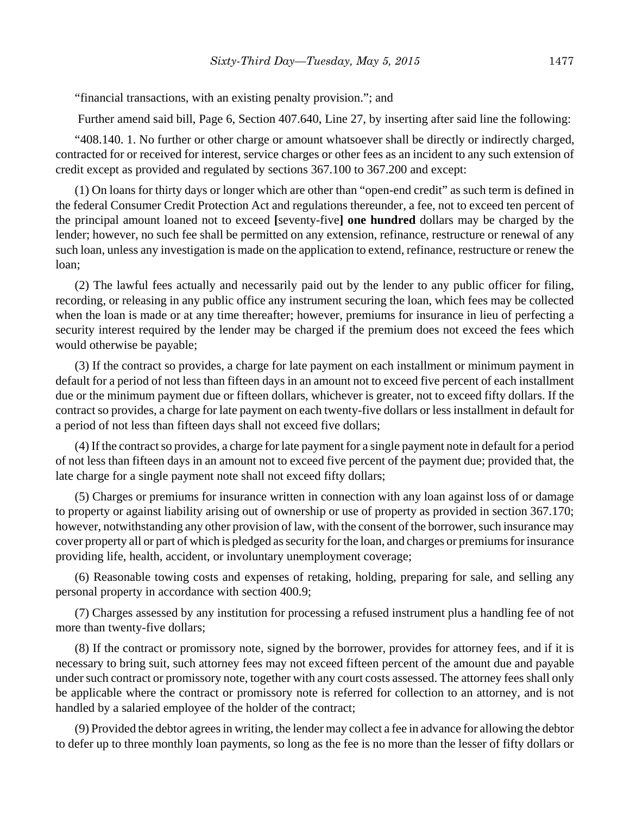"financial transactions, with an existing penalty provision."; and

Further amend said bill, Page 6, Section 407.640, Line 27, by inserting after said line the following:

"408.140. 1. No further or other charge or amount whatsoever shall be directly or indirectly charged, contracted for or received for interest, service charges or other fees as an incident to any such extension of credit except as provided and regulated by sections 367.100 to 367.200 and except:

(1) On loans for thirty days or longer which are other than "open-end credit" as such term is defined in the federal Consumer Credit Protection Act and regulations thereunder, a fee, not to exceed ten percent of the principal amount loaned not to exceed **[**seventy-five**] one hundred** dollars may be charged by the lender; however, no such fee shall be permitted on any extension, refinance, restructure or renewal of any such loan, unless any investigation is made on the application to extend, refinance, restructure or renew the loan;

(2) The lawful fees actually and necessarily paid out by the lender to any public officer for filing, recording, or releasing in any public office any instrument securing the loan, which fees may be collected when the loan is made or at any time thereafter; however, premiums for insurance in lieu of perfecting a security interest required by the lender may be charged if the premium does not exceed the fees which would otherwise be payable;

(3) If the contract so provides, a charge for late payment on each installment or minimum payment in default for a period of not less than fifteen days in an amount not to exceed five percent of each installment due or the minimum payment due or fifteen dollars, whichever is greater, not to exceed fifty dollars. If the contract so provides, a charge for late payment on each twenty-five dollars or less installment in default for a period of not less than fifteen days shall not exceed five dollars;

(4) If the contract so provides, a charge for late payment for a single payment note in default for a period of not less than fifteen days in an amount not to exceed five percent of the payment due; provided that, the late charge for a single payment note shall not exceed fifty dollars;

(5) Charges or premiums for insurance written in connection with any loan against loss of or damage to property or against liability arising out of ownership or use of property as provided in section 367.170; however, notwithstanding any other provision of law, with the consent of the borrower, such insurance may cover property all or part of which is pledged as security for the loan, and charges or premiums for insurance providing life, health, accident, or involuntary unemployment coverage;

(6) Reasonable towing costs and expenses of retaking, holding, preparing for sale, and selling any personal property in accordance with section 400.9;

(7) Charges assessed by any institution for processing a refused instrument plus a handling fee of not more than twenty-five dollars;

(8) If the contract or promissory note, signed by the borrower, provides for attorney fees, and if it is necessary to bring suit, such attorney fees may not exceed fifteen percent of the amount due and payable under such contract or promissory note, together with any court costs assessed. The attorney fees shall only be applicable where the contract or promissory note is referred for collection to an attorney, and is not handled by a salaried employee of the holder of the contract;

(9) Provided the debtor agrees in writing, the lender may collect a fee in advance for allowing the debtor to defer up to three monthly loan payments, so long as the fee is no more than the lesser of fifty dollars or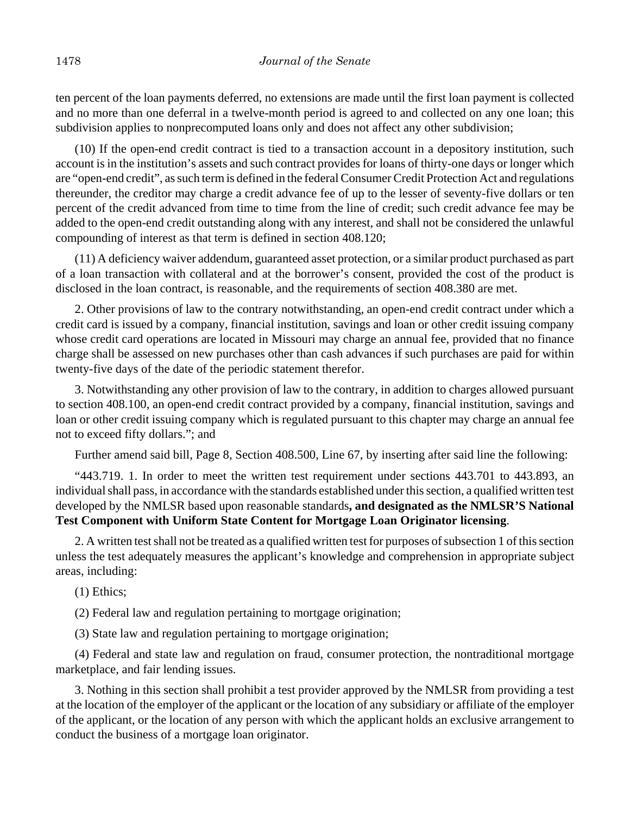ten percent of the loan payments deferred, no extensions are made until the first loan payment is collected and no more than one deferral in a twelve-month period is agreed to and collected on any one loan; this subdivision applies to nonprecomputed loans only and does not affect any other subdivision;

(10) If the open-end credit contract is tied to a transaction account in a depository institution, such account is in the institution's assets and such contract provides for loans of thirty-one days or longer which are "open-end credit", as such term is defined in the federal Consumer Credit Protection Act and regulations thereunder, the creditor may charge a credit advance fee of up to the lesser of seventy-five dollars or ten percent of the credit advanced from time to time from the line of credit; such credit advance fee may be added to the open-end credit outstanding along with any interest, and shall not be considered the unlawful compounding of interest as that term is defined in section 408.120;

(11) A deficiency waiver addendum, guaranteed asset protection, or a similar product purchased as part of a loan transaction with collateral and at the borrower's consent, provided the cost of the product is disclosed in the loan contract, is reasonable, and the requirements of section 408.380 are met.

2. Other provisions of law to the contrary notwithstanding, an open-end credit contract under which a credit card is issued by a company, financial institution, savings and loan or other credit issuing company whose credit card operations are located in Missouri may charge an annual fee, provided that no finance charge shall be assessed on new purchases other than cash advances if such purchases are paid for within twenty-five days of the date of the periodic statement therefor.

3. Notwithstanding any other provision of law to the contrary, in addition to charges allowed pursuant to section 408.100, an open-end credit contract provided by a company, financial institution, savings and loan or other credit issuing company which is regulated pursuant to this chapter may charge an annual fee not to exceed fifty dollars."; and

Further amend said bill, Page 8, Section 408.500, Line 67, by inserting after said line the following:

"443.719. 1. In order to meet the written test requirement under sections 443.701 to 443.893, an individual shall pass, in accordance with the standards established under this section, a qualified written test developed by the NMLSR based upon reasonable standards**, and designated as the NMLSR'S National Test Component with Uniform State Content for Mortgage Loan Originator licensing**.

2. A written test shall not be treated as a qualified written test for purposes of subsection 1 of this section unless the test adequately measures the applicant's knowledge and comprehension in appropriate subject areas, including:

(1) Ethics;

(2) Federal law and regulation pertaining to mortgage origination;

(3) State law and regulation pertaining to mortgage origination;

(4) Federal and state law and regulation on fraud, consumer protection, the nontraditional mortgage marketplace, and fair lending issues.

3. Nothing in this section shall prohibit a test provider approved by the NMLSR from providing a test at the location of the employer of the applicant or the location of any subsidiary or affiliate of the employer of the applicant, or the location of any person with which the applicant holds an exclusive arrangement to conduct the business of a mortgage loan originator.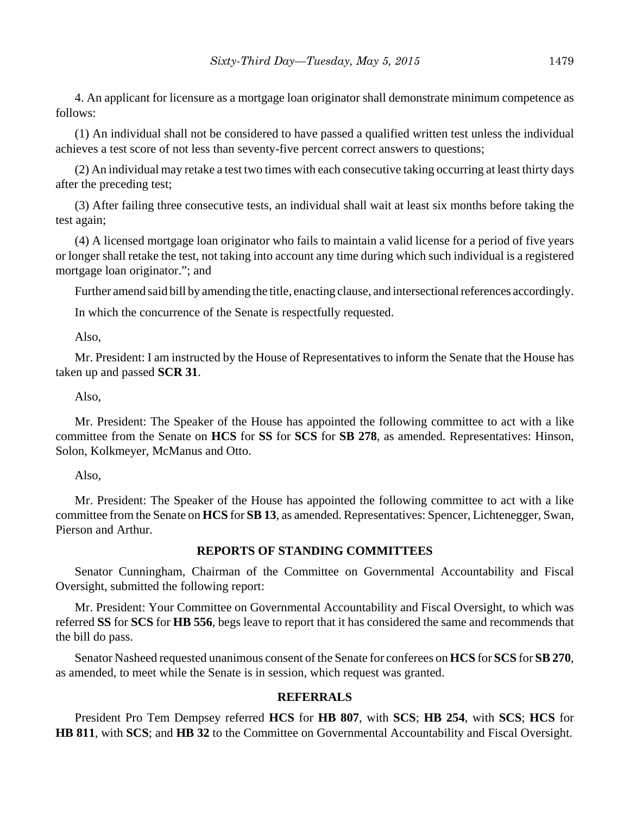4. An applicant for licensure as a mortgage loan originator shall demonstrate minimum competence as follows:

(1) An individual shall not be considered to have passed a qualified written test unless the individual achieves a test score of not less than seventy-five percent correct answers to questions;

(2) An individual may retake a test two times with each consecutive taking occurring at least thirty days after the preceding test;

(3) After failing three consecutive tests, an individual shall wait at least six months before taking the test again;

(4) A licensed mortgage loan originator who fails to maintain a valid license for a period of five years or longer shall retake the test, not taking into account any time during which such individual is a registered mortgage loan originator."; and

Further amend said bill by amending the title, enacting clause, and intersectional references accordingly.

In which the concurrence of the Senate is respectfully requested.

Also,

Mr. President: I am instructed by the House of Representatives to inform the Senate that the House has taken up and passed **SCR 31**.

Also,

Mr. President: The Speaker of the House has appointed the following committee to act with a like committee from the Senate on **HCS** for **SS** for **SCS** for **SB 278**, as amended. Representatives: Hinson, Solon, Kolkmeyer, McManus and Otto.

Also,

Mr. President: The Speaker of the House has appointed the following committee to act with a like committee from the Senate on **HCS** for **SB 13**, as amended. Representatives: Spencer, Lichtenegger, Swan, Pierson and Arthur.

### **REPORTS OF STANDING COMMITTEES**

Senator Cunningham, Chairman of the Committee on Governmental Accountability and Fiscal Oversight, submitted the following report:

Mr. President: Your Committee on Governmental Accountability and Fiscal Oversight, to which was referred **SS** for **SCS** for **HB 556**, begs leave to report that it has considered the same and recommends that the bill do pass.

Senator Nasheed requested unanimous consent of the Senate for conferees on **HCS** for **SCS** for **SB 270**, as amended, to meet while the Senate is in session, which request was granted.

## **REFERRALS**

President Pro Tem Dempsey referred **HCS** for **HB 807**, with **SCS**; **HB 254**, with **SCS**; **HCS** for **HB 811**, with **SCS**; and **HB 32** to the Committee on Governmental Accountability and Fiscal Oversight.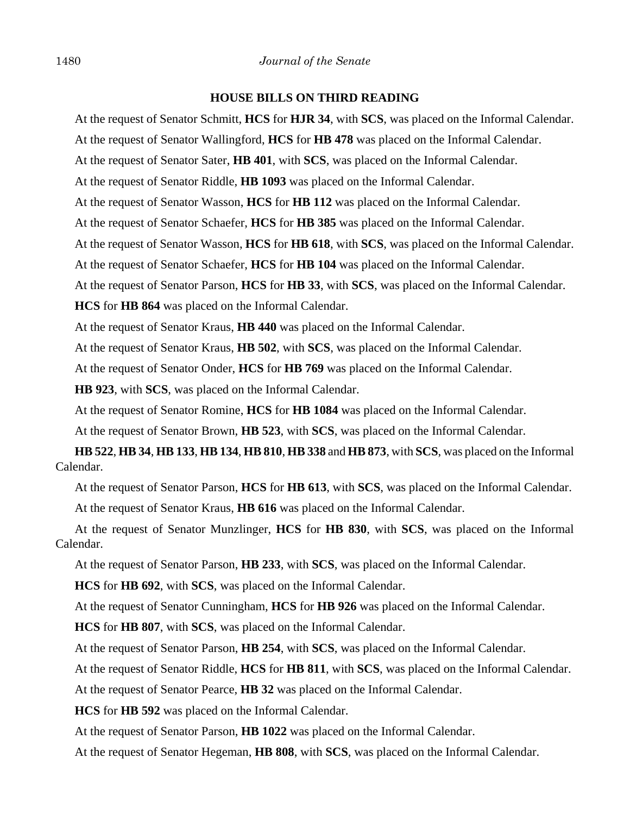## **HOUSE BILLS ON THIRD READING**

At the request of Senator Schmitt, **HCS** for **HJR 34**, with **SCS**, was placed on the Informal Calendar.

At the request of Senator Wallingford, **HCS** for **HB 478** was placed on the Informal Calendar.

At the request of Senator Sater, **HB 401**, with **SCS**, was placed on the Informal Calendar.

At the request of Senator Riddle, **HB 1093** was placed on the Informal Calendar.

At the request of Senator Wasson, **HCS** for **HB 112** was placed on the Informal Calendar.

At the request of Senator Schaefer, **HCS** for **HB 385** was placed on the Informal Calendar.

At the request of Senator Wasson, **HCS** for **HB 618**, with **SCS**, was placed on the Informal Calendar.

At the request of Senator Schaefer, **HCS** for **HB 104** was placed on the Informal Calendar.

At the request of Senator Parson, **HCS** for **HB 33**, with **SCS**, was placed on the Informal Calendar.

**HCS** for **HB 864** was placed on the Informal Calendar.

At the request of Senator Kraus, **HB 440** was placed on the Informal Calendar.

At the request of Senator Kraus, **HB 502**, with **SCS**, was placed on the Informal Calendar.

At the request of Senator Onder, **HCS** for **HB 769** was placed on the Informal Calendar.

**HB 923**, with **SCS**, was placed on the Informal Calendar.

At the request of Senator Romine, **HCS** for **HB 1084** was placed on the Informal Calendar.

At the request of Senator Brown, **HB 523**, with **SCS**, was placed on the Informal Calendar.

**HB 522**, **HB 34**, **HB 133**, **HB 134**, **HB 810**, **HB 338** and **HB 873**, with **SCS**, was placed on the Informal Calendar.

At the request of Senator Parson, **HCS** for **HB 613**, with **SCS**, was placed on the Informal Calendar.

At the request of Senator Kraus, **HB 616** was placed on the Informal Calendar.

At the request of Senator Munzlinger, **HCS** for **HB 830**, with **SCS**, was placed on the Informal Calendar.

At the request of Senator Parson, **HB 233**, with **SCS**, was placed on the Informal Calendar.

**HCS** for **HB 692**, with **SCS**, was placed on the Informal Calendar.

At the request of Senator Cunningham, **HCS** for **HB 926** was placed on the Informal Calendar.

**HCS** for **HB 807**, with **SCS**, was placed on the Informal Calendar.

At the request of Senator Parson, **HB 254**, with **SCS**, was placed on the Informal Calendar.

At the request of Senator Riddle, **HCS** for **HB 811**, with **SCS**, was placed on the Informal Calendar.

At the request of Senator Pearce, **HB 32** was placed on the Informal Calendar.

**HCS** for **HB 592** was placed on the Informal Calendar.

At the request of Senator Parson, **HB 1022** was placed on the Informal Calendar.

At the request of Senator Hegeman, **HB 808**, with **SCS**, was placed on the Informal Calendar.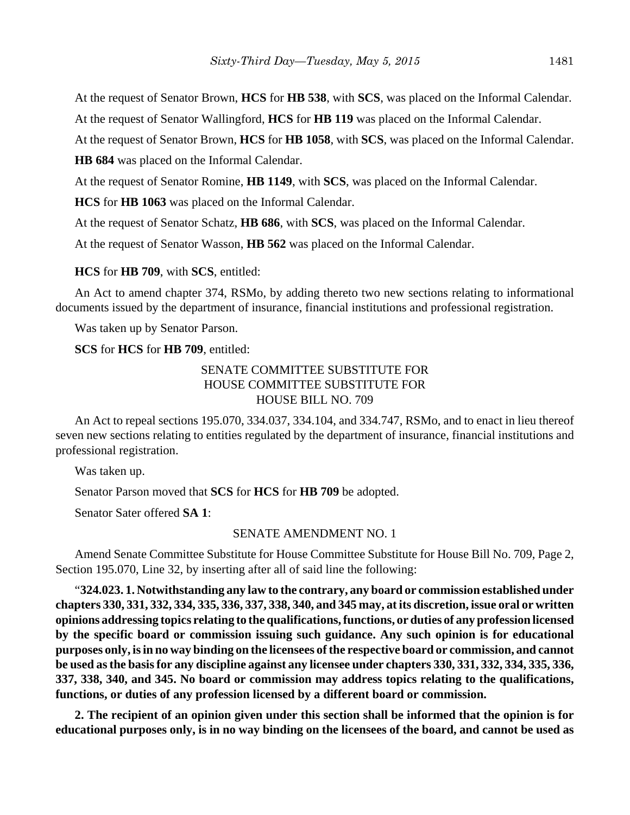At the request of Senator Brown, **HCS** for **HB 538**, with **SCS**, was placed on the Informal Calendar.

At the request of Senator Wallingford, **HCS** for **HB 119** was placed on the Informal Calendar.

At the request of Senator Brown, **HCS** for **HB 1058**, with **SCS**, was placed on the Informal Calendar.

**HB 684** was placed on the Informal Calendar.

At the request of Senator Romine, **HB 1149**, with **SCS**, was placed on the Informal Calendar.

**HCS** for **HB 1063** was placed on the Informal Calendar.

At the request of Senator Schatz, **HB 686**, with **SCS**, was placed on the Informal Calendar.

At the request of Senator Wasson, **HB 562** was placed on the Informal Calendar.

**HCS** for **HB 709**, with **SCS**, entitled:

An Act to amend chapter 374, RSMo, by adding thereto two new sections relating to informational documents issued by the department of insurance, financial institutions and professional registration.

Was taken up by Senator Parson.

## **SCS** for **HCS** for **HB 709**, entitled:

## SENATE COMMITTEE SUBSTITUTE FOR HOUSE COMMITTEE SUBSTITUTE FOR HOUSE BILL NO. 709

An Act to repeal sections 195.070, 334.037, 334.104, and 334.747, RSMo, and to enact in lieu thereof seven new sections relating to entities regulated by the department of insurance, financial institutions and professional registration.

Was taken up.

Senator Parson moved that **SCS** for **HCS** for **HB 709** be adopted.

Senator Sater offered **SA 1**:

#### SENATE AMENDMENT NO. 1

Amend Senate Committee Substitute for House Committee Substitute for House Bill No. 709, Page 2, Section 195.070, Line 32, by inserting after all of said line the following:

"**324.023. 1. Notwithstanding any law to the contrary, any board or commission established under chapters 330, 331, 332, 334, 335, 336, 337, 338, 340, and 345 may, at its discretion, issue oral or written opinions addressing topics relating to the qualifications, functions, or duties of any profession licensed by the specific board or commission issuing such guidance. Any such opinion is for educational purposes only, is in no way binding on the licensees of the respective board or commission, and cannot be used as the basis for any discipline against any licensee under chapters 330, 331, 332, 334, 335, 336, 337, 338, 340, and 345. No board or commission may address topics relating to the qualifications, functions, or duties of any profession licensed by a different board or commission.**

**2. The recipient of an opinion given under this section shall be informed that the opinion is for educational purposes only, is in no way binding on the licensees of the board, and cannot be used as**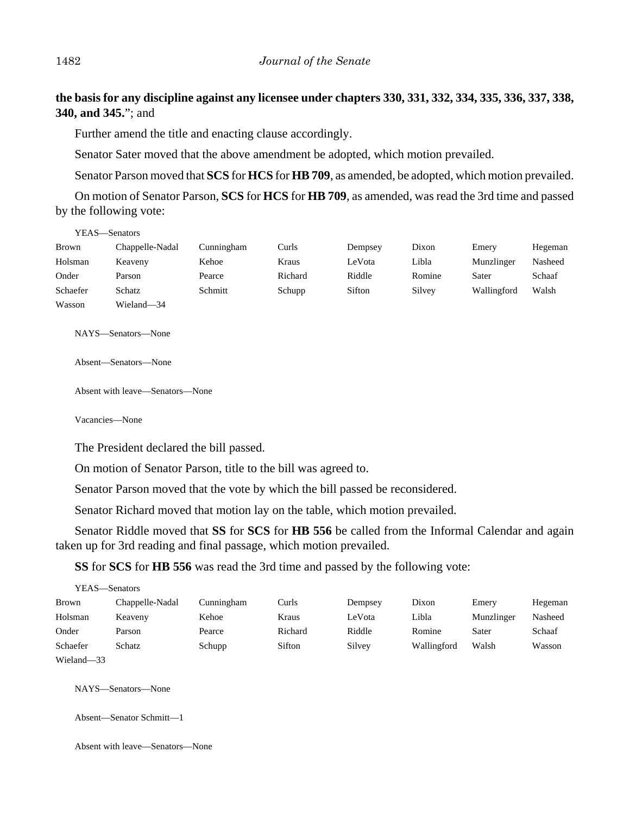**the basis for any discipline against any licensee under chapters 330, 331, 332, 334, 335, 336, 337, 338, 340, and 345.**"; and

Further amend the title and enacting clause accordingly.

Senator Sater moved that the above amendment be adopted, which motion prevailed.

Senator Parson moved that **SCS** for **HCS** for **HB 709**, as amended, be adopted, which motion prevailed.

On motion of Senator Parson, **SCS** for **HCS** for **HB 709**, as amended, was read the 3rd time and passed by the following vote:

| YEAS—Senators |                 |            |         |         |        |             |         |
|---------------|-----------------|------------|---------|---------|--------|-------------|---------|
| <b>Brown</b>  | Chappelle-Nadal | Cunningham | Curls   | Dempsey | Dixon  | Emery       | Hegeman |
| Holsman       | Keaveny         | Kehoe      | Kraus   | LeVota  | Libla  | Munzlinger  | Nasheed |
| Onder         | Parson          | Pearce     | Richard | Riddle  | Romine | Sater       | Schaaf  |
| Schaefer      | Schatz          | Schmitt    | Schupp  | Sifton  | Silvey | Wallingford | Walsh   |
| Wasson        | Wieland-34      |            |         |         |        |             |         |

NAYS—Senators—None

Absent—Senators—None

Absent with leave—Senators—None

Vacancies—None

The President declared the bill passed.

On motion of Senator Parson, title to the bill was agreed to.

Senator Parson moved that the vote by which the bill passed be reconsidered.

Senator Richard moved that motion lay on the table, which motion prevailed.

Senator Riddle moved that **SS** for **SCS** for **HB 556** be called from the Informal Calendar and again taken up for 3rd reading and final passage, which motion prevailed.

**SS** for **SCS** for **HB 556** was read the 3rd time and passed by the following vote:

| YEAS—Senators |                 |            |         |         |             |            |         |
|---------------|-----------------|------------|---------|---------|-------------|------------|---------|
| <b>Brown</b>  | Chappelle-Nadal | Cunningham | Curls   | Dempsey | Dixon       | Emery      | Hegeman |
| Holsman       | Keaveny         | Kehoe      | Kraus   | LeVota  | Libla       | Munzlinger | Nasheed |
| Onder         | Parson          | Pearce     | Richard | Riddle  | Romine      | Sater      | Schaaf  |
| Schaefer      | Schatz          | Schupp     | Sifton  | Silvey  | Wallingford | Walsh      | Wasson  |
| Wieland-33    |                 |            |         |         |             |            |         |

NAYS—Senators—None

```
Absent—Senator Schmitt—1
```
Absent with leave—Senators—None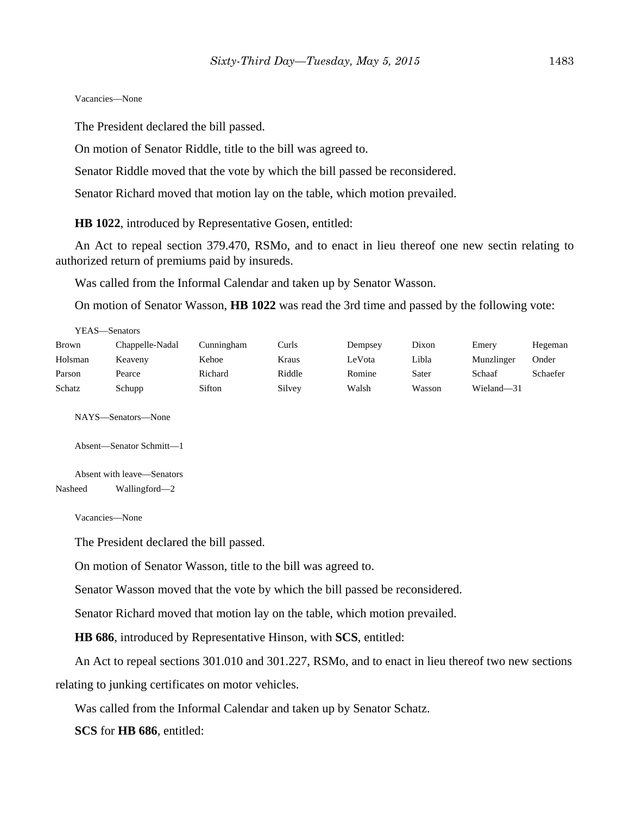#### Vacancies—None

The President declared the bill passed.

On motion of Senator Riddle, title to the bill was agreed to.

Senator Riddle moved that the vote by which the bill passed be reconsidered.

Senator Richard moved that motion lay on the table, which motion prevailed.

**HB 1022**, introduced by Representative Gosen, entitled:

An Act to repeal section 379.470, RSMo, and to enact in lieu thereof one new sectin relating to authorized return of premiums paid by insureds.

Was called from the Informal Calendar and taken up by Senator Wasson.

On motion of Senator Wasson, **HB 1022** was read the 3rd time and passed by the following vote:

| YEAS—Senators |                 |            |        |         |        |            |          |
|---------------|-----------------|------------|--------|---------|--------|------------|----------|
| <b>Brown</b>  | Chappelle-Nadal | Cunningham | Curls  | Dempsey | Dixon  | Emery      | Hegeman  |
| Holsman       | Keaveny         | Kehoe      | Kraus  | LeVota  | Libla  | Munzlinger | Onder    |
| Parson        | Pearce          | Richard    | Riddle | Romine  | Sater  | Schaaf     | Schaefer |
| Schatz        | Schupp          | Sifton     | Silvey | Walsh   | Wasson | Wieland-31 |          |

NAYS—Senators—None

Absent—Senator Schmitt—1

Absent with leave—Senators Nasheed Wallingford—2

Vacancies—None

The President declared the bill passed.

On motion of Senator Wasson, title to the bill was agreed to.

Senator Wasson moved that the vote by which the bill passed be reconsidered.

Senator Richard moved that motion lay on the table, which motion prevailed.

**HB 686**, introduced by Representative Hinson, with **SCS**, entitled:

An Act to repeal sections 301.010 and 301.227, RSMo, and to enact in lieu thereof two new sections relating to junking certificates on motor vehicles.

Was called from the Informal Calendar and taken up by Senator Schatz.

**SCS** for **HB 686**, entitled: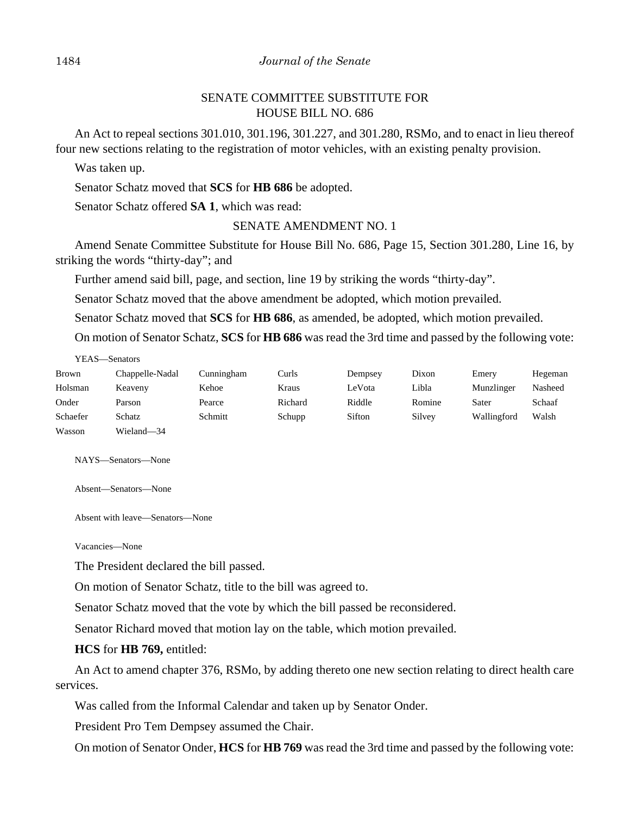#### 1484 *Journal of the Senate*

# SENATE COMMITTEE SUBSTITUTE FOR HOUSE BILL NO. 686

An Act to repeal sections 301.010, 301.196, 301.227, and 301.280, RSMo, and to enact in lieu thereof four new sections relating to the registration of motor vehicles, with an existing penalty provision.

Was taken up.

Senator Schatz moved that **SCS** for **HB 686** be adopted.

Senator Schatz offered **SA 1**, which was read:

## SENATE AMENDMENT NO. 1

Amend Senate Committee Substitute for House Bill No. 686, Page 15, Section 301.280, Line 16, by striking the words "thirty-day"; and

Further amend said bill, page, and section, line 19 by striking the words "thirty-day".

Senator Schatz moved that the above amendment be adopted, which motion prevailed.

Senator Schatz moved that **SCS** for **HB 686**, as amended, be adopted, which motion prevailed.

On motion of Senator Schatz, **SCS** for **HB 686** was read the 3rd time and passed by the following vote:

| YEAS—Senators |                 |            |         |         |        |             |         |
|---------------|-----------------|------------|---------|---------|--------|-------------|---------|
| <b>Brown</b>  | Chappelle-Nadal | Cunningham | Curls   | Dempsey | Dixon  | Emery       | Hegeman |
| Holsman       | Keaveny         | Kehoe      | Kraus   | LeVota  | Libla  | Munzlinger  | Nasheed |
| Onder         | Parson          | Pearce     | Richard | Riddle  | Romine | Sater       | Schaaf  |
| Schaefer      | Schatz          | Schmitt    | Schupp  | Sifton  | Silvey | Wallingford | Walsh   |
| Wasson        | Wieland-34      |            |         |         |        |             |         |

NAYS—Senators—None

Absent—Senators—None

Absent with leave—Senators—None

Vacancies—None

The President declared the bill passed.

On motion of Senator Schatz, title to the bill was agreed to.

Senator Schatz moved that the vote by which the bill passed be reconsidered.

Senator Richard moved that motion lay on the table, which motion prevailed.

#### **HCS** for **HB 769,** entitled:

An Act to amend chapter 376, RSMo, by adding thereto one new section relating to direct health care services.

Was called from the Informal Calendar and taken up by Senator Onder.

President Pro Tem Dempsey assumed the Chair.

On motion of Senator Onder, **HCS** for **HB 769** was read the 3rd time and passed by the following vote: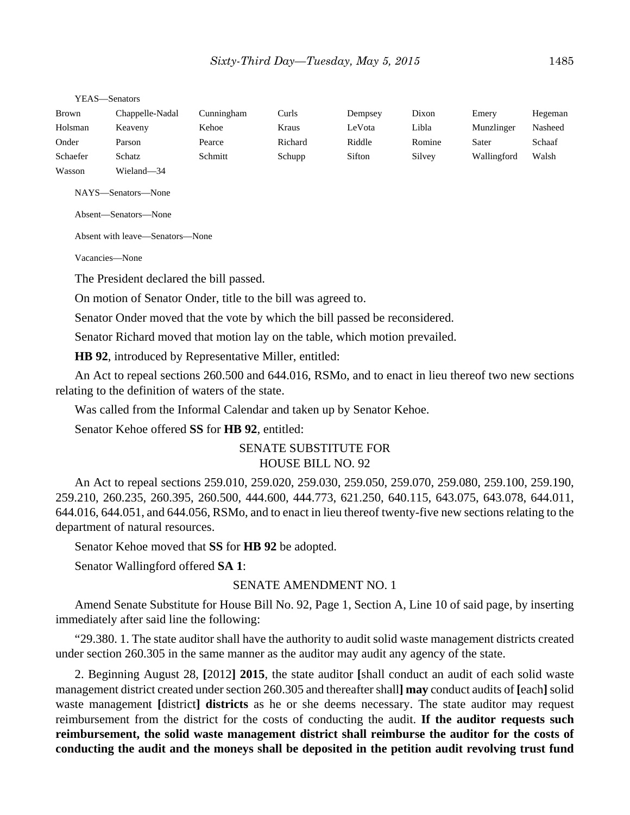| <b>Brown</b> | Chappelle-Nadal | Cunningham | Curls   | Dempsey | Dixon  | Emery       | Hegeman |
|--------------|-----------------|------------|---------|---------|--------|-------------|---------|
| Holsman      | Keaveny         | Kehoe      | Kraus   | LeVota  | Libla  | Munzlinger  | Nasheed |
| Onder        | Parson          | Pearce     | Richard | Riddle  | Romine | Sater       | Schaaf  |
| Schaefer     | Schatz          | Schmitt    | Schupp  | Sifton  | Silvey | Wallingford | Walsh   |
| Wasson       | Wieland-34      |            |         |         |        |             |         |

YEAS—Senators

NAYS—Senators—None

Absent—Senators—None

Absent with leave—Senators—None

Vacancies—None

The President declared the bill passed.

On motion of Senator Onder, title to the bill was agreed to.

Senator Onder moved that the vote by which the bill passed be reconsidered.

Senator Richard moved that motion lay on the table, which motion prevailed.

**HB 92**, introduced by Representative Miller, entitled:

An Act to repeal sections 260.500 and 644.016, RSMo, and to enact in lieu thereof two new sections relating to the definition of waters of the state.

Was called from the Informal Calendar and taken up by Senator Kehoe.

Senator Kehoe offered **SS** for **HB 92**, entitled:

## SENATE SUBSTITUTE FOR HOUSE BILL NO. 92

An Act to repeal sections 259.010, 259.020, 259.030, 259.050, 259.070, 259.080, 259.100, 259.190, 259.210, 260.235, 260.395, 260.500, 444.600, 444.773, 621.250, 640.115, 643.075, 643.078, 644.011, 644.016, 644.051, and 644.056, RSMo, and to enact in lieu thereof twenty-five new sections relating to the department of natural resources.

Senator Kehoe moved that **SS** for **HB 92** be adopted.

Senator Wallingford offered **SA 1**:

## SENATE AMENDMENT NO. 1

Amend Senate Substitute for House Bill No. 92, Page 1, Section A, Line 10 of said page, by inserting immediately after said line the following:

"29.380. 1. The state auditor shall have the authority to audit solid waste management districts created under section 260.305 in the same manner as the auditor may audit any agency of the state.

2. Beginning August 28, **[**2012**] 2015**, the state auditor **[**shall conduct an audit of each solid waste management district created under section 260.305 and thereafter shall**] may** conduct audits of **[**each**]** solid waste management [district] **districts** as he or she deems necessary. The state auditor may request reimbursement from the district for the costs of conducting the audit. **If the auditor requests such reimbursement, the solid waste management district shall reimburse the auditor for the costs of conducting the audit and the moneys shall be deposited in the petition audit revolving trust fund**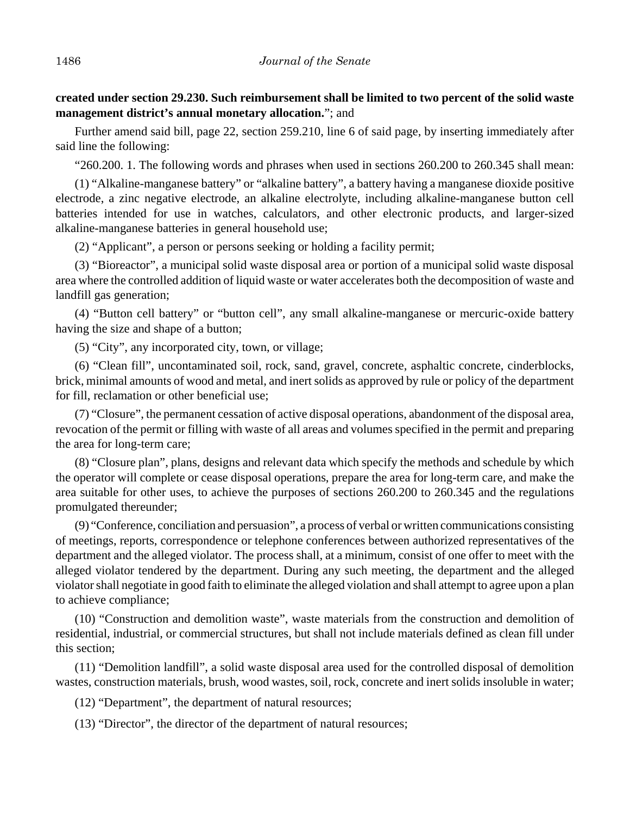**created under section 29.230. Such reimbursement shall be limited to two percent of the solid waste management district's annual monetary allocation.**"; and

Further amend said bill, page 22, section 259.210, line 6 of said page, by inserting immediately after said line the following:

"260.200. 1. The following words and phrases when used in sections 260.200 to 260.345 shall mean:

(1) "Alkaline-manganese battery" or "alkaline battery", a battery having a manganese dioxide positive electrode, a zinc negative electrode, an alkaline electrolyte, including alkaline-manganese button cell batteries intended for use in watches, calculators, and other electronic products, and larger-sized alkaline-manganese batteries in general household use;

(2) "Applicant", a person or persons seeking or holding a facility permit;

(3) "Bioreactor", a municipal solid waste disposal area or portion of a municipal solid waste disposal area where the controlled addition of liquid waste or water accelerates both the decomposition of waste and landfill gas generation;

(4) "Button cell battery" or "button cell", any small alkaline-manganese or mercuric-oxide battery having the size and shape of a button;

(5) "City", any incorporated city, town, or village;

(6) "Clean fill", uncontaminated soil, rock, sand, gravel, concrete, asphaltic concrete, cinderblocks, brick, minimal amounts of wood and metal, and inert solids as approved by rule or policy of the department for fill, reclamation or other beneficial use;

(7) "Closure", the permanent cessation of active disposal operations, abandonment of the disposal area, revocation of the permit or filling with waste of all areas and volumes specified in the permit and preparing the area for long-term care;

(8) "Closure plan", plans, designs and relevant data which specify the methods and schedule by which the operator will complete or cease disposal operations, prepare the area for long-term care, and make the area suitable for other uses, to achieve the purposes of sections 260.200 to 260.345 and the regulations promulgated thereunder;

(9) "Conference, conciliation and persuasion", a process of verbal or written communications consisting of meetings, reports, correspondence or telephone conferences between authorized representatives of the department and the alleged violator. The process shall, at a minimum, consist of one offer to meet with the alleged violator tendered by the department. During any such meeting, the department and the alleged violator shall negotiate in good faith to eliminate the alleged violation and shall attempt to agree upon a plan to achieve compliance;

(10) "Construction and demolition waste", waste materials from the construction and demolition of residential, industrial, or commercial structures, but shall not include materials defined as clean fill under this section;

(11) "Demolition landfill", a solid waste disposal area used for the controlled disposal of demolition wastes, construction materials, brush, wood wastes, soil, rock, concrete and inert solids insoluble in water;

(12) "Department", the department of natural resources;

(13) "Director", the director of the department of natural resources;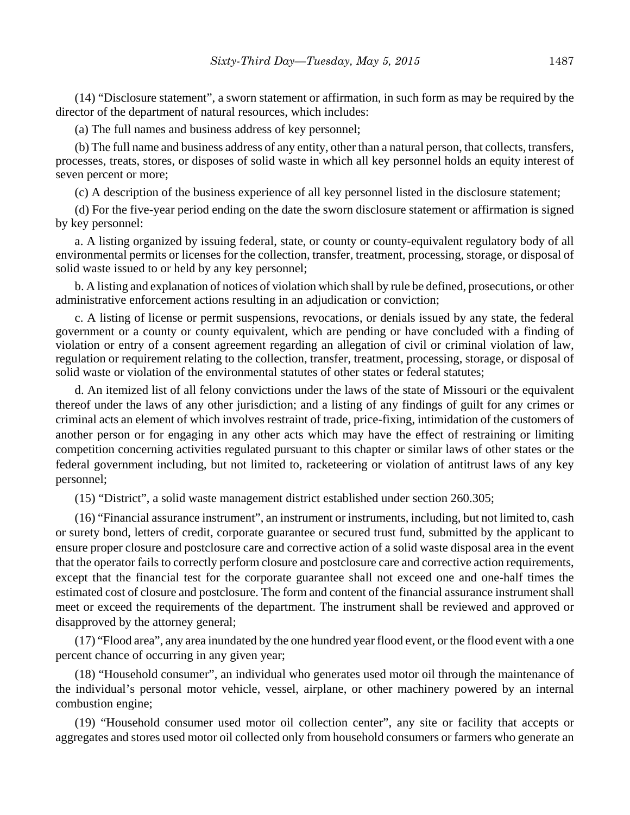(14) "Disclosure statement", a sworn statement or affirmation, in such form as may be required by the director of the department of natural resources, which includes:

(a) The full names and business address of key personnel;

(b) The full name and business address of any entity, other than a natural person, that collects, transfers, processes, treats, stores, or disposes of solid waste in which all key personnel holds an equity interest of seven percent or more;

(c) A description of the business experience of all key personnel listed in the disclosure statement;

(d) For the five-year period ending on the date the sworn disclosure statement or affirmation is signed by key personnel:

a. A listing organized by issuing federal, state, or county or county-equivalent regulatory body of all environmental permits or licenses for the collection, transfer, treatment, processing, storage, or disposal of solid waste issued to or held by any key personnel;

b. A listing and explanation of notices of violation which shall by rule be defined, prosecutions, or other administrative enforcement actions resulting in an adjudication or conviction;

c. A listing of license or permit suspensions, revocations, or denials issued by any state, the federal government or a county or county equivalent, which are pending or have concluded with a finding of violation or entry of a consent agreement regarding an allegation of civil or criminal violation of law, regulation or requirement relating to the collection, transfer, treatment, processing, storage, or disposal of solid waste or violation of the environmental statutes of other states or federal statutes;

d. An itemized list of all felony convictions under the laws of the state of Missouri or the equivalent thereof under the laws of any other jurisdiction; and a listing of any findings of guilt for any crimes or criminal acts an element of which involves restraint of trade, price-fixing, intimidation of the customers of another person or for engaging in any other acts which may have the effect of restraining or limiting competition concerning activities regulated pursuant to this chapter or similar laws of other states or the federal government including, but not limited to, racketeering or violation of antitrust laws of any key personnel;

(15) "District", a solid waste management district established under section 260.305;

(16) "Financial assurance instrument", an instrument or instruments, including, but not limited to, cash or surety bond, letters of credit, corporate guarantee or secured trust fund, submitted by the applicant to ensure proper closure and postclosure care and corrective action of a solid waste disposal area in the event that the operator fails to correctly perform closure and postclosure care and corrective action requirements, except that the financial test for the corporate guarantee shall not exceed one and one-half times the estimated cost of closure and postclosure. The form and content of the financial assurance instrument shall meet or exceed the requirements of the department. The instrument shall be reviewed and approved or disapproved by the attorney general;

(17) "Flood area", any area inundated by the one hundred year flood event, or the flood event with a one percent chance of occurring in any given year;

(18) "Household consumer", an individual who generates used motor oil through the maintenance of the individual's personal motor vehicle, vessel, airplane, or other machinery powered by an internal combustion engine;

(19) "Household consumer used motor oil collection center", any site or facility that accepts or aggregates and stores used motor oil collected only from household consumers or farmers who generate an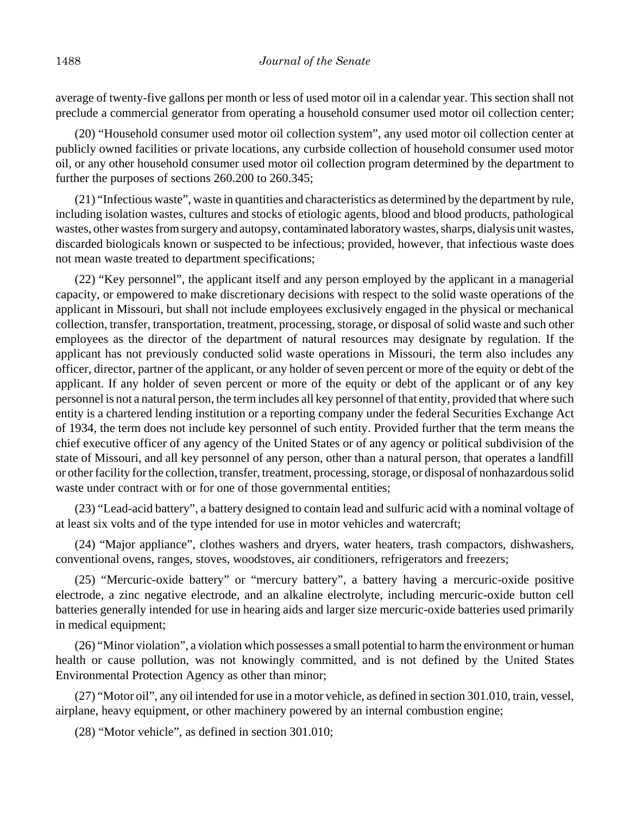average of twenty-five gallons per month or less of used motor oil in a calendar year. This section shall not preclude a commercial generator from operating a household consumer used motor oil collection center;

(20) "Household consumer used motor oil collection system", any used motor oil collection center at publicly owned facilities or private locations, any curbside collection of household consumer used motor oil, or any other household consumer used motor oil collection program determined by the department to further the purposes of sections 260.200 to 260.345;

(21) "Infectious waste", waste in quantities and characteristics as determined by the department by rule, including isolation wastes, cultures and stocks of etiologic agents, blood and blood products, pathological wastes, other wastes from surgery and autopsy, contaminated laboratory wastes, sharps, dialysis unit wastes, discarded biologicals known or suspected to be infectious; provided, however, that infectious waste does not mean waste treated to department specifications;

(22) "Key personnel", the applicant itself and any person employed by the applicant in a managerial capacity, or empowered to make discretionary decisions with respect to the solid waste operations of the applicant in Missouri, but shall not include employees exclusively engaged in the physical or mechanical collection, transfer, transportation, treatment, processing, storage, or disposal of solid waste and such other employees as the director of the department of natural resources may designate by regulation. If the applicant has not previously conducted solid waste operations in Missouri, the term also includes any officer, director, partner of the applicant, or any holder of seven percent or more of the equity or debt of the applicant. If any holder of seven percent or more of the equity or debt of the applicant or of any key personnel is not a natural person, the term includes all key personnel of that entity, provided that where such entity is a chartered lending institution or a reporting company under the federal Securities Exchange Act of 1934, the term does not include key personnel of such entity. Provided further that the term means the chief executive officer of any agency of the United States or of any agency or political subdivision of the state of Missouri, and all key personnel of any person, other than a natural person, that operates a landfill or other facility for the collection, transfer, treatment, processing, storage, or disposal of nonhazardous solid waste under contract with or for one of those governmental entities;

(23) "Lead-acid battery", a battery designed to contain lead and sulfuric acid with a nominal voltage of at least six volts and of the type intended for use in motor vehicles and watercraft;

(24) "Major appliance", clothes washers and dryers, water heaters, trash compactors, dishwashers, conventional ovens, ranges, stoves, woodstoves, air conditioners, refrigerators and freezers;

(25) "Mercuric-oxide battery" or "mercury battery", a battery having a mercuric-oxide positive electrode, a zinc negative electrode, and an alkaline electrolyte, including mercuric-oxide button cell batteries generally intended for use in hearing aids and larger size mercuric-oxide batteries used primarily in medical equipment;

(26) "Minor violation", a violation which possesses a small potential to harm the environment or human health or cause pollution, was not knowingly committed, and is not defined by the United States Environmental Protection Agency as other than minor;

(27) "Motor oil", any oil intended for use in a motor vehicle, as defined in section 301.010, train, vessel, airplane, heavy equipment, or other machinery powered by an internal combustion engine;

(28) "Motor vehicle", as defined in section 301.010;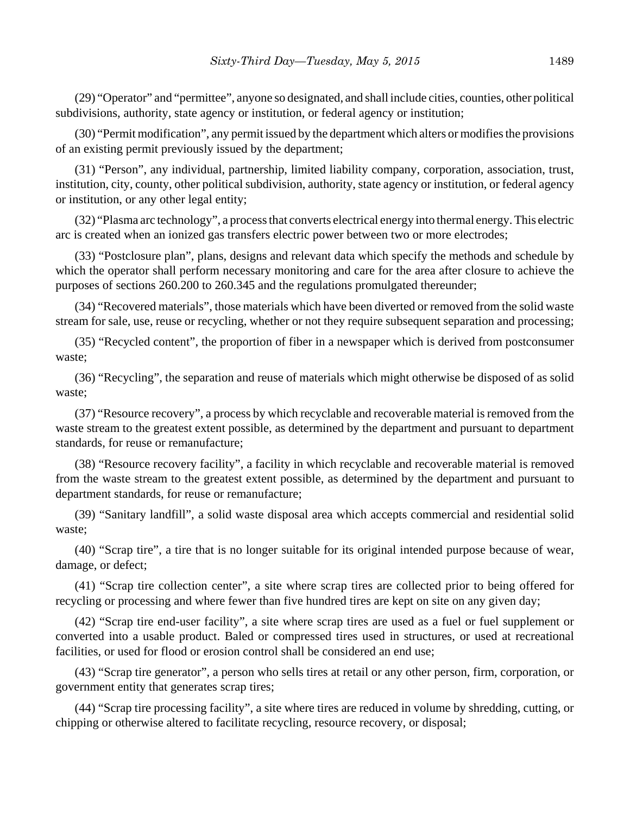(29) "Operator" and "permittee", anyone so designated, and shall include cities, counties, other political subdivisions, authority, state agency or institution, or federal agency or institution;

(30) "Permit modification", any permit issued by the department which alters or modifies the provisions of an existing permit previously issued by the department;

(31) "Person", any individual, partnership, limited liability company, corporation, association, trust, institution, city, county, other political subdivision, authority, state agency or institution, or federal agency or institution, or any other legal entity;

(32) "Plasma arc technology", a process that converts electrical energy into thermal energy. This electric arc is created when an ionized gas transfers electric power between two or more electrodes;

(33) "Postclosure plan", plans, designs and relevant data which specify the methods and schedule by which the operator shall perform necessary monitoring and care for the area after closure to achieve the purposes of sections 260.200 to 260.345 and the regulations promulgated thereunder;

(34) "Recovered materials", those materials which have been diverted or removed from the solid waste stream for sale, use, reuse or recycling, whether or not they require subsequent separation and processing;

(35) "Recycled content", the proportion of fiber in a newspaper which is derived from postconsumer waste;

(36) "Recycling", the separation and reuse of materials which might otherwise be disposed of as solid waste;

(37) "Resource recovery", a process by which recyclable and recoverable material is removed from the waste stream to the greatest extent possible, as determined by the department and pursuant to department standards, for reuse or remanufacture;

(38) "Resource recovery facility", a facility in which recyclable and recoverable material is removed from the waste stream to the greatest extent possible, as determined by the department and pursuant to department standards, for reuse or remanufacture;

(39) "Sanitary landfill", a solid waste disposal area which accepts commercial and residential solid waste;

(40) "Scrap tire", a tire that is no longer suitable for its original intended purpose because of wear, damage, or defect;

(41) "Scrap tire collection center", a site where scrap tires are collected prior to being offered for recycling or processing and where fewer than five hundred tires are kept on site on any given day;

(42) "Scrap tire end-user facility", a site where scrap tires are used as a fuel or fuel supplement or converted into a usable product. Baled or compressed tires used in structures, or used at recreational facilities, or used for flood or erosion control shall be considered an end use;

(43) "Scrap tire generator", a person who sells tires at retail or any other person, firm, corporation, or government entity that generates scrap tires;

(44) "Scrap tire processing facility", a site where tires are reduced in volume by shredding, cutting, or chipping or otherwise altered to facilitate recycling, resource recovery, or disposal;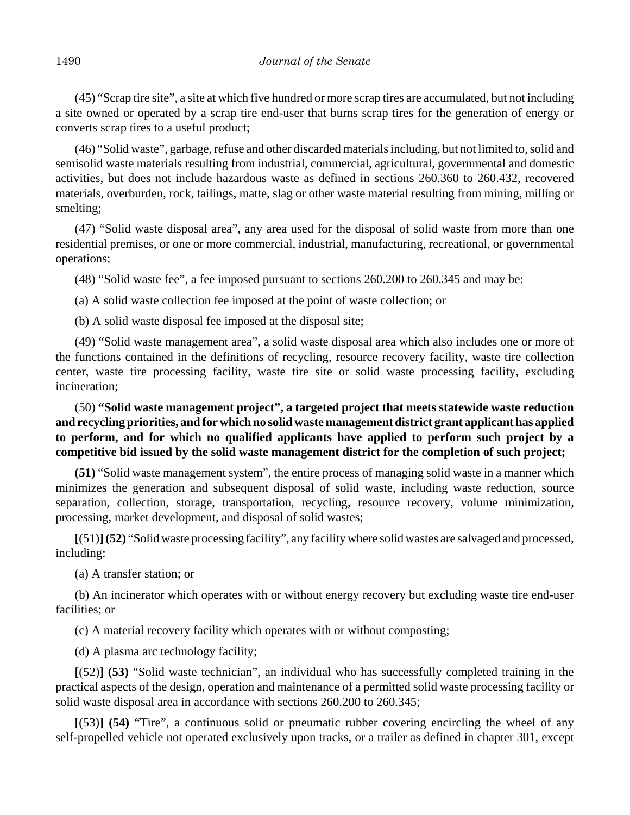(45) "Scrap tire site", a site at which five hundred or more scrap tires are accumulated, but not including a site owned or operated by a scrap tire end-user that burns scrap tires for the generation of energy or converts scrap tires to a useful product;

(46) "Solid waste", garbage, refuse and other discarded materials including, but not limited to, solid and semisolid waste materials resulting from industrial, commercial, agricultural, governmental and domestic activities, but does not include hazardous waste as defined in sections 260.360 to 260.432, recovered materials, overburden, rock, tailings, matte, slag or other waste material resulting from mining, milling or smelting;

(47) "Solid waste disposal area", any area used for the disposal of solid waste from more than one residential premises, or one or more commercial, industrial, manufacturing, recreational, or governmental operations;

(48) "Solid waste fee", a fee imposed pursuant to sections 260.200 to 260.345 and may be:

(a) A solid waste collection fee imposed at the point of waste collection; or

(b) A solid waste disposal fee imposed at the disposal site;

(49) "Solid waste management area", a solid waste disposal area which also includes one or more of the functions contained in the definitions of recycling, resource recovery facility, waste tire collection center, waste tire processing facility, waste tire site or solid waste processing facility, excluding incineration;

# (50) **"Solid waste management project", a targeted project that meets statewide waste reduction and recycling priorities, and for which no solid waste management district grant applicant has applied to perform, and for which no qualified applicants have applied to perform such project by a competitive bid issued by the solid waste management district for the completion of such project;**

**(51)** "Solid waste management system", the entire process of managing solid waste in a manner which minimizes the generation and subsequent disposal of solid waste, including waste reduction, source separation, collection, storage, transportation, recycling, resource recovery, volume minimization, processing, market development, and disposal of solid wastes;

**[**(51)**](52)** "Solid waste processing facility", any facility where solid wastes are salvaged and processed, including:

(a) A transfer station; or

(b) An incinerator which operates with or without energy recovery but excluding waste tire end-user facilities; or

(c) A material recovery facility which operates with or without composting;

(d) A plasma arc technology facility;

**[**(52)**] (53)** "Solid waste technician", an individual who has successfully completed training in the practical aspects of the design, operation and maintenance of a permitted solid waste processing facility or solid waste disposal area in accordance with sections 260.200 to 260.345;

**[**(53)**] (54)** "Tire", a continuous solid or pneumatic rubber covering encircling the wheel of any self-propelled vehicle not operated exclusively upon tracks, or a trailer as defined in chapter 301, except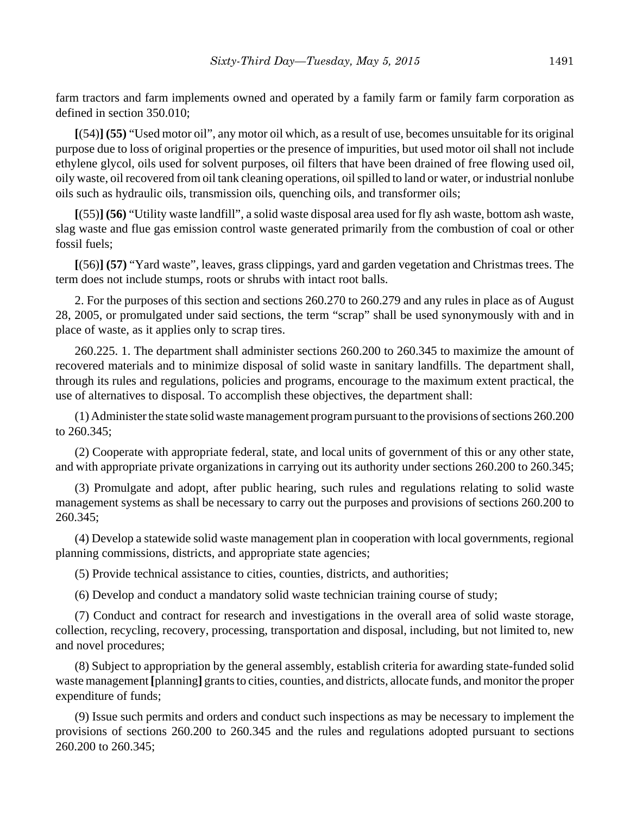farm tractors and farm implements owned and operated by a family farm or family farm corporation as defined in section 350.010;

**[**(54)**] (55)** "Used motor oil", any motor oil which, as a result of use, becomes unsuitable for its original purpose due to loss of original properties or the presence of impurities, but used motor oil shall not include ethylene glycol, oils used for solvent purposes, oil filters that have been drained of free flowing used oil, oily waste, oil recovered from oil tank cleaning operations, oil spilled to land or water, or industrial nonlube oils such as hydraulic oils, transmission oils, quenching oils, and transformer oils;

**[**(55)**] (56)** "Utility waste landfill", a solid waste disposal area used for fly ash waste, bottom ash waste, slag waste and flue gas emission control waste generated primarily from the combustion of coal or other fossil fuels;

**[**(56)**] (57)** "Yard waste", leaves, grass clippings, yard and garden vegetation and Christmas trees. The term does not include stumps, roots or shrubs with intact root balls.

2. For the purposes of this section and sections 260.270 to 260.279 and any rules in place as of August 28, 2005, or promulgated under said sections, the term "scrap" shall be used synonymously with and in place of waste, as it applies only to scrap tires.

260.225. 1. The department shall administer sections 260.200 to 260.345 to maximize the amount of recovered materials and to minimize disposal of solid waste in sanitary landfills. The department shall, through its rules and regulations, policies and programs, encourage to the maximum extent practical, the use of alternatives to disposal. To accomplish these objectives, the department shall:

(1) Administer the state solid waste management program pursuant to the provisions of sections 260.200 to 260.345;

(2) Cooperate with appropriate federal, state, and local units of government of this or any other state, and with appropriate private organizations in carrying out its authority under sections 260.200 to 260.345;

(3) Promulgate and adopt, after public hearing, such rules and regulations relating to solid waste management systems as shall be necessary to carry out the purposes and provisions of sections 260.200 to 260.345;

(4) Develop a statewide solid waste management plan in cooperation with local governments, regional planning commissions, districts, and appropriate state agencies;

(5) Provide technical assistance to cities, counties, districts, and authorities;

(6) Develop and conduct a mandatory solid waste technician training course of study;

(7) Conduct and contract for research and investigations in the overall area of solid waste storage, collection, recycling, recovery, processing, transportation and disposal, including, but not limited to, new and novel procedures;

(8) Subject to appropriation by the general assembly, establish criteria for awarding state-funded solid waste management **[**planning**]** grants to cities, counties, and districts, allocate funds, and monitor the proper expenditure of funds;

(9) Issue such permits and orders and conduct such inspections as may be necessary to implement the provisions of sections 260.200 to 260.345 and the rules and regulations adopted pursuant to sections 260.200 to 260.345;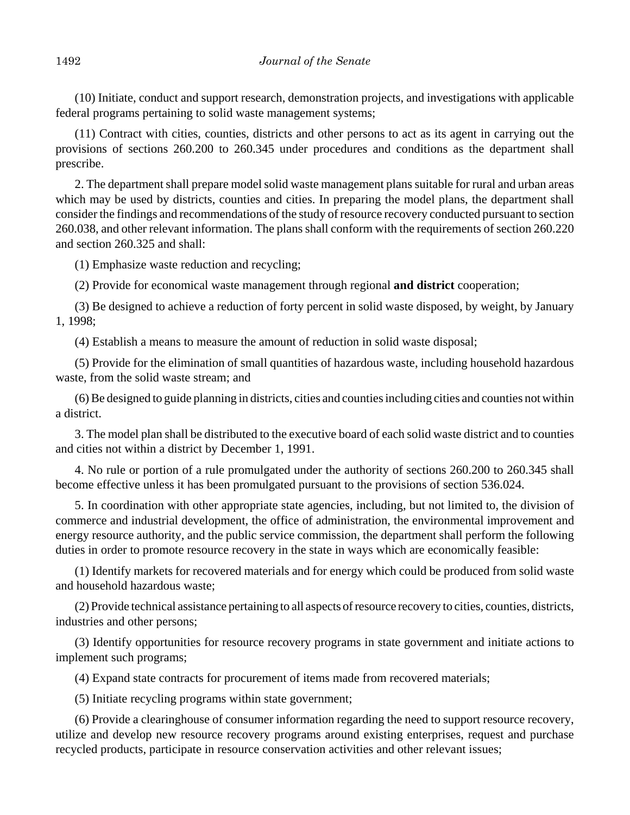(10) Initiate, conduct and support research, demonstration projects, and investigations with applicable federal programs pertaining to solid waste management systems;

(11) Contract with cities, counties, districts and other persons to act as its agent in carrying out the provisions of sections 260.200 to 260.345 under procedures and conditions as the department shall prescribe.

2. The department shall prepare model solid waste management plans suitable for rural and urban areas which may be used by districts, counties and cities. In preparing the model plans, the department shall consider the findings and recommendations of the study of resource recovery conducted pursuant to section 260.038, and other relevant information. The plans shall conform with the requirements of section 260.220 and section 260.325 and shall:

(1) Emphasize waste reduction and recycling;

(2) Provide for economical waste management through regional **and district** cooperation;

(3) Be designed to achieve a reduction of forty percent in solid waste disposed, by weight, by January 1, 1998;

(4) Establish a means to measure the amount of reduction in solid waste disposal;

(5) Provide for the elimination of small quantities of hazardous waste, including household hazardous waste, from the solid waste stream; and

(6) Be designed to guide planning in districts, cities and counties including cities and counties not within a district.

3. The model plan shall be distributed to the executive board of each solid waste district and to counties and cities not within a district by December 1, 1991.

4. No rule or portion of a rule promulgated under the authority of sections 260.200 to 260.345 shall become effective unless it has been promulgated pursuant to the provisions of section 536.024.

5. In coordination with other appropriate state agencies, including, but not limited to, the division of commerce and industrial development, the office of administration, the environmental improvement and energy resource authority, and the public service commission, the department shall perform the following duties in order to promote resource recovery in the state in ways which are economically feasible:

(1) Identify markets for recovered materials and for energy which could be produced from solid waste and household hazardous waste;

(2) Provide technical assistance pertaining to all aspects of resource recovery to cities, counties, districts, industries and other persons;

(3) Identify opportunities for resource recovery programs in state government and initiate actions to implement such programs;

(4) Expand state contracts for procurement of items made from recovered materials;

(5) Initiate recycling programs within state government;

(6) Provide a clearinghouse of consumer information regarding the need to support resource recovery, utilize and develop new resource recovery programs around existing enterprises, request and purchase recycled products, participate in resource conservation activities and other relevant issues;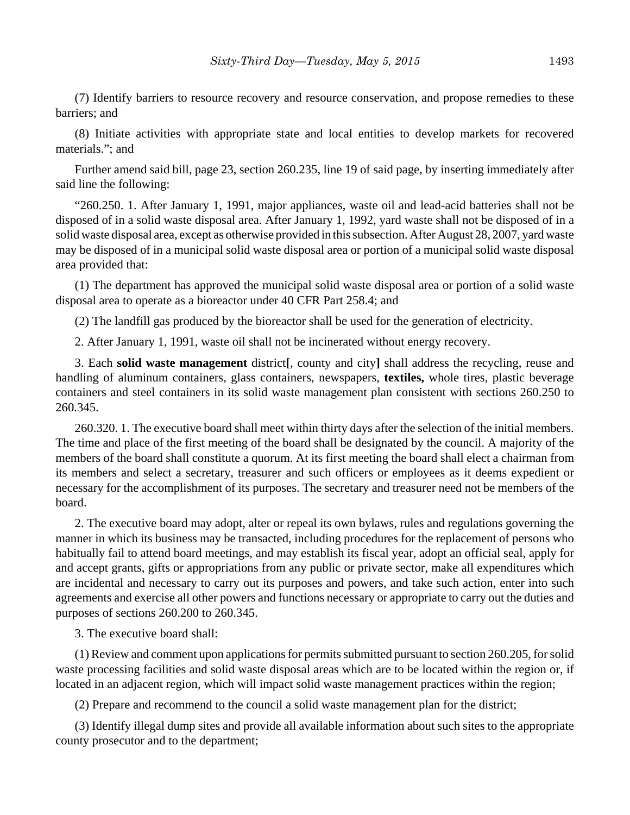(7) Identify barriers to resource recovery and resource conservation, and propose remedies to these barriers; and

(8) Initiate activities with appropriate state and local entities to develop markets for recovered materials."; and

Further amend said bill, page 23, section 260.235, line 19 of said page, by inserting immediately after said line the following:

"260.250. 1. After January 1, 1991, major appliances, waste oil and lead-acid batteries shall not be disposed of in a solid waste disposal area. After January 1, 1992, yard waste shall not be disposed of in a solid waste disposal area, except as otherwise provided in this subsection. After August 28, 2007, yard waste may be disposed of in a municipal solid waste disposal area or portion of a municipal solid waste disposal area provided that:

(1) The department has approved the municipal solid waste disposal area or portion of a solid waste disposal area to operate as a bioreactor under 40 CFR Part 258.4; and

(2) The landfill gas produced by the bioreactor shall be used for the generation of electricity.

2. After January 1, 1991, waste oil shall not be incinerated without energy recovery.

3. Each **solid waste management** district**[**, county and city**]** shall address the recycling, reuse and handling of aluminum containers, glass containers, newspapers, **textiles,** whole tires, plastic beverage containers and steel containers in its solid waste management plan consistent with sections 260.250 to 260.345.

260.320. 1. The executive board shall meet within thirty days after the selection of the initial members. The time and place of the first meeting of the board shall be designated by the council. A majority of the members of the board shall constitute a quorum. At its first meeting the board shall elect a chairman from its members and select a secretary, treasurer and such officers or employees as it deems expedient or necessary for the accomplishment of its purposes. The secretary and treasurer need not be members of the board.

2. The executive board may adopt, alter or repeal its own bylaws, rules and regulations governing the manner in which its business may be transacted, including procedures for the replacement of persons who habitually fail to attend board meetings, and may establish its fiscal year, adopt an official seal, apply for and accept grants, gifts or appropriations from any public or private sector, make all expenditures which are incidental and necessary to carry out its purposes and powers, and take such action, enter into such agreements and exercise all other powers and functions necessary or appropriate to carry out the duties and purposes of sections 260.200 to 260.345.

3. The executive board shall:

(1) Review and comment upon applications for permits submitted pursuant to section 260.205, for solid waste processing facilities and solid waste disposal areas which are to be located within the region or, if located in an adjacent region, which will impact solid waste management practices within the region;

(2) Prepare and recommend to the council a solid waste management plan for the district;

(3) Identify illegal dump sites and provide all available information about such sites to the appropriate county prosecutor and to the department;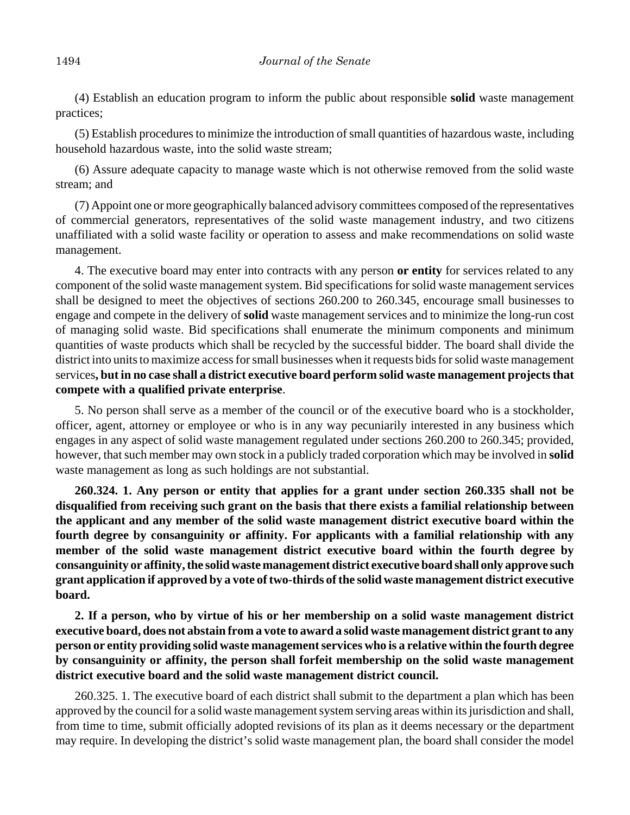(4) Establish an education program to inform the public about responsible **solid** waste management practices;

(5) Establish procedures to minimize the introduction of small quantities of hazardous waste, including household hazardous waste, into the solid waste stream;

(6) Assure adequate capacity to manage waste which is not otherwise removed from the solid waste stream; and

(7) Appoint one or more geographically balanced advisory committees composed of the representatives of commercial generators, representatives of the solid waste management industry, and two citizens unaffiliated with a solid waste facility or operation to assess and make recommendations on solid waste management.

4. The executive board may enter into contracts with any person **or entity** for services related to any component of the solid waste management system. Bid specifications for solid waste management services shall be designed to meet the objectives of sections 260.200 to 260.345, encourage small businesses to engage and compete in the delivery of **solid** waste management services and to minimize the long-run cost of managing solid waste. Bid specifications shall enumerate the minimum components and minimum quantities of waste products which shall be recycled by the successful bidder. The board shall divide the district into units to maximize access for small businesses when it requests bids for solid waste management services**, but in no case shall a district executive board perform solid waste management projects that compete with a qualified private enterprise**.

5. No person shall serve as a member of the council or of the executive board who is a stockholder, officer, agent, attorney or employee or who is in any way pecuniarily interested in any business which engages in any aspect of solid waste management regulated under sections 260.200 to 260.345; provided, however, that such member may own stock in a publicly traded corporation which may be involved in **solid** waste management as long as such holdings are not substantial.

**260.324. 1. Any person or entity that applies for a grant under section 260.335 shall not be disqualified from receiving such grant on the basis that there exists a familial relationship between the applicant and any member of the solid waste management district executive board within the fourth degree by consanguinity or affinity. For applicants with a familial relationship with any member of the solid waste management district executive board within the fourth degree by consanguinity or affinity, the solid waste management district executive board shall only approve such grant application if approved by a vote of two-thirds of the solid waste management district executive board.**

**2. If a person, who by virtue of his or her membership on a solid waste management district executive board, does not abstain from a vote to award a solid waste management district grant to any person or entity providing solid waste management services who is a relative within the fourth degree by consanguinity or affinity, the person shall forfeit membership on the solid waste management district executive board and the solid waste management district council.**

260.325. 1. The executive board of each district shall submit to the department a plan which has been approved by the council for a solid waste management system serving areas within its jurisdiction and shall, from time to time, submit officially adopted revisions of its plan as it deems necessary or the department may require. In developing the district's solid waste management plan, the board shall consider the model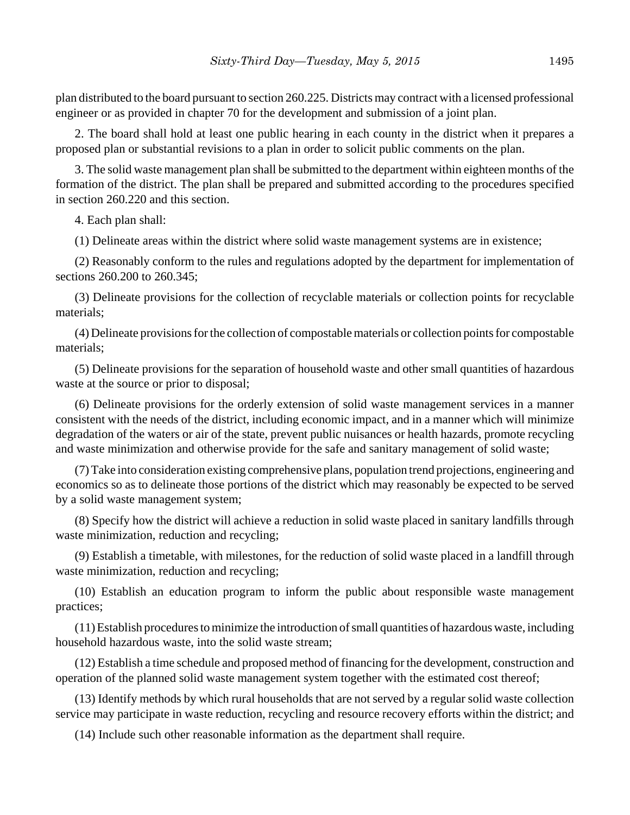plan distributed to the board pursuant to section 260.225. Districts may contract with a licensed professional engineer or as provided in chapter 70 for the development and submission of a joint plan.

2. The board shall hold at least one public hearing in each county in the district when it prepares a proposed plan or substantial revisions to a plan in order to solicit public comments on the plan.

3. The solid waste management plan shall be submitted to the department within eighteen months of the formation of the district. The plan shall be prepared and submitted according to the procedures specified in section 260.220 and this section.

4. Each plan shall:

(1) Delineate areas within the district where solid waste management systems are in existence;

(2) Reasonably conform to the rules and regulations adopted by the department for implementation of sections 260.200 to 260.345;

(3) Delineate provisions for the collection of recyclable materials or collection points for recyclable materials;

(4) Delineate provisions for the collection of compostable materials or collection points for compostable materials;

(5) Delineate provisions for the separation of household waste and other small quantities of hazardous waste at the source or prior to disposal;

(6) Delineate provisions for the orderly extension of solid waste management services in a manner consistent with the needs of the district, including economic impact, and in a manner which will minimize degradation of the waters or air of the state, prevent public nuisances or health hazards, promote recycling and waste minimization and otherwise provide for the safe and sanitary management of solid waste;

(7) Take into consideration existing comprehensive plans, population trend projections, engineering and economics so as to delineate those portions of the district which may reasonably be expected to be served by a solid waste management system;

(8) Specify how the district will achieve a reduction in solid waste placed in sanitary landfills through waste minimization, reduction and recycling;

(9) Establish a timetable, with milestones, for the reduction of solid waste placed in a landfill through waste minimization, reduction and recycling;

(10) Establish an education program to inform the public about responsible waste management practices;

(11) Establish procedures to minimize the introduction of small quantities of hazardous waste, including household hazardous waste, into the solid waste stream;

(12) Establish a time schedule and proposed method of financing for the development, construction and operation of the planned solid waste management system together with the estimated cost thereof;

(13) Identify methods by which rural households that are not served by a regular solid waste collection service may participate in waste reduction, recycling and resource recovery efforts within the district; and

(14) Include such other reasonable information as the department shall require.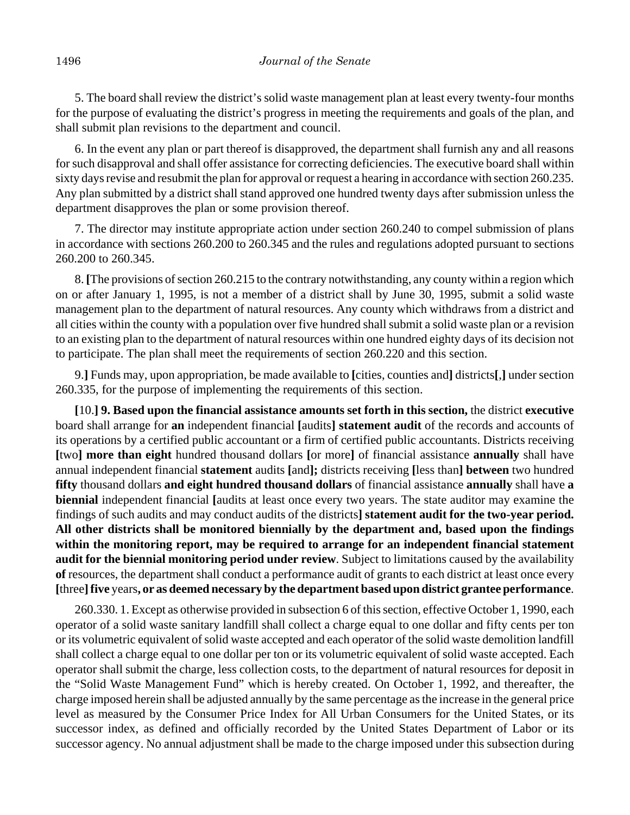5. The board shall review the district's solid waste management plan at least every twenty-four months for the purpose of evaluating the district's progress in meeting the requirements and goals of the plan, and shall submit plan revisions to the department and council.

6. In the event any plan or part thereof is disapproved, the department shall furnish any and all reasons for such disapproval and shall offer assistance for correcting deficiencies. The executive board shall within sixty days revise and resubmit the plan for approval or request a hearing in accordance with section 260.235. Any plan submitted by a district shall stand approved one hundred twenty days after submission unless the department disapproves the plan or some provision thereof.

7. The director may institute appropriate action under section 260.240 to compel submission of plans in accordance with sections 260.200 to 260.345 and the rules and regulations adopted pursuant to sections 260.200 to 260.345.

8. **[**The provisions of section 260.215 to the contrary notwithstanding, any county within a region which on or after January 1, 1995, is not a member of a district shall by June 30, 1995, submit a solid waste management plan to the department of natural resources. Any county which withdraws from a district and all cities within the county with a population over five hundred shall submit a solid waste plan or a revision to an existing plan to the department of natural resources within one hundred eighty days of its decision not to participate. The plan shall meet the requirements of section 260.220 and this section.

9.**]** Funds may, upon appropriation, be made available to **[**cities, counties and**]** districts**[**,**]** under section 260.335, for the purpose of implementing the requirements of this section.

**[**10.**] 9. Based upon the financial assistance amounts set forth in this section,** the district **executive** board shall arrange for **an** independent financial **[**audits**] statement audit** of the records and accounts of its operations by a certified public accountant or a firm of certified public accountants. Districts receiving **[**two**] more than eight** hundred thousand dollars **[**or more**]** of financial assistance **annually** shall have annual independent financial **statement** audits **[**and**];** districts receiving **[**less than**] between** two hundred **fifty** thousand dollars **and eight hundred thousand dollars** of financial assistance **annually** shall have **a biennial** independent financial **[**audits at least once every two years. The state auditor may examine the findings of such audits and may conduct audits of the districts**] statement audit for the two-year period. All other districts shall be monitored biennially by the department and, based upon the findings within the monitoring report, may be required to arrange for an independent financial statement audit for the biennial monitoring period under review**. Subject to limitations caused by the availability **of** resources, the department shall conduct a performance audit of grants to each district at least once every **[**three**]five** years**, or as deemed necessary by the department based upon district grantee performance**.

260.330. 1. Except as otherwise provided in subsection 6 of this section, effective October 1, 1990, each operator of a solid waste sanitary landfill shall collect a charge equal to one dollar and fifty cents per ton or its volumetric equivalent of solid waste accepted and each operator of the solid waste demolition landfill shall collect a charge equal to one dollar per ton or its volumetric equivalent of solid waste accepted. Each operator shall submit the charge, less collection costs, to the department of natural resources for deposit in the "Solid Waste Management Fund" which is hereby created. On October 1, 1992, and thereafter, the charge imposed herein shall be adjusted annually by the same percentage as the increase in the general price level as measured by the Consumer Price Index for All Urban Consumers for the United States, or its successor index, as defined and officially recorded by the United States Department of Labor or its successor agency. No annual adjustment shall be made to the charge imposed under this subsection during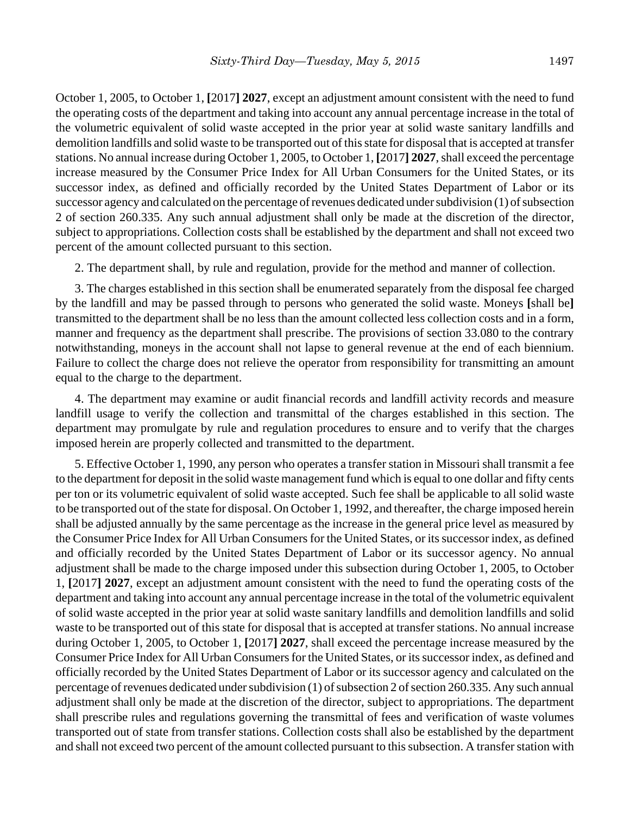October 1, 2005, to October 1, **[**2017**] 2027**, except an adjustment amount consistent with the need to fund the operating costs of the department and taking into account any annual percentage increase in the total of the volumetric equivalent of solid waste accepted in the prior year at solid waste sanitary landfills and demolition landfills and solid waste to be transported out of this state for disposal that is accepted at transfer stations. No annual increase during October 1, 2005, to October 1, **[**2017**] 2027**, shall exceed the percentage increase measured by the Consumer Price Index for All Urban Consumers for the United States, or its successor index, as defined and officially recorded by the United States Department of Labor or its successor agency and calculated on the percentage of revenues dedicated under subdivision (1) of subsection 2 of section 260.335. Any such annual adjustment shall only be made at the discretion of the director, subject to appropriations. Collection costs shall be established by the department and shall not exceed two percent of the amount collected pursuant to this section.

2. The department shall, by rule and regulation, provide for the method and manner of collection.

3. The charges established in this section shall be enumerated separately from the disposal fee charged by the landfill and may be passed through to persons who generated the solid waste. Moneys **[**shall be**]** transmitted to the department shall be no less than the amount collected less collection costs and in a form, manner and frequency as the department shall prescribe. The provisions of section 33.080 to the contrary notwithstanding, moneys in the account shall not lapse to general revenue at the end of each biennium. Failure to collect the charge does not relieve the operator from responsibility for transmitting an amount equal to the charge to the department.

4. The department may examine or audit financial records and landfill activity records and measure landfill usage to verify the collection and transmittal of the charges established in this section. The department may promulgate by rule and regulation procedures to ensure and to verify that the charges imposed herein are properly collected and transmitted to the department.

5. Effective October 1, 1990, any person who operates a transfer station in Missouri shall transmit a fee to the department for deposit in the solid waste management fund which is equal to one dollar and fifty cents per ton or its volumetric equivalent of solid waste accepted. Such fee shall be applicable to all solid waste to be transported out of the state for disposal. On October 1, 1992, and thereafter, the charge imposed herein shall be adjusted annually by the same percentage as the increase in the general price level as measured by the Consumer Price Index for All Urban Consumers for the United States, or its successor index, as defined and officially recorded by the United States Department of Labor or its successor agency. No annual adjustment shall be made to the charge imposed under this subsection during October 1, 2005, to October 1, **[**2017**] 2027**, except an adjustment amount consistent with the need to fund the operating costs of the department and taking into account any annual percentage increase in the total of the volumetric equivalent of solid waste accepted in the prior year at solid waste sanitary landfills and demolition landfills and solid waste to be transported out of this state for disposal that is accepted at transfer stations. No annual increase during October 1, 2005, to October 1, **[**2017**] 2027**, shall exceed the percentage increase measured by the Consumer Price Index for All Urban Consumers for the United States, or its successor index, as defined and officially recorded by the United States Department of Labor or its successor agency and calculated on the percentage of revenues dedicated under subdivision (1) of subsection 2 of section 260.335. Any such annual adjustment shall only be made at the discretion of the director, subject to appropriations. The department shall prescribe rules and regulations governing the transmittal of fees and verification of waste volumes transported out of state from transfer stations. Collection costs shall also be established by the department and shall not exceed two percent of the amount collected pursuant to this subsection. A transfer station with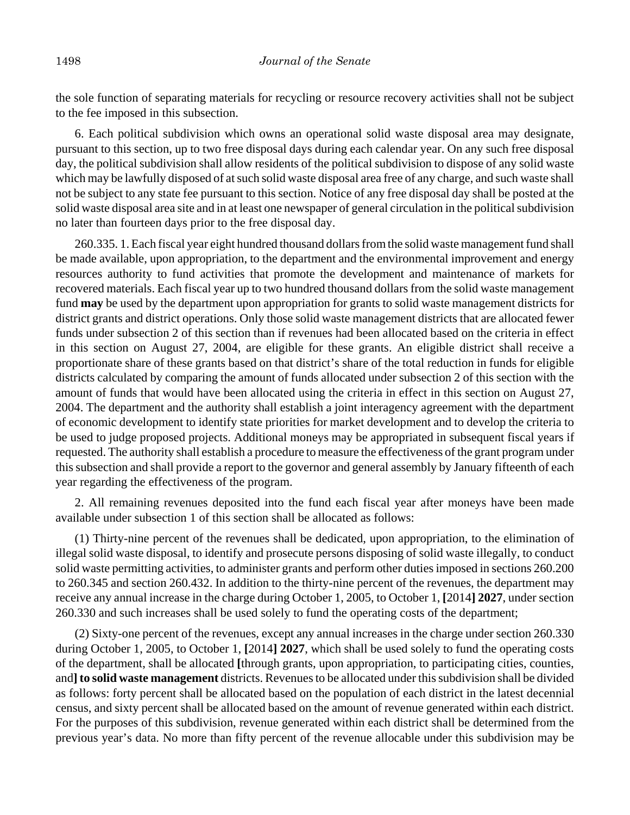the sole function of separating materials for recycling or resource recovery activities shall not be subject to the fee imposed in this subsection.

6. Each political subdivision which owns an operational solid waste disposal area may designate, pursuant to this section, up to two free disposal days during each calendar year. On any such free disposal day, the political subdivision shall allow residents of the political subdivision to dispose of any solid waste which may be lawfully disposed of at such solid waste disposal area free of any charge, and such waste shall not be subject to any state fee pursuant to this section. Notice of any free disposal day shall be posted at the solid waste disposal area site and in at least one newspaper of general circulation in the political subdivision no later than fourteen days prior to the free disposal day.

260.335. 1. Each fiscal year eight hundred thousand dollars from the solid waste management fund shall be made available, upon appropriation, to the department and the environmental improvement and energy resources authority to fund activities that promote the development and maintenance of markets for recovered materials. Each fiscal year up to two hundred thousand dollars from the solid waste management fund **may** be used by the department upon appropriation for grants to solid waste management districts for district grants and district operations. Only those solid waste management districts that are allocated fewer funds under subsection 2 of this section than if revenues had been allocated based on the criteria in effect in this section on August 27, 2004, are eligible for these grants. An eligible district shall receive a proportionate share of these grants based on that district's share of the total reduction in funds for eligible districts calculated by comparing the amount of funds allocated under subsection 2 of this section with the amount of funds that would have been allocated using the criteria in effect in this section on August 27, 2004. The department and the authority shall establish a joint interagency agreement with the department of economic development to identify state priorities for market development and to develop the criteria to be used to judge proposed projects. Additional moneys may be appropriated in subsequent fiscal years if requested. The authority shall establish a procedure to measure the effectiveness of the grant program under this subsection and shall provide a report to the governor and general assembly by January fifteenth of each year regarding the effectiveness of the program.

2. All remaining revenues deposited into the fund each fiscal year after moneys have been made available under subsection 1 of this section shall be allocated as follows:

(1) Thirty-nine percent of the revenues shall be dedicated, upon appropriation, to the elimination of illegal solid waste disposal, to identify and prosecute persons disposing of solid waste illegally, to conduct solid waste permitting activities, to administer grants and perform other duties imposed in sections 260.200 to 260.345 and section 260.432. In addition to the thirty-nine percent of the revenues, the department may receive any annual increase in the charge during October 1, 2005, to October 1, **[**2014**] 2027**, under section 260.330 and such increases shall be used solely to fund the operating costs of the department;

(2) Sixty-one percent of the revenues, except any annual increases in the charge under section 260.330 during October 1, 2005, to October 1, **[**2014**] 2027**, which shall be used solely to fund the operating costs of the department, shall be allocated **[**through grants, upon appropriation, to participating cities, counties, and**] to solid waste management** districts. Revenues to be allocated under this subdivision shall be divided as follows: forty percent shall be allocated based on the population of each district in the latest decennial census, and sixty percent shall be allocated based on the amount of revenue generated within each district. For the purposes of this subdivision, revenue generated within each district shall be determined from the previous year's data. No more than fifty percent of the revenue allocable under this subdivision may be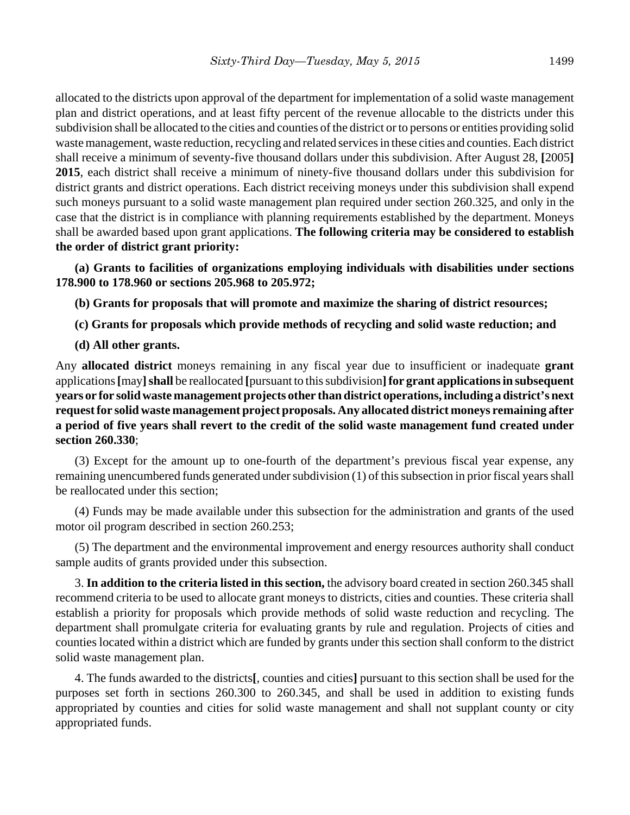allocated to the districts upon approval of the department for implementation of a solid waste management plan and district operations, and at least fifty percent of the revenue allocable to the districts under this subdivision shall be allocated to the cities and counties of the district or to persons or entities providing solid waste management, waste reduction, recycling and related services in these cities and counties. Each district shall receive a minimum of seventy-five thousand dollars under this subdivision. After August 28, **[**2005**] 2015**, each district shall receive a minimum of ninety-five thousand dollars under this subdivision for district grants and district operations. Each district receiving moneys under this subdivision shall expend such moneys pursuant to a solid waste management plan required under section 260.325, and only in the case that the district is in compliance with planning requirements established by the department. Moneys shall be awarded based upon grant applications. **The following criteria may be considered to establish the order of district grant priority:**

**(a) Grants to facilities of organizations employing individuals with disabilities under sections 178.900 to 178.960 or sections 205.968 to 205.972;**

**(b) Grants for proposals that will promote and maximize the sharing of district resources;**

- **(c) Grants for proposals which provide methods of recycling and solid waste reduction; and**
- **(d) All other grants.**

Any **allocated district** moneys remaining in any fiscal year due to insufficient or inadequate **grant** applications **[**may**]shall** be reallocated **[**pursuant to this subdivision**]for grant applications in subsequent years or for solid waste management projects other than district operations, including a district's next request for solid waste management project proposals. Any allocated district moneys remaining after a period of five years shall revert to the credit of the solid waste management fund created under section 260.330**;

(3) Except for the amount up to one-fourth of the department's previous fiscal year expense, any remaining unencumbered funds generated under subdivision (1) of this subsection in prior fiscal years shall be reallocated under this section;

(4) Funds may be made available under this subsection for the administration and grants of the used motor oil program described in section 260.253;

(5) The department and the environmental improvement and energy resources authority shall conduct sample audits of grants provided under this subsection.

3. **In addition to the criteria listed in this section,** the advisory board created in section 260.345 shall recommend criteria to be used to allocate grant moneys to districts, cities and counties. These criteria shall establish a priority for proposals which provide methods of solid waste reduction and recycling. The department shall promulgate criteria for evaluating grants by rule and regulation. Projects of cities and counties located within a district which are funded by grants under this section shall conform to the district solid waste management plan.

4. The funds awarded to the districts**[**, counties and cities**]** pursuant to this section shall be used for the purposes set forth in sections 260.300 to 260.345, and shall be used in addition to existing funds appropriated by counties and cities for solid waste management and shall not supplant county or city appropriated funds.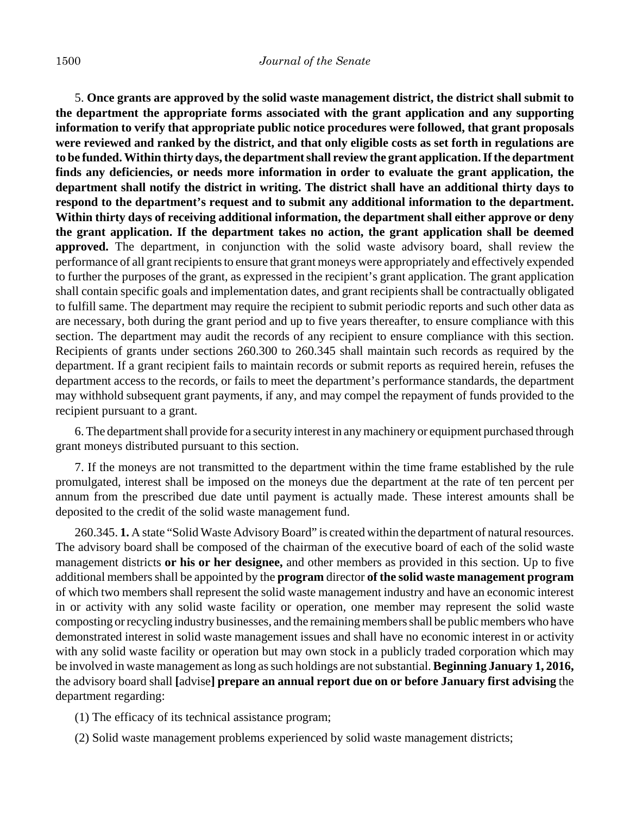#### 1500 *Journal of the Senate*

5. **Once grants are approved by the solid waste management district, the district shall submit to the department the appropriate forms associated with the grant application and any supporting information to verify that appropriate public notice procedures were followed, that grant proposals were reviewed and ranked by the district, and that only eligible costs as set forth in regulations are to be funded. Within thirty days, the department shall review the grant application. If the department finds any deficiencies, or needs more information in order to evaluate the grant application, the department shall notify the district in writing. The district shall have an additional thirty days to respond to the department's request and to submit any additional information to the department. Within thirty days of receiving additional information, the department shall either approve or deny the grant application. If the department takes no action, the grant application shall be deemed approved.** The department, in conjunction with the solid waste advisory board, shall review the performance of all grant recipients to ensure that grant moneys were appropriately and effectively expended to further the purposes of the grant, as expressed in the recipient's grant application. The grant application shall contain specific goals and implementation dates, and grant recipients shall be contractually obligated to fulfill same. The department may require the recipient to submit periodic reports and such other data as are necessary, both during the grant period and up to five years thereafter, to ensure compliance with this section. The department may audit the records of any recipient to ensure compliance with this section. Recipients of grants under sections 260.300 to 260.345 shall maintain such records as required by the department. If a grant recipient fails to maintain records or submit reports as required herein, refuses the department access to the records, or fails to meet the department's performance standards, the department may withhold subsequent grant payments, if any, and may compel the repayment of funds provided to the recipient pursuant to a grant.

6. The department shall provide for a security interest in any machinery or equipment purchased through grant moneys distributed pursuant to this section.

7. If the moneys are not transmitted to the department within the time frame established by the rule promulgated, interest shall be imposed on the moneys due the department at the rate of ten percent per annum from the prescribed due date until payment is actually made. These interest amounts shall be deposited to the credit of the solid waste management fund.

260.345. **1.** A state "Solid Waste Advisory Board" is created within the department of natural resources. The advisory board shall be composed of the chairman of the executive board of each of the solid waste management districts **or his or her designee,** and other members as provided in this section. Up to five additional members shall be appointed by the **program** director **of the solid waste management program** of which two members shall represent the solid waste management industry and have an economic interest in or activity with any solid waste facility or operation, one member may represent the solid waste composting or recycling industry businesses, and the remaining members shall be public members who have demonstrated interest in solid waste management issues and shall have no economic interest in or activity with any solid waste facility or operation but may own stock in a publicly traded corporation which may be involved in waste management as long as such holdings are not substantial. **Beginning January 1, 2016,** the advisory board shall **[**advise**] prepare an annual report due on or before January first advising** the department regarding:

- (1) The efficacy of its technical assistance program;
- (2) Solid waste management problems experienced by solid waste management districts;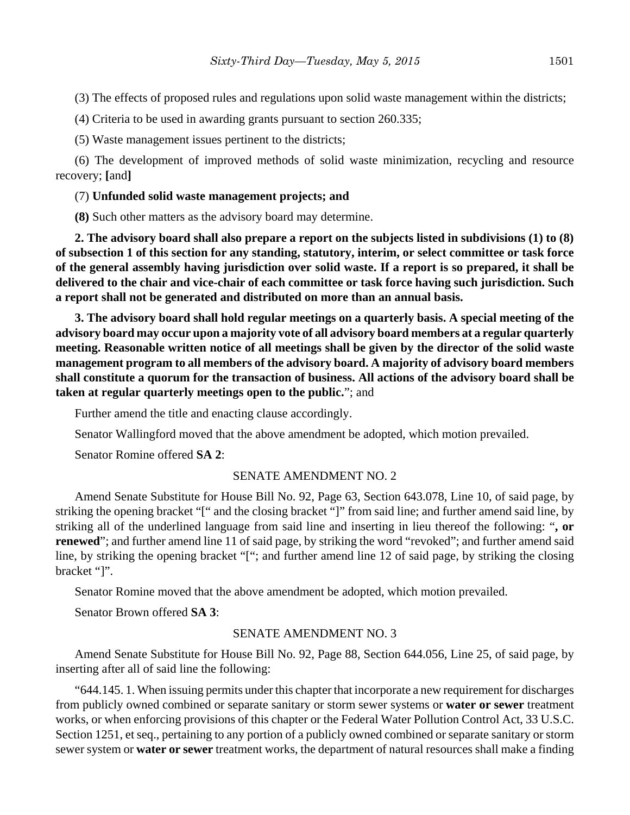(3) The effects of proposed rules and regulations upon solid waste management within the districts;

(4) Criteria to be used in awarding grants pursuant to section 260.335;

(5) Waste management issues pertinent to the districts;

(6) The development of improved methods of solid waste minimization, recycling and resource recovery; **[**and**]**

### (7) **Unfunded solid waste management projects; and**

**(8)** Such other matters as the advisory board may determine.

**2. The advisory board shall also prepare a report on the subjects listed in subdivisions (1) to (8) of subsection 1 of this section for any standing, statutory, interim, or select committee or task force of the general assembly having jurisdiction over solid waste. If a report is so prepared, it shall be delivered to the chair and vice-chair of each committee or task force having such jurisdiction. Such a report shall not be generated and distributed on more than an annual basis.**

**3. The advisory board shall hold regular meetings on a quarterly basis. A special meeting of the advisory board may occur upon a majority vote of all advisory board members at a regular quarterly meeting. Reasonable written notice of all meetings shall be given by the director of the solid waste management program to all members of the advisory board. A majority of advisory board members shall constitute a quorum for the transaction of business. All actions of the advisory board shall be taken at regular quarterly meetings open to the public.**"; and

Further amend the title and enacting clause accordingly.

Senator Wallingford moved that the above amendment be adopted, which motion prevailed.

Senator Romine offered **SA 2**:

### SENATE AMENDMENT NO. 2

Amend Senate Substitute for House Bill No. 92, Page 63, Section 643.078, Line 10, of said page, by striking the opening bracket "[" and the closing bracket "]" from said line; and further amend said line, by striking all of the underlined language from said line and inserting in lieu thereof the following: "**, or renewed**"; and further amend line 11 of said page, by striking the word "revoked"; and further amend said line, by striking the opening bracket "["; and further amend line 12 of said page, by striking the closing bracket "]".

Senator Romine moved that the above amendment be adopted, which motion prevailed.

Senator Brown offered **SA 3**:

### SENATE AMENDMENT NO. 3

Amend Senate Substitute for House Bill No. 92, Page 88, Section 644.056, Line 25, of said page, by inserting after all of said line the following:

"644.145. 1. When issuing permits under this chapter that incorporate a new requirement for discharges from publicly owned combined or separate sanitary or storm sewer systems or **water or sewer** treatment works, or when enforcing provisions of this chapter or the Federal Water Pollution Control Act, 33 U.S.C. Section 1251, et seq., pertaining to any portion of a publicly owned combined or separate sanitary or storm sewer system or **water or sewer** treatment works, the department of natural resources shall make a finding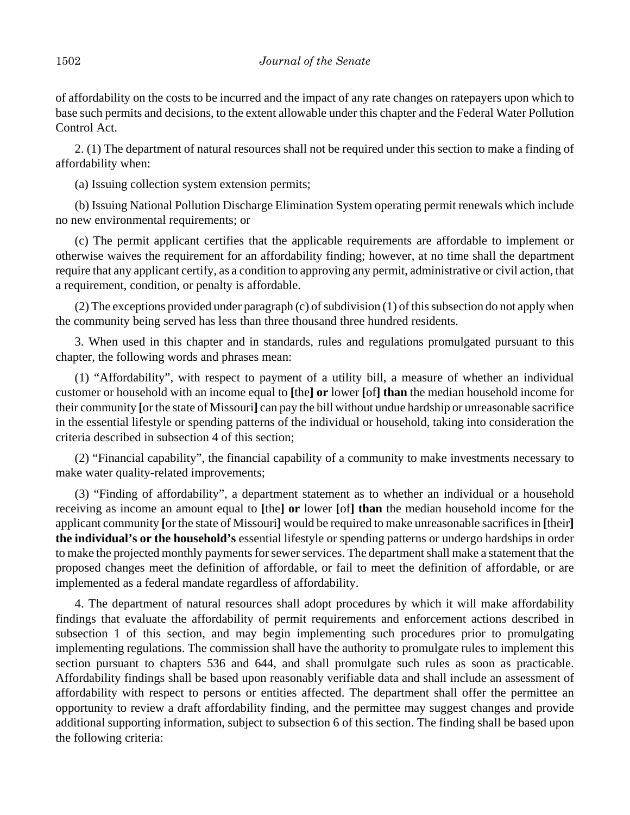of affordability on the costs to be incurred and the impact of any rate changes on ratepayers upon which to base such permits and decisions, to the extent allowable under this chapter and the Federal Water Pollution Control Act.

2. (1) The department of natural resources shall not be required under this section to make a finding of affordability when:

(a) Issuing collection system extension permits;

(b) Issuing National Pollution Discharge Elimination System operating permit renewals which include no new environmental requirements; or

(c) The permit applicant certifies that the applicable requirements are affordable to implement or otherwise waives the requirement for an affordability finding; however, at no time shall the department require that any applicant certify, as a condition to approving any permit, administrative or civil action, that a requirement, condition, or penalty is affordable.

(2) The exceptions provided under paragraph (c) of subdivision (1) of this subsection do not apply when the community being served has less than three thousand three hundred residents.

3. When used in this chapter and in standards, rules and regulations promulgated pursuant to this chapter, the following words and phrases mean:

(1) "Affordability", with respect to payment of a utility bill, a measure of whether an individual customer or household with an income equal to **[**the**] or** lower **[**of**] than** the median household income for their community **[**or the state of Missouri**]** can pay the bill without undue hardship or unreasonable sacrifice in the essential lifestyle or spending patterns of the individual or household, taking into consideration the criteria described in subsection 4 of this section;

(2) "Financial capability", the financial capability of a community to make investments necessary to make water quality-related improvements;

(3) "Finding of affordability", a department statement as to whether an individual or a household receiving as income an amount equal to **[**the**] or** lower **[**of**] than** the median household income for the applicant community **[**or the state of Missouri**]** would be required to make unreasonable sacrifices in **[**their**] the individual's or the household's** essential lifestyle or spending patterns or undergo hardships in order to make the projected monthly payments for sewer services. The department shall make a statement that the proposed changes meet the definition of affordable, or fail to meet the definition of affordable, or are implemented as a federal mandate regardless of affordability.

4. The department of natural resources shall adopt procedures by which it will make affordability findings that evaluate the affordability of permit requirements and enforcement actions described in subsection 1 of this section, and may begin implementing such procedures prior to promulgating implementing regulations. The commission shall have the authority to promulgate rules to implement this section pursuant to chapters 536 and 644, and shall promulgate such rules as soon as practicable. Affordability findings shall be based upon reasonably verifiable data and shall include an assessment of affordability with respect to persons or entities affected. The department shall offer the permittee an opportunity to review a draft affordability finding, and the permittee may suggest changes and provide additional supporting information, subject to subsection 6 of this section. The finding shall be based upon the following criteria: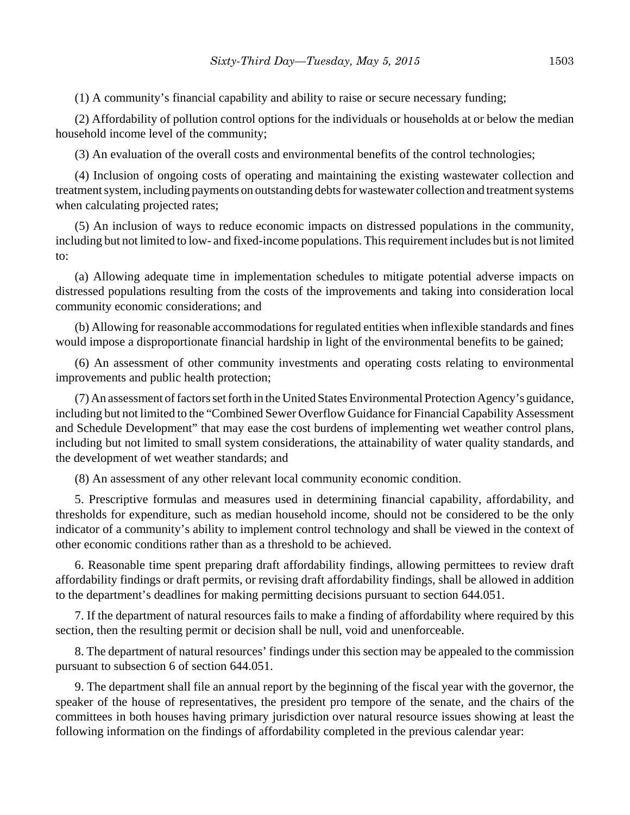(1) A community's financial capability and ability to raise or secure necessary funding;

(2) Affordability of pollution control options for the individuals or households at or below the median household income level of the community;

(3) An evaluation of the overall costs and environmental benefits of the control technologies;

(4) Inclusion of ongoing costs of operating and maintaining the existing wastewater collection and treatment system, including payments on outstanding debts for wastewater collection and treatment systems when calculating projected rates;

(5) An inclusion of ways to reduce economic impacts on distressed populations in the community, including but not limited to low- and fixed-income populations. This requirement includes but is not limited to:

(a) Allowing adequate time in implementation schedules to mitigate potential adverse impacts on distressed populations resulting from the costs of the improvements and taking into consideration local community economic considerations; and

(b) Allowing for reasonable accommodations for regulated entities when inflexible standards and fines would impose a disproportionate financial hardship in light of the environmental benefits to be gained;

(6) An assessment of other community investments and operating costs relating to environmental improvements and public health protection;

(7) An assessment of factors set forth in the United States Environmental Protection Agency's guidance, including but not limited to the "Combined Sewer Overflow Guidance for Financial Capability Assessment and Schedule Development" that may ease the cost burdens of implementing wet weather control plans, including but not limited to small system considerations, the attainability of water quality standards, and the development of wet weather standards; and

(8) An assessment of any other relevant local community economic condition.

5. Prescriptive formulas and measures used in determining financial capability, affordability, and thresholds for expenditure, such as median household income, should not be considered to be the only indicator of a community's ability to implement control technology and shall be viewed in the context of other economic conditions rather than as a threshold to be achieved.

6. Reasonable time spent preparing draft affordability findings, allowing permittees to review draft affordability findings or draft permits, or revising draft affordability findings, shall be allowed in addition to the department's deadlines for making permitting decisions pursuant to section 644.051.

7. If the department of natural resources fails to make a finding of affordability where required by this section, then the resulting permit or decision shall be null, void and unenforceable.

8. The department of natural resources' findings under this section may be appealed to the commission pursuant to subsection 6 of section 644.051.

9. The department shall file an annual report by the beginning of the fiscal year with the governor, the speaker of the house of representatives, the president pro tempore of the senate, and the chairs of the committees in both houses having primary jurisdiction over natural resource issues showing at least the following information on the findings of affordability completed in the previous calendar year: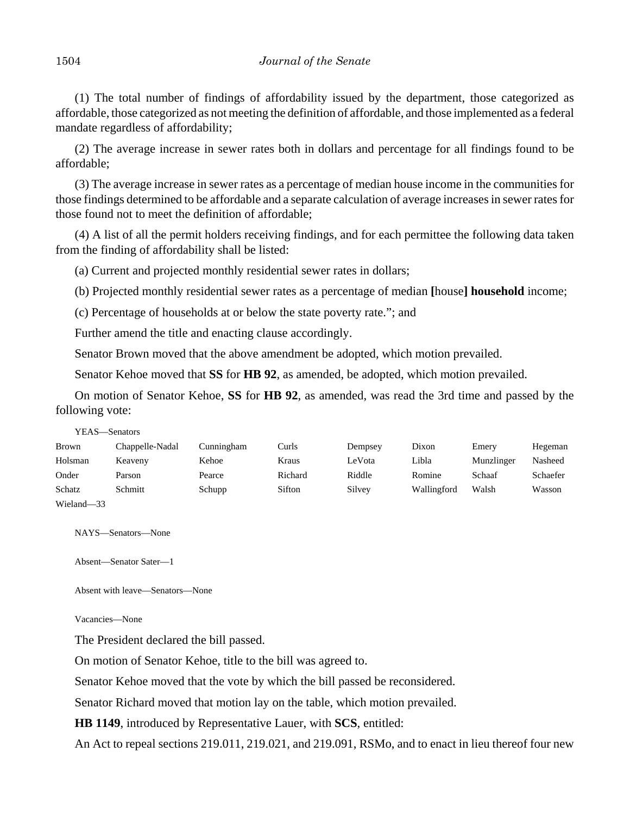(1) The total number of findings of affordability issued by the department, those categorized as affordable, those categorized as not meeting the definition of affordable, and those implemented as a federal mandate regardless of affordability;

(2) The average increase in sewer rates both in dollars and percentage for all findings found to be affordable;

(3) The average increase in sewer rates as a percentage of median house income in the communities for those findings determined to be affordable and a separate calculation of average increases in sewer rates for those found not to meet the definition of affordable;

(4) A list of all the permit holders receiving findings, and for each permittee the following data taken from the finding of affordability shall be listed:

(a) Current and projected monthly residential sewer rates in dollars;

(b) Projected monthly residential sewer rates as a percentage of median **[**house**] household** income;

(c) Percentage of households at or below the state poverty rate."; and

Further amend the title and enacting clause accordingly.

Senator Brown moved that the above amendment be adopted, which motion prevailed.

Senator Kehoe moved that **SS** for **HB 92**, as amended, be adopted, which motion prevailed.

On motion of Senator Kehoe, **SS** for **HB 92**, as amended, was read the 3rd time and passed by the following vote:

YEAS—Senators

| Brown      | Chappelle-Nadal | Cunningham | Curls   | Dempsey | Dixon       | Emery      | Hegeman  |
|------------|-----------------|------------|---------|---------|-------------|------------|----------|
| Holsman    | Keaveny         | Kehoe      | Kraus   | LeVota  | Libla       | Munzlinger | Nasheed  |
| Onder      | Parson          | Pearce     | Richard | Riddle  | Romine      | Schaaf     | Schaefer |
| Schatz     | Schmitt         | Schupp     | Sifton  | Silvey  | Wallingford | Walsh      | Wasson   |
| Wieland-33 |                 |            |         |         |             |            |          |

NAYS—Senators—None

Absent—Senator Sater—1

Absent with leave—Senators—None

Vacancies—None

The President declared the bill passed.

On motion of Senator Kehoe, title to the bill was agreed to.

Senator Kehoe moved that the vote by which the bill passed be reconsidered.

Senator Richard moved that motion lay on the table, which motion prevailed.

**HB 1149**, introduced by Representative Lauer, with **SCS**, entitled:

An Act to repeal sections 219.011, 219.021, and 219.091, RSMo, and to enact in lieu thereof four new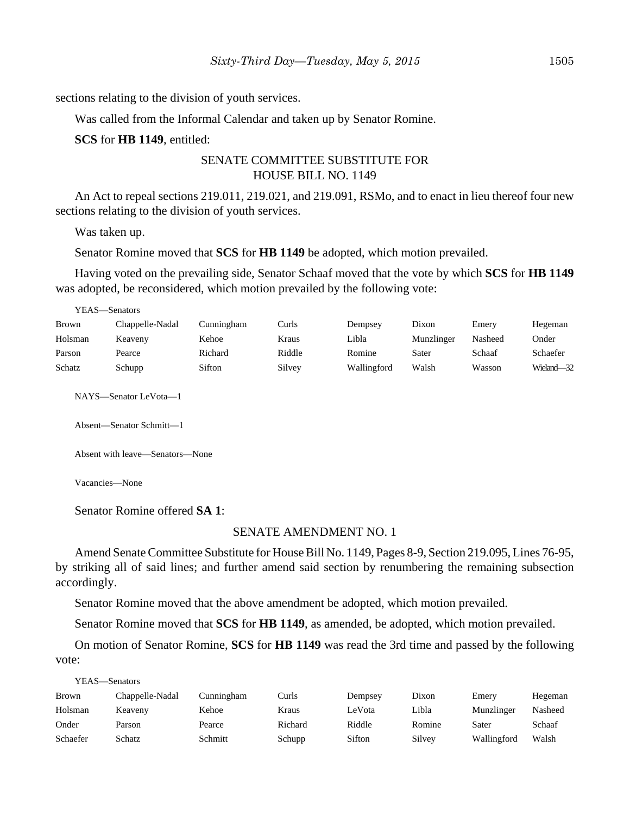sections relating to the division of youth services.

Was called from the Informal Calendar and taken up by Senator Romine.

#### **SCS** for **HB 1149**, entitled:

## SENATE COMMITTEE SUBSTITUTE FOR HOUSE BILL NO. 1149

An Act to repeal sections 219.011, 219.021, and 219.091, RSMo, and to enact in lieu thereof four new sections relating to the division of youth services.

Was taken up.

YEAS—Senators

Senator Romine moved that **SCS** for **HB 1149** be adopted, which motion prevailed.

Having voted on the prevailing side, Senator Schaaf moved that the vote by which **SCS** for **HB 1149** was adopted, be reconsidered, which motion prevailed by the following vote:

| 1 LAS—SCHAUIS   |            |        |             |            |         |            |  |
|-----------------|------------|--------|-------------|------------|---------|------------|--|
| Chappelle-Nadal | Cunningham | Curls  | Dempsey     | Dixon      | Emery   | Hegeman    |  |
| Keaveny         | Kehoe      | Kraus  | Libla       | Munzlinger | Nasheed | Onder      |  |
| Pearce          | Richard    | Riddle | Romine      | Sater      | Schaaf  | Schaefer   |  |
| Schupp          | Sifton     | Silvey | Wallingford | Walsh      | Wasson  | Wieland-32 |  |
|                 |            |        |             |            |         |            |  |

NAYS—Senator LeVota—1

Absent—Senator Schmitt—1

Absent with leave—Senators—None

Vacancies—None

Senator Romine offered **SA 1**:

#### SENATE AMENDMENT NO. 1

Amend Senate Committee Substitute for House Bill No. 1149, Pages 8-9, Section 219.095, Lines 76-95, by striking all of said lines; and further amend said section by renumbering the remaining subsection accordingly.

Senator Romine moved that the above amendment be adopted, which motion prevailed.

Senator Romine moved that **SCS** for **HB 1149**, as amended, be adopted, which motion prevailed.

On motion of Senator Romine, **SCS** for **HB 1149** was read the 3rd time and passed by the following vote:

| YEAS—Senators |                 |            |         |         |        |             |         |  |
|---------------|-----------------|------------|---------|---------|--------|-------------|---------|--|
| <b>Brown</b>  | Chappelle-Nadal | Cunningham | Curls   | Dempsey | Dixon  | Emery       | Hegeman |  |
| Holsman       | Keaveny         | Kehoe      | Kraus   | LeVota  | Libla  | Munzlinger  | Nasheed |  |
| Onder         | Parson          | Pearce     | Richard | Riddle  | Romine | Sater       | Schaaf  |  |
| Schaefer      | Schatz          | Schmitt    | Schupp  | Sifton  | Silvey | Wallingford | Walsh   |  |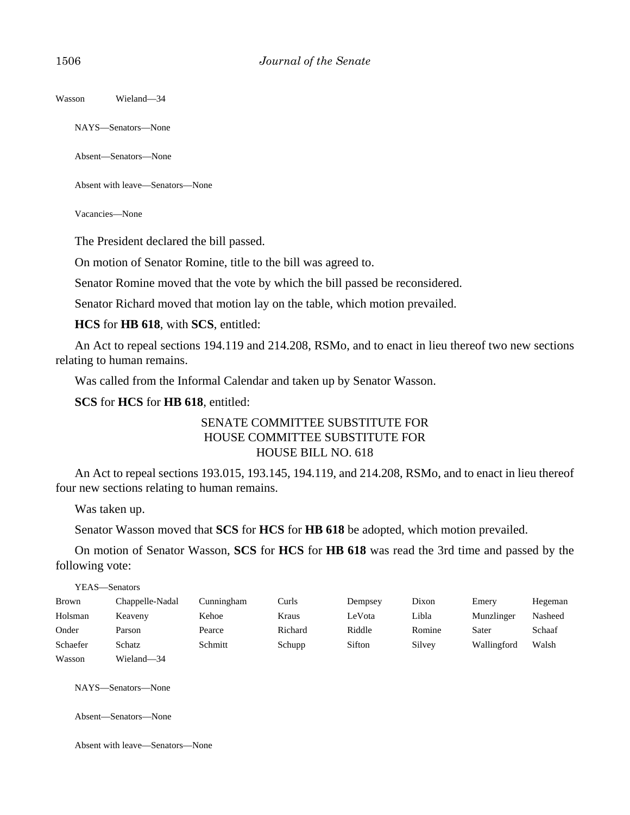Wasson Wieland—34

NAYS—Senators—None

Absent—Senators—None

Absent with leave—Senators—None

Vacancies—None

The President declared the bill passed.

On motion of Senator Romine, title to the bill was agreed to.

Senator Romine moved that the vote by which the bill passed be reconsidered.

Senator Richard moved that motion lay on the table, which motion prevailed.

**HCS** for **HB 618**, with **SCS**, entitled:

An Act to repeal sections 194.119 and 214.208, RSMo, and to enact in lieu thereof two new sections relating to human remains.

Was called from the Informal Calendar and taken up by Senator Wasson.

**SCS** for **HCS** for **HB 618**, entitled:

## SENATE COMMITTEE SUBSTITUTE FOR HOUSE COMMITTEE SUBSTITUTE FOR HOUSE BILL NO. 618

An Act to repeal sections 193.015, 193.145, 194.119, and 214.208, RSMo, and to enact in lieu thereof four new sections relating to human remains.

Was taken up.

Senator Wasson moved that **SCS** for **HCS** for **HB 618** be adopted, which motion prevailed.

On motion of Senator Wasson, **SCS** for **HCS** for **HB 618** was read the 3rd time and passed by the following vote:

| YEAS—Senators |                 |            |         |         |        |             |         |
|---------------|-----------------|------------|---------|---------|--------|-------------|---------|
| <b>Brown</b>  | Chappelle-Nadal | Cunningham | Curls   | Dempsey | Dixon  | Emery       | Hegeman |
| Holsman       | Keaveny         | Kehoe      | Kraus   | LeVota  | Libla  | Munzlinger  | Nasheed |
| Onder         | Parson          | Pearce     | Richard | Riddle  | Romine | Sater       | Schaaf  |
| Schaefer      | Schatz          | Schmitt    | Schupp  | Sifton  | Silvey | Wallingford | Walsh   |
| Wasson        | Wieland-34      |            |         |         |        |             |         |

NAYS—Senators—None

Absent—Senators—None

Absent with leave—Senators—None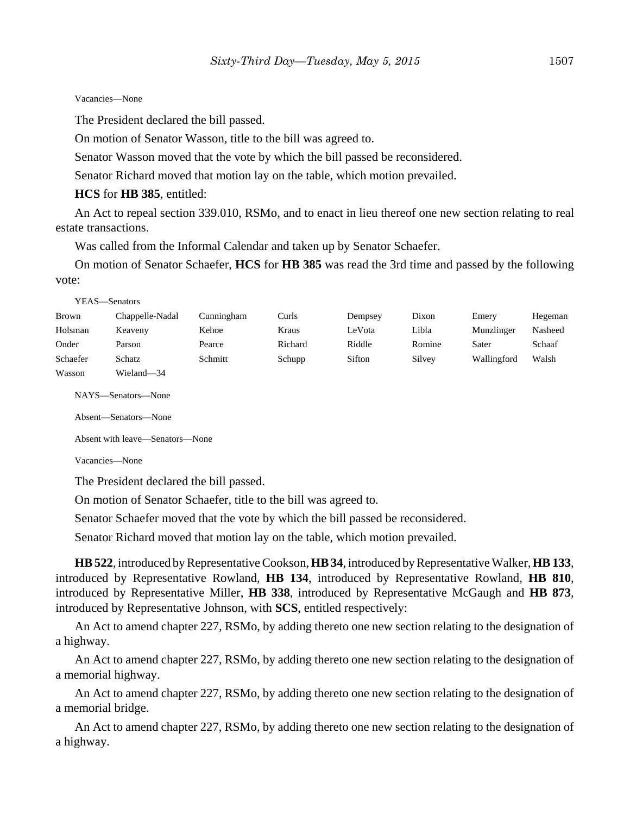#### Vacancies—None

The President declared the bill passed.

On motion of Senator Wasson, title to the bill was agreed to.

Senator Wasson moved that the vote by which the bill passed be reconsidered.

Senator Richard moved that motion lay on the table, which motion prevailed.

#### **HCS** for **HB 385**, entitled:

An Act to repeal section 339.010, RSMo, and to enact in lieu thereof one new section relating to real estate transactions.

Was called from the Informal Calendar and taken up by Senator Schaefer.

On motion of Senator Schaefer, **HCS** for **HB 385** was read the 3rd time and passed by the following vote:

|          | YEAS—Senators   |            |         |         |        |             |         |
|----------|-----------------|------------|---------|---------|--------|-------------|---------|
| Brown    | Chappelle-Nadal | Cunningham | Curls   | Dempsey | Dixon  | Emery       | Hegeman |
| Holsman  | Keaveny         | Kehoe      | Kraus   | LeVota  | Libla  | Munzlinger  | Nasheed |
| Onder    | Parson          | Pearce     | Richard | Riddle  | Romine | Sater       | Schaaf  |
| Schaefer | Schatz          | Schmitt    | Schupp  | Sifton  | Silvey | Wallingford | Walsh   |
| Wasson   | Wieland—34      |            |         |         |        |             |         |

NAYS—Senators—None

```
Absent—Senators—None
```
Absent with leave—Senators—None

Vacancies—None

The President declared the bill passed.

On motion of Senator Schaefer, title to the bill was agreed to.

Senator Schaefer moved that the vote by which the bill passed be reconsidered.

Senator Richard moved that motion lay on the table, which motion prevailed.

**HB 522**, introduced by Representative Cookson, **HB 34**, introduced by Representative Walker, **HB 133**, introduced by Representative Rowland, **HB 134**, introduced by Representative Rowland, **HB 810**, introduced by Representative Miller, **HB 338**, introduced by Representative McGaugh and **HB 873**, introduced by Representative Johnson, with **SCS**, entitled respectively:

An Act to amend chapter 227, RSMo, by adding thereto one new section relating to the designation of a highway.

An Act to amend chapter 227, RSMo, by adding thereto one new section relating to the designation of a memorial highway.

An Act to amend chapter 227, RSMo, by adding thereto one new section relating to the designation of a memorial bridge.

An Act to amend chapter 227, RSMo, by adding thereto one new section relating to the designation of a highway.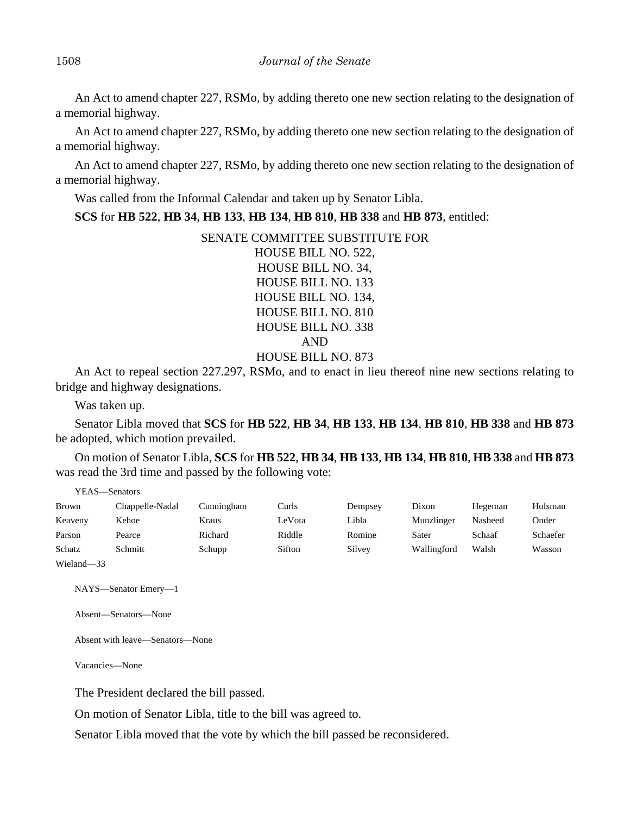An Act to amend chapter 227, RSMo, by adding thereto one new section relating to the designation of a memorial highway.

An Act to amend chapter 227, RSMo, by adding thereto one new section relating to the designation of a memorial highway.

An Act to amend chapter 227, RSMo, by adding thereto one new section relating to the designation of a memorial highway.

Was called from the Informal Calendar and taken up by Senator Libla.

**SCS** for **HB 522**, **HB 34**, **HB 133**, **HB 134**, **HB 810**, **HB 338** and **HB 873**, entitled:

SENATE COMMITTEE SUBSTITUTE FOR HOUSE BILL NO. 522, HOUSE BILL NO. 34, HOUSE BILL NO. 133 HOUSE BILL NO. 134, HOUSE BILL NO. 810 HOUSE BILL NO. 338 AND HOUSE BILL NO. 873

An Act to repeal section 227.297, RSMo, and to enact in lieu thereof nine new sections relating to bridge and highway designations.

Was taken up.

YEAS—Senators

Senator Libla moved that **SCS** for **HB 522**, **HB 34**, **HB 133**, **HB 134**, **HB 810**, **HB 338** and **HB 873** be adopted, which motion prevailed.

On motion of Senator Libla, **SCS** for **HB 522**, **HB 34**, **HB 133**, **HB 134**, **HB 810**, **HB 338** and **HB 873** was read the 3rd time and passed by the following vote:

|                           | .               |            |        |         |             |         |          |
|---------------------------|-----------------|------------|--------|---------|-------------|---------|----------|
| Brown                     | Chappelle-Nadal | Cunningham | Curls  | Dempsey | Dixon       | Hegeman | Holsman  |
| Keaveny                   | Kehoe           | Kraus      | LeVota | Libla   | Munzlinger  | Nasheed | Onder    |
| Parson                    | Pearce          | Richard    | Riddle | Romine  | Sater       | Schaaf  | Schaefer |
| Schatz                    | Schmitt         | Schupp     | Sifton | Silvey  | Wallingford | Walsh   | Wasson   |
| <b>TTT: 1</b><br>$\Omega$ |                 |            |        |         |             |         |          |

Wieland—33

NAYS—Senator Emery—1

Absent—Senators—None

Absent with leave—Senators—None

Vacancies—None

The President declared the bill passed.

On motion of Senator Libla, title to the bill was agreed to.

Senator Libla moved that the vote by which the bill passed be reconsidered.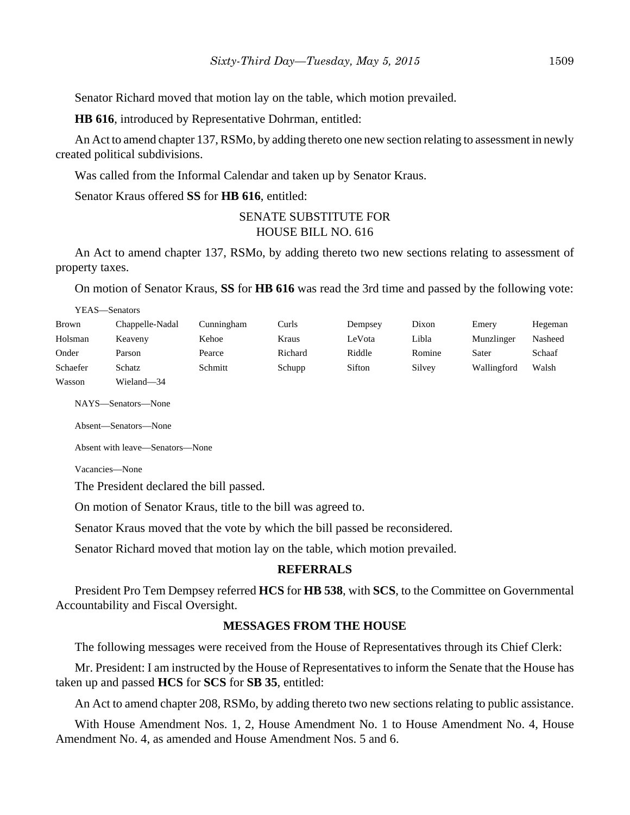Senator Richard moved that motion lay on the table, which motion prevailed.

**HB 616**, introduced by Representative Dohrman, entitled:

An Act to amend chapter 137, RSMo, by adding thereto one new section relating to assessment in newly created political subdivisions.

Was called from the Informal Calendar and taken up by Senator Kraus.

Senator Kraus offered **SS** for **HB 616**, entitled:

## SENATE SUBSTITUTE FOR HOUSE BILL NO. 616

An Act to amend chapter 137, RSMo, by adding thereto two new sections relating to assessment of property taxes.

On motion of Senator Kraus, **SS** for **HB 616** was read the 3rd time and passed by the following vote:

YEAS—Senators

| Brown    | Chappelle-Nadal | Cunningham | Curls   | Dempsey | Dixon  | Emery       | Hegeman |
|----------|-----------------|------------|---------|---------|--------|-------------|---------|
| Holsman  | Keaveny         | Kehoe      | Kraus   | LeVota  | Libla  | Munzlinger  | Nasheed |
| Onder    | Parson          | Pearce     | Richard | Riddle  | Romine | Sater       | Schaaf  |
| Schaefer | Schatz          | Schmitt    | Schupp  | Sifton  | Silvey | Wallingford | Walsh   |
| Wasson   | Wieland-34      |            |         |         |        |             |         |

NAYS—Senators—None

Absent—Senators—None

Absent with leave—Senators—None

Vacancies—None

The President declared the bill passed.

On motion of Senator Kraus, title to the bill was agreed to.

Senator Kraus moved that the vote by which the bill passed be reconsidered.

Senator Richard moved that motion lay on the table, which motion prevailed.

#### **REFERRALS**

President Pro Tem Dempsey referred **HCS** for **HB 538**, with **SCS**, to the Committee on Governmental Accountability and Fiscal Oversight.

#### **MESSAGES FROM THE HOUSE**

The following messages were received from the House of Representatives through its Chief Clerk:

Mr. President: I am instructed by the House of Representatives to inform the Senate that the House has taken up and passed **HCS** for **SCS** for **SB 35**, entitled:

An Act to amend chapter 208, RSMo, by adding thereto two new sections relating to public assistance.

With House Amendment Nos. 1, 2, House Amendment No. 1 to House Amendment No. 4, House Amendment No. 4, as amended and House Amendment Nos. 5 and 6.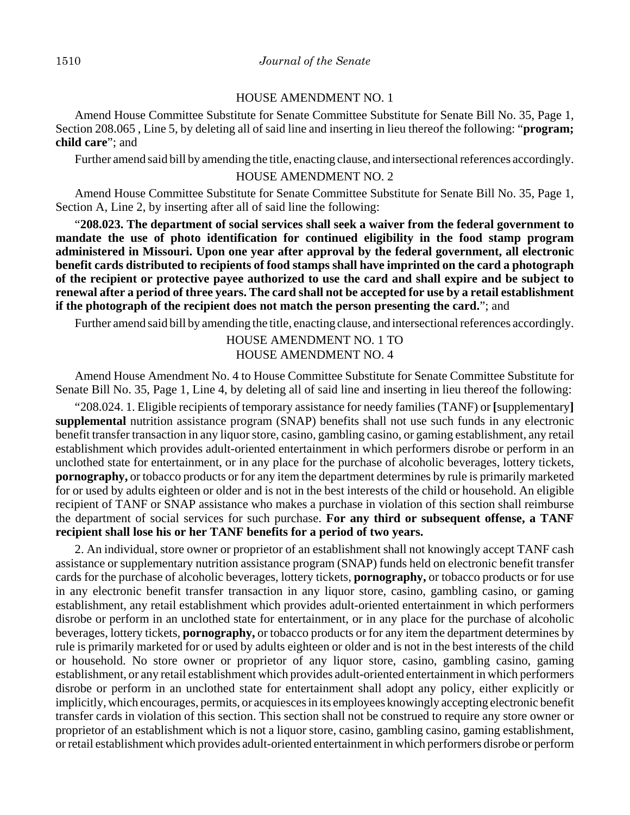#### HOUSE AMENDMENT NO. 1

Amend House Committee Substitute for Senate Committee Substitute for Senate Bill No. 35, Page 1, Section 208.065 , Line 5, by deleting all of said line and inserting in lieu thereof the following: "**program; child care**"; and

Further amend said bill by amending the title, enacting clause, and intersectional references accordingly.

### HOUSE AMENDMENT NO. 2

Amend House Committee Substitute for Senate Committee Substitute for Senate Bill No. 35, Page 1, Section A, Line 2, by inserting after all of said line the following:

"**208.023. The department of social services shall seek a waiver from the federal government to mandate the use of photo identification for continued eligibility in the food stamp program administered in Missouri. Upon one year after approval by the federal government, all electronic benefit cards distributed to recipients of food stamps shall have imprinted on the card a photograph of the recipient or protective payee authorized to use the card and shall expire and be subject to renewal after a period of three years. The card shall not be accepted for use by a retail establishment if the photograph of the recipient does not match the person presenting the card.**"; and

Further amend said bill by amending the title, enacting clause, and intersectional references accordingly.

HOUSE AMENDMENT NO. 1 TO HOUSE AMENDMENT NO. 4

Amend House Amendment No. 4 to House Committee Substitute for Senate Committee Substitute for Senate Bill No. 35, Page 1, Line 4, by deleting all of said line and inserting in lieu thereof the following:

"208.024. 1. Eligible recipients of temporary assistance for needy families (TANF) or **[**supplementary**] supplemental** nutrition assistance program (SNAP) benefits shall not use such funds in any electronic benefit transfer transaction in any liquor store, casino, gambling casino, or gaming establishment, any retail establishment which provides adult-oriented entertainment in which performers disrobe or perform in an unclothed state for entertainment, or in any place for the purchase of alcoholic beverages, lottery tickets, **pornography,** or tobacco products or for any item the department determines by rule is primarily marketed for or used by adults eighteen or older and is not in the best interests of the child or household. An eligible recipient of TANF or SNAP assistance who makes a purchase in violation of this section shall reimburse the department of social services for such purchase. **For any third or subsequent offense, a TANF recipient shall lose his or her TANF benefits for a period of two years.**

2. An individual, store owner or proprietor of an establishment shall not knowingly accept TANF cash assistance or supplementary nutrition assistance program (SNAP) funds held on electronic benefit transfer cards for the purchase of alcoholic beverages, lottery tickets, **pornography,** or tobacco products or for use in any electronic benefit transfer transaction in any liquor store, casino, gambling casino, or gaming establishment, any retail establishment which provides adult-oriented entertainment in which performers disrobe or perform in an unclothed state for entertainment, or in any place for the purchase of alcoholic beverages, lottery tickets, **pornography,** or tobacco products or for any item the department determines by rule is primarily marketed for or used by adults eighteen or older and is not in the best interests of the child or household. No store owner or proprietor of any liquor store, casino, gambling casino, gaming establishment, or any retail establishment which provides adult-oriented entertainment in which performers disrobe or perform in an unclothed state for entertainment shall adopt any policy, either explicitly or implicitly, which encourages, permits, or acquiesces in its employees knowingly accepting electronic benefit transfer cards in violation of this section. This section shall not be construed to require any store owner or proprietor of an establishment which is not a liquor store, casino, gambling casino, gaming establishment, or retail establishment which provides adult-oriented entertainment in which performers disrobe or perform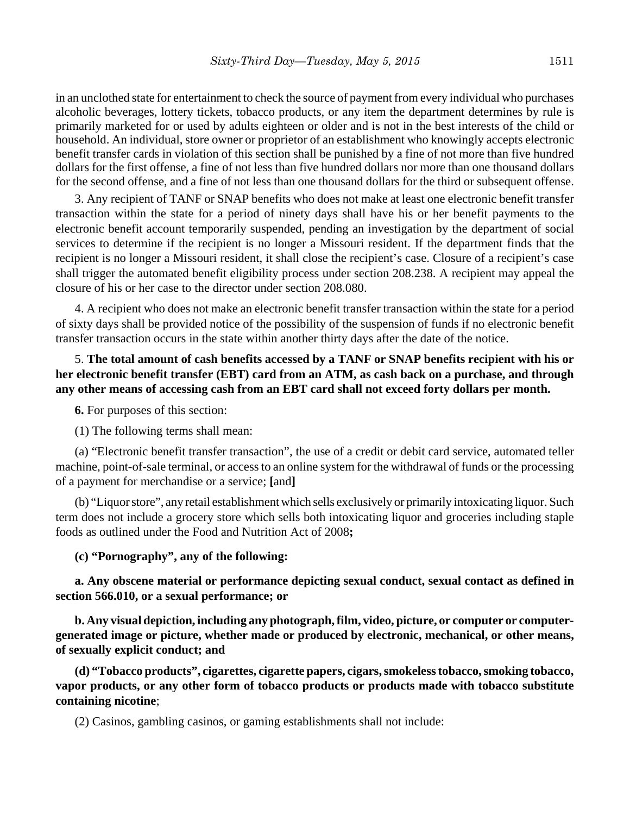in an unclothed state for entertainment to check the source of payment from every individual who purchases alcoholic beverages, lottery tickets, tobacco products, or any item the department determines by rule is primarily marketed for or used by adults eighteen or older and is not in the best interests of the child or household. An individual, store owner or proprietor of an establishment who knowingly accepts electronic benefit transfer cards in violation of this section shall be punished by a fine of not more than five hundred dollars for the first offense, a fine of not less than five hundred dollars nor more than one thousand dollars for the second offense, and a fine of not less than one thousand dollars for the third or subsequent offense.

3. Any recipient of TANF or SNAP benefits who does not make at least one electronic benefit transfer transaction within the state for a period of ninety days shall have his or her benefit payments to the electronic benefit account temporarily suspended, pending an investigation by the department of social services to determine if the recipient is no longer a Missouri resident. If the department finds that the recipient is no longer a Missouri resident, it shall close the recipient's case. Closure of a recipient's case shall trigger the automated benefit eligibility process under section 208.238. A recipient may appeal the closure of his or her case to the director under section 208.080.

4. A recipient who does not make an electronic benefit transfer transaction within the state for a period of sixty days shall be provided notice of the possibility of the suspension of funds if no electronic benefit transfer transaction occurs in the state within another thirty days after the date of the notice.

## 5. **The total amount of cash benefits accessed by a TANF or SNAP benefits recipient with his or her electronic benefit transfer (EBT) card from an ATM, as cash back on a purchase, and through any other means of accessing cash from an EBT card shall not exceed forty dollars per month.**

**6.** For purposes of this section:

(1) The following terms shall mean:

(a) "Electronic benefit transfer transaction", the use of a credit or debit card service, automated teller machine, point-of-sale terminal, or access to an online system for the withdrawal of funds or the processing of a payment for merchandise or a service; **[**and**]**

(b) "Liquor store", any retail establishment which sells exclusively or primarily intoxicating liquor. Such term does not include a grocery store which sells both intoxicating liquor and groceries including staple foods as outlined under the Food and Nutrition Act of 2008**;**

### **(c) "Pornography", any of the following:**

**a. Any obscene material or performance depicting sexual conduct, sexual contact as defined in section 566.010, or a sexual performance; or**

**b. Any visual depiction, including any photograph, film, video, picture, or computer or computergenerated image or picture, whether made or produced by electronic, mechanical, or other means, of sexually explicit conduct; and**

**(d) "Tobacco products", cigarettes, cigarette papers, cigars, smokeless tobacco, smoking tobacco, vapor products, or any other form of tobacco products or products made with tobacco substitute containing nicotine**;

(2) Casinos, gambling casinos, or gaming establishments shall not include: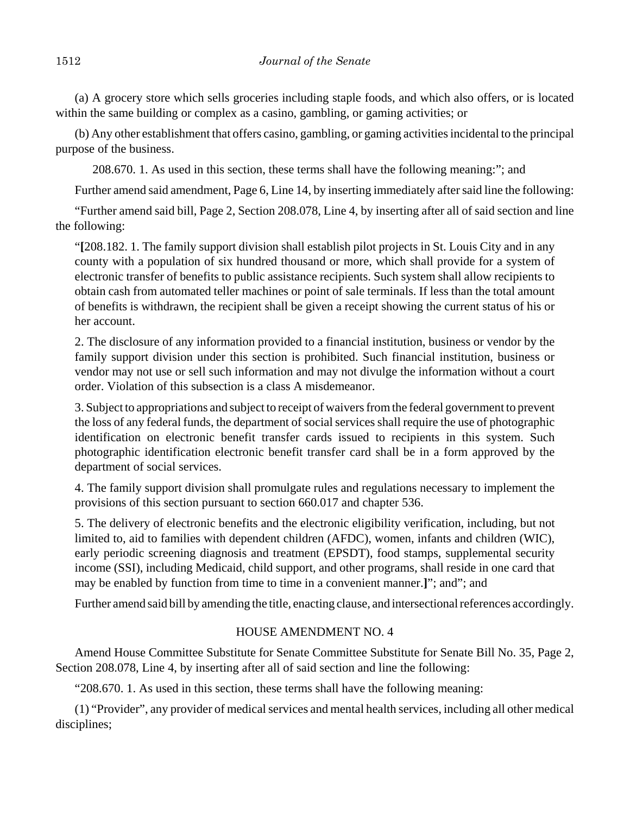(a) A grocery store which sells groceries including staple foods, and which also offers, or is located within the same building or complex as a casino, gambling, or gaming activities; or

(b) Any other establishment that offers casino, gambling, or gaming activities incidental to the principal purpose of the business.

208.670. 1. As used in this section, these terms shall have the following meaning:"; and

Further amend said amendment, Page 6, Line 14, by inserting immediately after said line the following:

"Further amend said bill, Page 2, Section 208.078, Line 4, by inserting after all of said section and line the following:

"**[**208.182. 1. The family support division shall establish pilot projects in St. Louis City and in any county with a population of six hundred thousand or more, which shall provide for a system of electronic transfer of benefits to public assistance recipients. Such system shall allow recipients to obtain cash from automated teller machines or point of sale terminals. If less than the total amount of benefits is withdrawn, the recipient shall be given a receipt showing the current status of his or her account.

2. The disclosure of any information provided to a financial institution, business or vendor by the family support division under this section is prohibited. Such financial institution, business or vendor may not use or sell such information and may not divulge the information without a court order. Violation of this subsection is a class A misdemeanor.

3. Subject to appropriations and subject to receipt of waivers from the federal government to prevent the loss of any federal funds, the department of social services shall require the use of photographic identification on electronic benefit transfer cards issued to recipients in this system. Such photographic identification electronic benefit transfer card shall be in a form approved by the department of social services.

4. The family support division shall promulgate rules and regulations necessary to implement the provisions of this section pursuant to section 660.017 and chapter 536.

5. The delivery of electronic benefits and the electronic eligibility verification, including, but not limited to, aid to families with dependent children (AFDC), women, infants and children (WIC), early periodic screening diagnosis and treatment (EPSDT), food stamps, supplemental security income (SSI), including Medicaid, child support, and other programs, shall reside in one card that may be enabled by function from time to time in a convenient manner.**]**"; and"; and

Further amend said bill by amending the title, enacting clause, and intersectional references accordingly.

### HOUSE AMENDMENT NO. 4

Amend House Committee Substitute for Senate Committee Substitute for Senate Bill No. 35, Page 2, Section 208.078, Line 4, by inserting after all of said section and line the following:

"208.670. 1. As used in this section, these terms shall have the following meaning:

(1) "Provider", any provider of medical services and mental health services, including all other medical disciplines;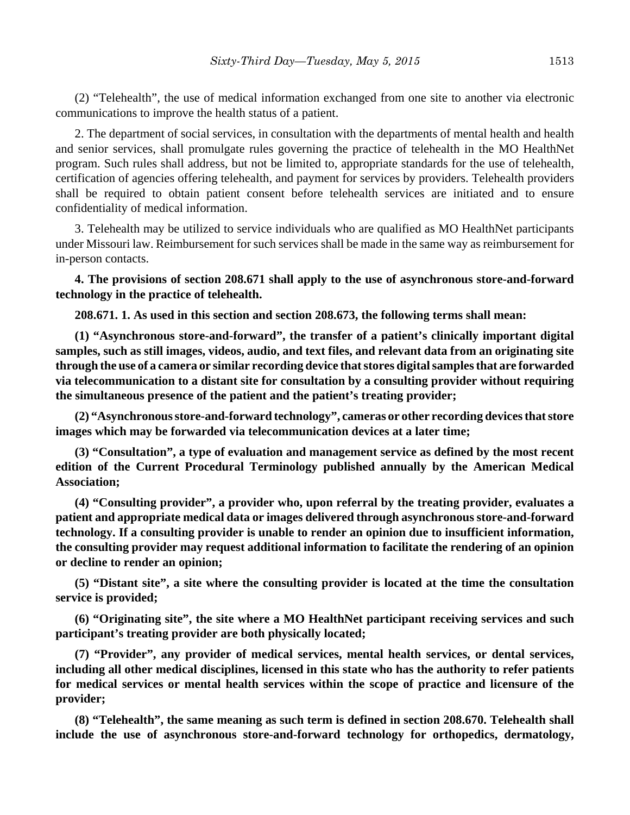(2) "Telehealth", the use of medical information exchanged from one site to another via electronic communications to improve the health status of a patient.

2. The department of social services, in consultation with the departments of mental health and health and senior services, shall promulgate rules governing the practice of telehealth in the MO HealthNet program. Such rules shall address, but not be limited to, appropriate standards for the use of telehealth, certification of agencies offering telehealth, and payment for services by providers. Telehealth providers shall be required to obtain patient consent before telehealth services are initiated and to ensure confidentiality of medical information.

3. Telehealth may be utilized to service individuals who are qualified as MO HealthNet participants under Missouri law. Reimbursement for such services shall be made in the same way as reimbursement for in-person contacts.

**4. The provisions of section 208.671 shall apply to the use of asynchronous store-and-forward technology in the practice of telehealth.**

**208.671. 1. As used in this section and section 208.673, the following terms shall mean:**

**(1) "Asynchronous store-and-forward", the transfer of a patient's clinically important digital samples, such as still images, videos, audio, and text files, and relevant data from an originating site through the use of a camera or similar recording device that stores digital samples that are forwarded via telecommunication to a distant site for consultation by a consulting provider without requiring the simultaneous presence of the patient and the patient's treating provider;**

**(2) "Asynchronous store-and-forward technology", cameras or other recording devices that store images which may be forwarded via telecommunication devices at a later time;**

**(3) "Consultation", a type of evaluation and management service as defined by the most recent edition of the Current Procedural Terminology published annually by the American Medical Association;**

**(4) "Consulting provider", a provider who, upon referral by the treating provider, evaluates a patient and appropriate medical data or images delivered through asynchronous store-and-forward technology. If a consulting provider is unable to render an opinion due to insufficient information, the consulting provider may request additional information to facilitate the rendering of an opinion or decline to render an opinion;**

**(5) "Distant site", a site where the consulting provider is located at the time the consultation service is provided;**

**(6) "Originating site", the site where a MO HealthNet participant receiving services and such participant's treating provider are both physically located;**

**(7) "Provider", any provider of medical services, mental health services, or dental services, including all other medical disciplines, licensed in this state who has the authority to refer patients for medical services or mental health services within the scope of practice and licensure of the provider;**

**(8) "Telehealth", the same meaning as such term is defined in section 208.670. Telehealth shall include the use of asynchronous store-and-forward technology for orthopedics, dermatology,**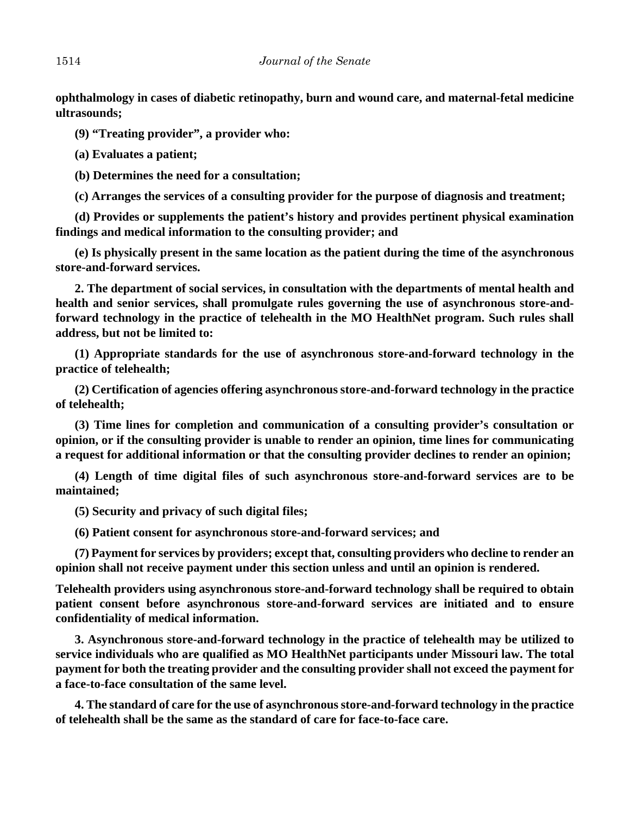**ophthalmology in cases of diabetic retinopathy, burn and wound care, and maternal-fetal medicine ultrasounds;**

**(9) "Treating provider", a provider who:**

**(a) Evaluates a patient;**

**(b) Determines the need for a consultation;**

**(c) Arranges the services of a consulting provider for the purpose of diagnosis and treatment;**

**(d) Provides or supplements the patient's history and provides pertinent physical examination findings and medical information to the consulting provider; and**

**(e) Is physically present in the same location as the patient during the time of the asynchronous store-and-forward services.**

**2. The department of social services, in consultation with the departments of mental health and health and senior services, shall promulgate rules governing the use of asynchronous store-andforward technology in the practice of telehealth in the MO HealthNet program. Such rules shall address, but not be limited to:**

**(1) Appropriate standards for the use of asynchronous store-and-forward technology in the practice of telehealth;**

**(2) Certification of agencies offering asynchronous store-and-forward technology in the practice of telehealth;**

**(3) Time lines for completion and communication of a consulting provider's consultation or opinion, or if the consulting provider is unable to render an opinion, time lines for communicating a request for additional information or that the consulting provider declines to render an opinion;**

**(4) Length of time digital files of such asynchronous store-and-forward services are to be maintained;**

**(5) Security and privacy of such digital files;**

**(6) Patient consent for asynchronous store-and-forward services; and**

**(7) Payment for services by providers; except that, consulting providers who decline to render an opinion shall not receive payment under this section unless and until an opinion is rendered.**

**Telehealth providers using asynchronous store-and-forward technology shall be required to obtain patient consent before asynchronous store-and-forward services are initiated and to ensure confidentiality of medical information.**

**3. Asynchronous store-and-forward technology in the practice of telehealth may be utilized to service individuals who are qualified as MO HealthNet participants under Missouri law. The total payment for both the treating provider and the consulting provider shall not exceed the payment for a face-to-face consultation of the same level.**

**4. The standard of care for the use of asynchronous store-and-forward technology in the practice of telehealth shall be the same as the standard of care for face-to-face care.**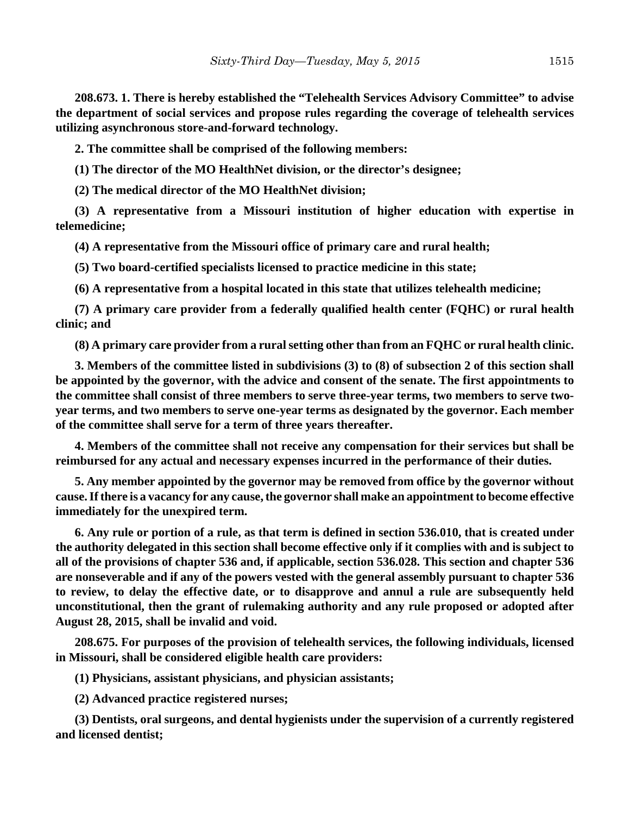**208.673. 1. There is hereby established the "Telehealth Services Advisory Committee" to advise the department of social services and propose rules regarding the coverage of telehealth services utilizing asynchronous store-and-forward technology.**

**2. The committee shall be comprised of the following members:**

**(1) The director of the MO HealthNet division, or the director's designee;**

**(2) The medical director of the MO HealthNet division;**

**(3) A representative from a Missouri institution of higher education with expertise in telemedicine;**

**(4) A representative from the Missouri office of primary care and rural health;**

**(5) Two board-certified specialists licensed to practice medicine in this state;**

**(6) A representative from a hospital located in this state that utilizes telehealth medicine;**

**(7) A primary care provider from a federally qualified health center (FQHC) or rural health clinic; and**

**(8) A primary care provider from a rural setting other than from an FQHC or rural health clinic.**

**3. Members of the committee listed in subdivisions (3) to (8) of subsection 2 of this section shall be appointed by the governor, with the advice and consent of the senate. The first appointments to the committee shall consist of three members to serve three-year terms, two members to serve twoyear terms, and two members to serve one-year terms as designated by the governor. Each member of the committee shall serve for a term of three years thereafter.**

**4. Members of the committee shall not receive any compensation for their services but shall be reimbursed for any actual and necessary expenses incurred in the performance of their duties.**

**5. Any member appointed by the governor may be removed from office by the governor without cause. If there is a vacancy for any cause, the governor shall make an appointment to become effective immediately for the unexpired term.**

**6. Any rule or portion of a rule, as that term is defined in section 536.010, that is created under the authority delegated in this section shall become effective only if it complies with and is subject to all of the provisions of chapter 536 and, if applicable, section 536.028. This section and chapter 536 are nonseverable and if any of the powers vested with the general assembly pursuant to chapter 536 to review, to delay the effective date, or to disapprove and annul a rule are subsequently held unconstitutional, then the grant of rulemaking authority and any rule proposed or adopted after August 28, 2015, shall be invalid and void.**

**208.675. For purposes of the provision of telehealth services, the following individuals, licensed in Missouri, shall be considered eligible health care providers:**

**(1) Physicians, assistant physicians, and physician assistants;**

**(2) Advanced practice registered nurses;**

**(3) Dentists, oral surgeons, and dental hygienists under the supervision of a currently registered and licensed dentist;**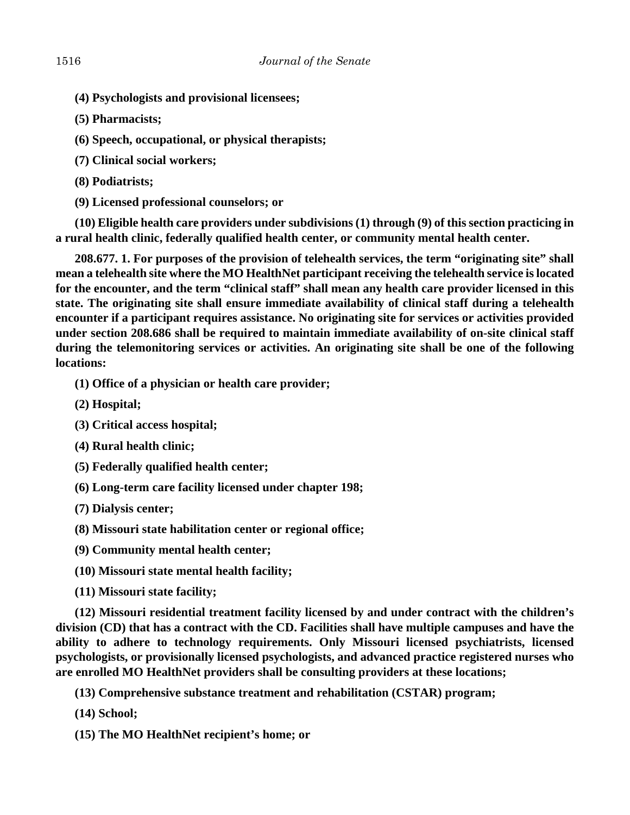- **(4) Psychologists and provisional licensees;**
- **(5) Pharmacists;**
- **(6) Speech, occupational, or physical therapists;**
- **(7) Clinical social workers;**
- **(8) Podiatrists;**
- **(9) Licensed professional counselors; or**

**(10) Eligible health care providers under subdivisions (1) through (9) of this section practicing in a rural health clinic, federally qualified health center, or community mental health center.**

**208.677. 1. For purposes of the provision of telehealth services, the term "originating site" shall mean a telehealth site where the MO HealthNet participant receiving the telehealth service is located for the encounter, and the term "clinical staff" shall mean any health care provider licensed in this state. The originating site shall ensure immediate availability of clinical staff during a telehealth encounter if a participant requires assistance. No originating site for services or activities provided under section 208.686 shall be required to maintain immediate availability of on-site clinical staff during the telemonitoring services or activities. An originating site shall be one of the following locations:**

- **(1) Office of a physician or health care provider;**
- **(2) Hospital;**
- **(3) Critical access hospital;**
- **(4) Rural health clinic;**
- **(5) Federally qualified health center;**
- **(6) Long-term care facility licensed under chapter 198;**
- **(7) Dialysis center;**
- **(8) Missouri state habilitation center or regional office;**
- **(9) Community mental health center;**
- **(10) Missouri state mental health facility;**
- **(11) Missouri state facility;**

**(12) Missouri residential treatment facility licensed by and under contract with the children's division (CD) that has a contract with the CD. Facilities shall have multiple campuses and have the ability to adhere to technology requirements. Only Missouri licensed psychiatrists, licensed psychologists, or provisionally licensed psychologists, and advanced practice registered nurses who are enrolled MO HealthNet providers shall be consulting providers at these locations;**

**(13) Comprehensive substance treatment and rehabilitation (CSTAR) program;**

- **(14) School;**
- **(15) The MO HealthNet recipient's home; or**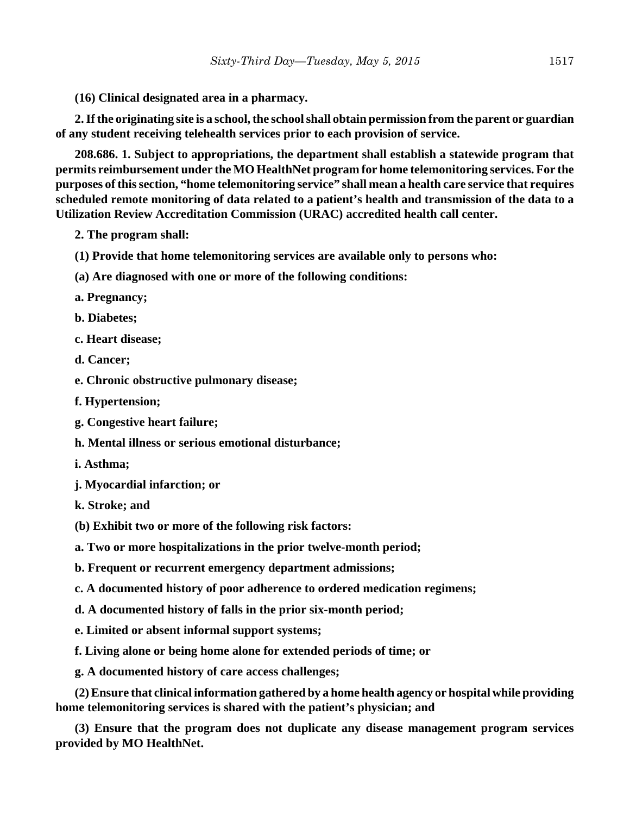**(16) Clinical designated area in a pharmacy.**

**2. If the originating site is a school, the school shall obtain permission from the parent or guardian of any student receiving telehealth services prior to each provision of service.**

**208.686. 1. Subject to appropriations, the department shall establish a statewide program that permits reimbursement under the MO HealthNet program for home telemonitoring services. For the purposes of this section, "home telemonitoring service" shall mean a health care service that requires scheduled remote monitoring of data related to a patient's health and transmission of the data to a Utilization Review Accreditation Commission (URAC) accredited health call center.**

- **2. The program shall:**
- **(1) Provide that home telemonitoring services are available only to persons who:**
- **(a) Are diagnosed with one or more of the following conditions:**
- **a. Pregnancy;**
- **b. Diabetes;**
- **c. Heart disease;**
- **d. Cancer;**
- **e. Chronic obstructive pulmonary disease;**
- **f. Hypertension;**
- **g. Congestive heart failure;**
- **h. Mental illness or serious emotional disturbance;**
- **i. Asthma;**
- **j. Myocardial infarction; or**
- **k. Stroke; and**
- **(b) Exhibit two or more of the following risk factors:**
- **a. Two or more hospitalizations in the prior twelve-month period;**
- **b. Frequent or recurrent emergency department admissions;**
- **c. A documented history of poor adherence to ordered medication regimens;**
- **d. A documented history of falls in the prior six-month period;**
- **e. Limited or absent informal support systems;**
- **f. Living alone or being home alone for extended periods of time; or**
- **g. A documented history of care access challenges;**

**(2) Ensure that clinical information gathered by a home health agency or hospital while providing home telemonitoring services is shared with the patient's physician; and**

**(3) Ensure that the program does not duplicate any disease management program services provided by MO HealthNet.**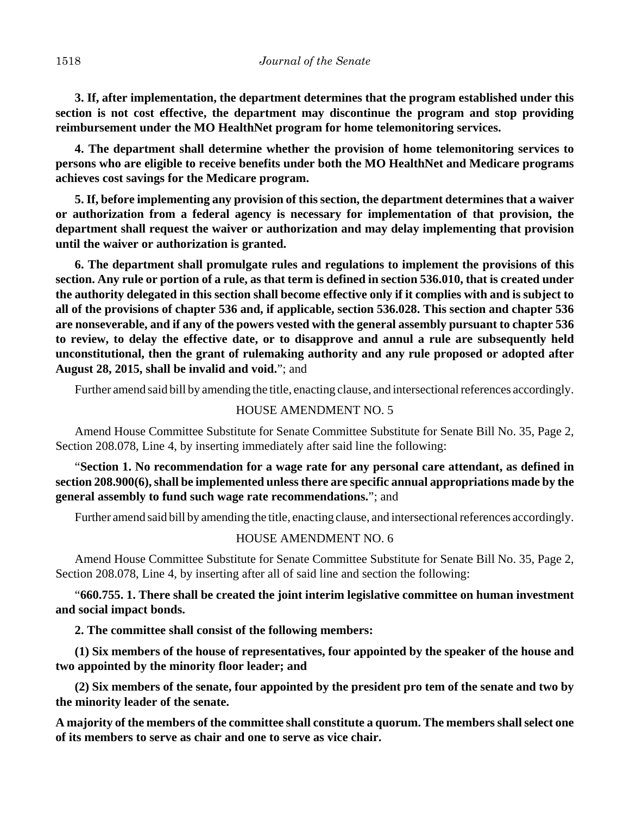**3. If, after implementation, the department determines that the program established under this section is not cost effective, the department may discontinue the program and stop providing reimbursement under the MO HealthNet program for home telemonitoring services.**

**4. The department shall determine whether the provision of home telemonitoring services to persons who are eligible to receive benefits under both the MO HealthNet and Medicare programs achieves cost savings for the Medicare program.**

**5. If, before implementing any provision of this section, the department determines that a waiver or authorization from a federal agency is necessary for implementation of that provision, the department shall request the waiver or authorization and may delay implementing that provision until the waiver or authorization is granted.**

**6. The department shall promulgate rules and regulations to implement the provisions of this section. Any rule or portion of a rule, as that term is defined in section 536.010, that is created under the authority delegated in this section shall become effective only if it complies with and is subject to all of the provisions of chapter 536 and, if applicable, section 536.028. This section and chapter 536 are nonseverable, and if any of the powers vested with the general assembly pursuant to chapter 536 to review, to delay the effective date, or to disapprove and annul a rule are subsequently held unconstitutional, then the grant of rulemaking authority and any rule proposed or adopted after August 28, 2015, shall be invalid and void.**"; and

Further amend said bill by amending the title, enacting clause, and intersectional references accordingly.

### HOUSE AMENDMENT NO. 5

Amend House Committee Substitute for Senate Committee Substitute for Senate Bill No. 35, Page 2, Section 208.078, Line 4, by inserting immediately after said line the following:

"**Section 1. No recommendation for a wage rate for any personal care attendant, as defined in section 208.900(6), shall be implemented unless there are specific annual appropriations made by the general assembly to fund such wage rate recommendations.**"; and

Further amend said bill by amending the title, enacting clause, and intersectional references accordingly.

## HOUSE AMENDMENT NO. 6

Amend House Committee Substitute for Senate Committee Substitute for Senate Bill No. 35, Page 2, Section 208.078, Line 4, by inserting after all of said line and section the following:

"**660.755. 1. There shall be created the joint interim legislative committee on human investment and social impact bonds.**

**2. The committee shall consist of the following members:**

**(1) Six members of the house of representatives, four appointed by the speaker of the house and two appointed by the minority floor leader; and**

**(2) Six members of the senate, four appointed by the president pro tem of the senate and two by the minority leader of the senate.**

**A majority of the members of the committee shall constitute a quorum. The members shall select one of its members to serve as chair and one to serve as vice chair.**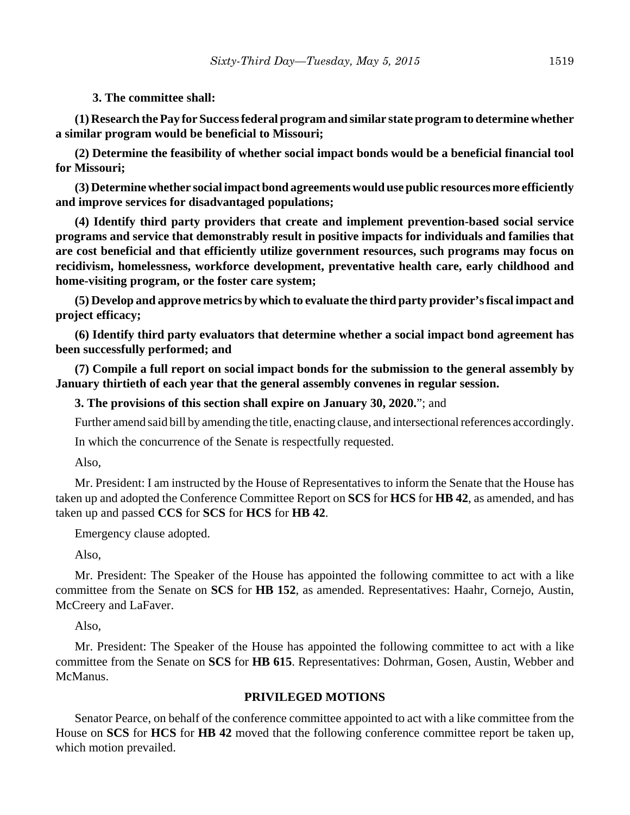### **3. The committee shall:**

**(1) Research the Pay for Success federal program and similar state program to determine whether a similar program would be beneficial to Missouri;**

**(2) Determine the feasibility of whether social impact bonds would be a beneficial financial tool for Missouri;**

**(3) Determine whether social impact bond agreements would use public resources more efficiently and improve services for disadvantaged populations;**

**(4) Identify third party providers that create and implement prevention-based social service programs and service that demonstrably result in positive impacts for individuals and families that are cost beneficial and that efficiently utilize government resources, such programs may focus on recidivism, homelessness, workforce development, preventative health care, early childhood and home-visiting program, or the foster care system;**

**(5) Develop and approve metrics by which to evaluate the third party provider's fiscal impact and project efficacy;**

**(6) Identify third party evaluators that determine whether a social impact bond agreement has been successfully performed; and**

**(7) Compile a full report on social impact bonds for the submission to the general assembly by January thirtieth of each year that the general assembly convenes in regular session.**

**3. The provisions of this section shall expire on January 30, 2020.**"; and

Further amend said bill by amending the title, enacting clause, and intersectional references accordingly.

In which the concurrence of the Senate is respectfully requested.

Also,

Mr. President: I am instructed by the House of Representatives to inform the Senate that the House has taken up and adopted the Conference Committee Report on **SCS** for **HCS** for **HB 42**, as amended, and has taken up and passed **CCS** for **SCS** for **HCS** for **HB 42**.

Emergency clause adopted.

Also,

Mr. President: The Speaker of the House has appointed the following committee to act with a like committee from the Senate on **SCS** for **HB 152**, as amended. Representatives: Haahr, Cornejo, Austin, McCreery and LaFaver.

Also,

Mr. President: The Speaker of the House has appointed the following committee to act with a like committee from the Senate on **SCS** for **HB 615**. Representatives: Dohrman, Gosen, Austin, Webber and McManus.

## **PRIVILEGED MOTIONS**

Senator Pearce, on behalf of the conference committee appointed to act with a like committee from the House on **SCS** for **HCS** for **HB 42** moved that the following conference committee report be taken up, which motion prevailed.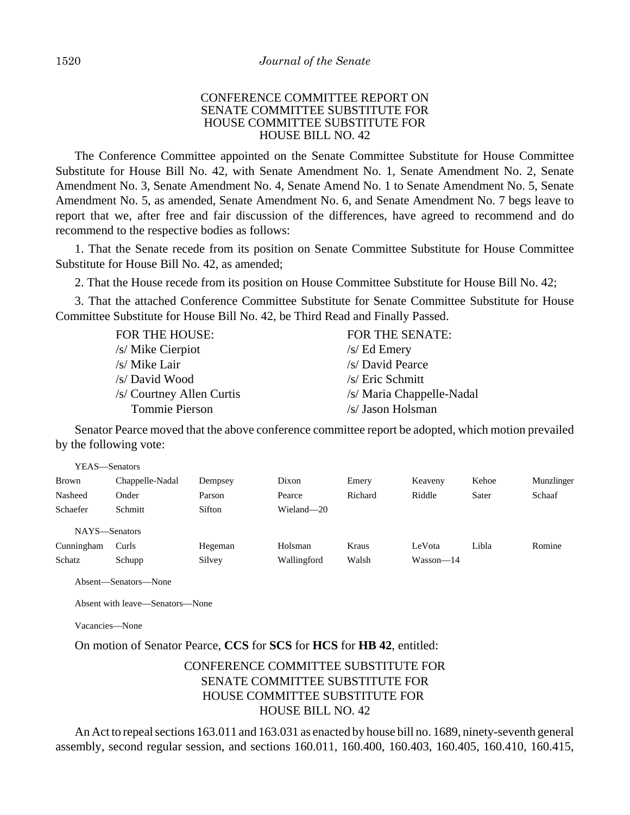### CONFERENCE COMMITTEE REPORT ON SENATE COMMITTEE SUBSTITUTE FOR HOUSE COMMITTEE SUBSTITUTE FOR HOUSE BILL NO. 42

The Conference Committee appointed on the Senate Committee Substitute for House Committee Substitute for House Bill No. 42, with Senate Amendment No. 1, Senate Amendment No. 2, Senate Amendment No. 3, Senate Amendment No. 4, Senate Amend No. 1 to Senate Amendment No. 5, Senate Amendment No. 5, as amended, Senate Amendment No. 6, and Senate Amendment No. 7 begs leave to report that we, after free and fair discussion of the differences, have agreed to recommend and do recommend to the respective bodies as follows:

1. That the Senate recede from its position on Senate Committee Substitute for House Committee Substitute for House Bill No. 42, as amended;

2. That the House recede from its position on House Committee Substitute for House Bill No. 42;

3. That the attached Conference Committee Substitute for Senate Committee Substitute for House Committee Substitute for House Bill No. 42, be Third Read and Finally Passed.

| <b>FOR THE HOUSE:</b>     | <b>FOR THE SENATE:</b>    |
|---------------------------|---------------------------|
| /s/ Mike Cierpiot         | $/s$ Ed Emery             |
| /s/ Mike Lair             | /s/ David Pearce          |
| /s/ David Wood            | /s/ Eric Schmitt          |
| /s/ Courtney Allen Curtis | /s/ Maria Chappelle-Nadal |
| Tommie Pierson            | /s/ Jason Holsman         |

Senator Pearce moved that the above conference committee report be adopted, which motion prevailed by the following vote:

| YEAS—Senators |                 |         |             |         |             |       |            |
|---------------|-----------------|---------|-------------|---------|-------------|-------|------------|
| Brown         | Chappelle-Nadal | Dempsey | Dixon       | Emery   | Keaveny     | Kehoe | Munzlinger |
| Nasheed       | Onder           | Parson  | Pearce      | Richard | Riddle      | Sater | Schaaf     |
| Schaefer      | Schmitt         | Sifton  | Wieland-20  |         |             |       |            |
| NAYS-Senators |                 |         |             |         |             |       |            |
| Cunningham    | Curls           | Hegeman | Holsman     | Kraus   | LeVota      | Libla | Romine     |
| Schatz        | Schupp          | Silvey  | Wallingford | Walsh   | $Wasson-14$ |       |            |

Absent—Senators—None

Absent with leave—Senators—None

Vacancies—None

On motion of Senator Pearce, **CCS** for **SCS** for **HCS** for **HB 42**, entitled:

# CONFERENCE COMMITTEE SUBSTITUTE FOR SENATE COMMITTEE SUBSTITUTE FOR HOUSE COMMITTEE SUBSTITUTE FOR HOUSE BILL NO. 42

An Act to repeal sections 163.011 and 163.031 as enacted by house bill no. 1689, ninety-seventh general assembly, second regular session, and sections 160.011, 160.400, 160.403, 160.405, 160.410, 160.415,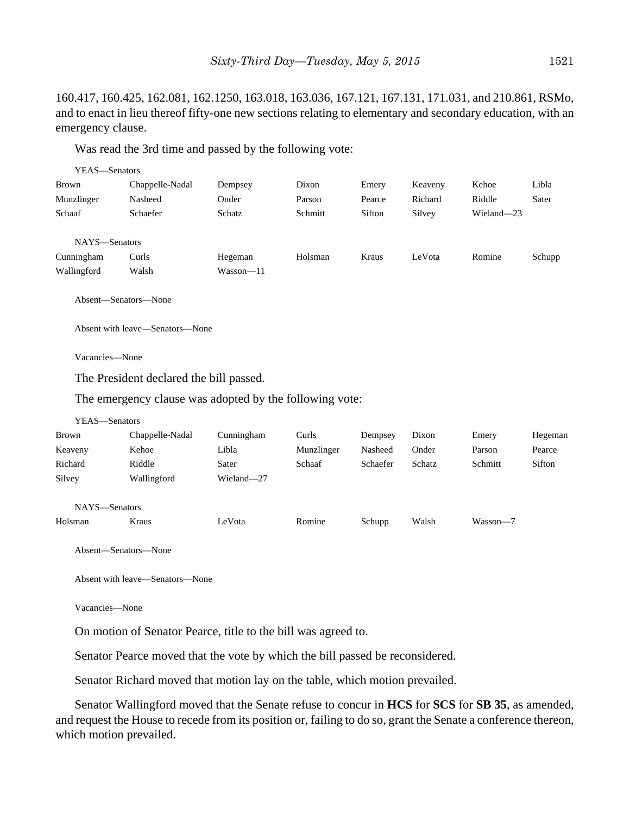160.417, 160.425, 162.081, 162.1250, 163.018, 163.036, 167.121, 167.131, 171.031, and 210.861, RSMo, and to enact in lieu thereof fifty-one new sections relating to elementary and secondary education, with an emergency clause.

Was read the 3rd time and passed by the following vote:

| YEAS—Senators |                 |           |         |        |         |            |        |
|---------------|-----------------|-----------|---------|--------|---------|------------|--------|
| Brown         | Chappelle-Nadal | Dempsey   | Dixon   | Emery  | Keaveny | Kehoe      | Libla  |
| Munzlinger    | Nasheed         | Onder     | Parson  | Pearce | Richard | Riddle     | Sater  |
| Schaaf        | Schaefer        | Schatz    | Schmitt | Sifton | Silvey  | Wieland-23 |        |
|               |                 |           |         |        |         |            |        |
| NAYS-Senators |                 |           |         |        |         |            |        |
| Cunningham    | Curls           | Hegeman   | Holsman | Kraus  | LeVota  | Romine     | Schupp |
| Wallingford   | Walsh           | Wasson—11 |         |        |         |            |        |
|               |                 |           |         |        |         |            |        |

Absent—Senators—None

Absent with leave—Senators—None

Vacancies—None

The President declared the bill passed.

The emergency clause was adopted by the following vote:

| YEAS—Senators |                 |            |            |          |        |          |         |
|---------------|-----------------|------------|------------|----------|--------|----------|---------|
| Brown         | Chappelle-Nadal | Cunningham | Curls      | Dempsey  | Dixon  | Emery    | Hegeman |
| Keaveny       | Kehoe           | Libla      | Munzlinger | Nasheed  | Onder  | Parson   | Pearce  |
| Richard       | Riddle          | Sater      | Schaaf     | Schaefer | Schatz | Schmitt  | Sifton  |
| Silvey        | Wallingford     | Wieland-27 |            |          |        |          |         |
| NAYS-Senators |                 |            |            |          |        |          |         |
| Holsman       | Kraus           | LeVota     | Romine     | Schupp   | Walsh  | Wasson-7 |         |

Absent—Senators—None

Absent with leave—Senators—None

Vacancies—None

On motion of Senator Pearce, title to the bill was agreed to.

Senator Pearce moved that the vote by which the bill passed be reconsidered.

Senator Richard moved that motion lay on the table, which motion prevailed.

Senator Wallingford moved that the Senate refuse to concur in **HCS** for **SCS** for **SB 35**, as amended, and request the House to recede from its position or, failing to do so, grant the Senate a conference thereon, which motion prevailed.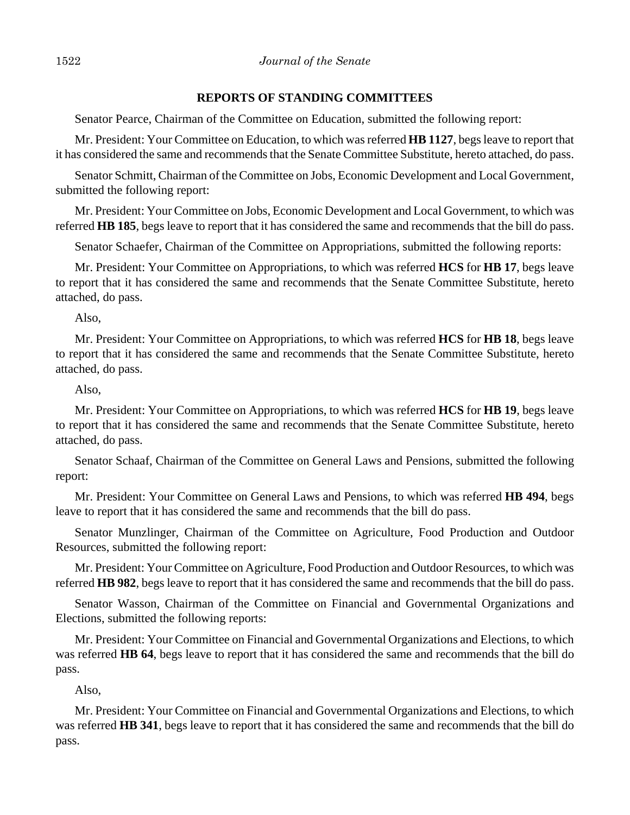### **REPORTS OF STANDING COMMITTEES**

Senator Pearce, Chairman of the Committee on Education, submitted the following report:

Mr. President: Your Committee on Education, to which was referred **HB 1127**, begs leave to report that it has considered the same and recommends that the Senate Committee Substitute, hereto attached, do pass.

Senator Schmitt, Chairman of the Committee on Jobs, Economic Development and Local Government, submitted the following report:

Mr. President: Your Committee on Jobs, Economic Development and Local Government, to which was referred **HB 185**, begs leave to report that it has considered the same and recommends that the bill do pass.

Senator Schaefer, Chairman of the Committee on Appropriations, submitted the following reports:

Mr. President: Your Committee on Appropriations, to which was referred **HCS** for **HB 17**, begs leave to report that it has considered the same and recommends that the Senate Committee Substitute, hereto attached, do pass.

Also,

Mr. President: Your Committee on Appropriations, to which was referred **HCS** for **HB 18**, begs leave to report that it has considered the same and recommends that the Senate Committee Substitute, hereto attached, do pass.

Also,

Mr. President: Your Committee on Appropriations, to which was referred **HCS** for **HB 19**, begs leave to report that it has considered the same and recommends that the Senate Committee Substitute, hereto attached, do pass.

Senator Schaaf, Chairman of the Committee on General Laws and Pensions, submitted the following report:

Mr. President: Your Committee on General Laws and Pensions, to which was referred **HB 494**, begs leave to report that it has considered the same and recommends that the bill do pass.

Senator Munzlinger, Chairman of the Committee on Agriculture, Food Production and Outdoor Resources, submitted the following report:

Mr. President: Your Committee on Agriculture, Food Production and Outdoor Resources, to which was referred **HB 982**, begs leave to report that it has considered the same and recommends that the bill do pass.

Senator Wasson, Chairman of the Committee on Financial and Governmental Organizations and Elections, submitted the following reports:

Mr. President: Your Committee on Financial and Governmental Organizations and Elections, to which was referred **HB 64**, begs leave to report that it has considered the same and recommends that the bill do pass.

Also,

Mr. President: Your Committee on Financial and Governmental Organizations and Elections, to which was referred **HB 341**, begs leave to report that it has considered the same and recommends that the bill do pass.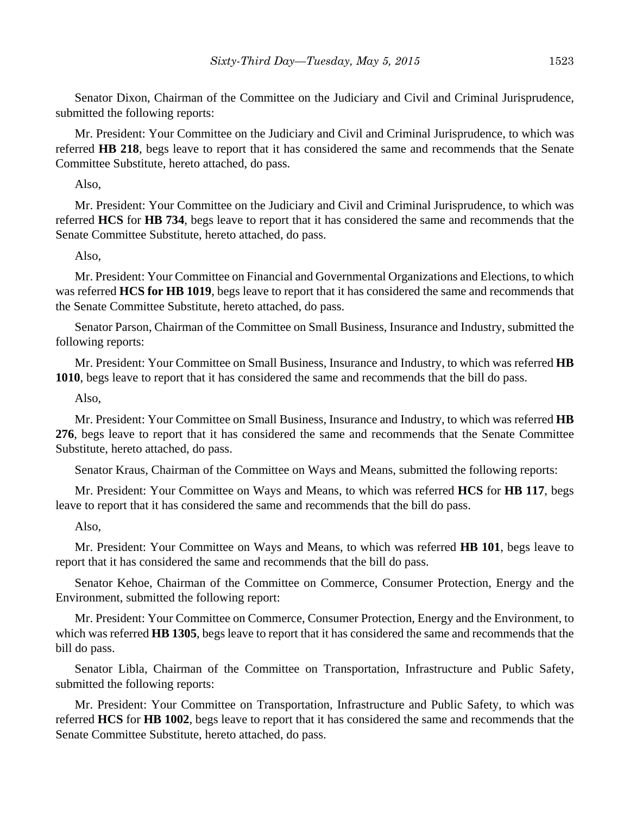Senator Dixon, Chairman of the Committee on the Judiciary and Civil and Criminal Jurisprudence, submitted the following reports:

Mr. President: Your Committee on the Judiciary and Civil and Criminal Jurisprudence, to which was referred **HB 218**, begs leave to report that it has considered the same and recommends that the Senate Committee Substitute, hereto attached, do pass.

Also,

Mr. President: Your Committee on the Judiciary and Civil and Criminal Jurisprudence, to which was referred **HCS** for **HB 734**, begs leave to report that it has considered the same and recommends that the Senate Committee Substitute, hereto attached, do pass.

Also,

Mr. President: Your Committee on Financial and Governmental Organizations and Elections, to which was referred **HCS for HB 1019**, begs leave to report that it has considered the same and recommends that the Senate Committee Substitute, hereto attached, do pass.

Senator Parson, Chairman of the Committee on Small Business, Insurance and Industry, submitted the following reports:

Mr. President: Your Committee on Small Business, Insurance and Industry, to which was referred **HB 1010**, begs leave to report that it has considered the same and recommends that the bill do pass.

Also,

Mr. President: Your Committee on Small Business, Insurance and Industry, to which was referred **HB 276**, begs leave to report that it has considered the same and recommends that the Senate Committee Substitute, hereto attached, do pass.

Senator Kraus, Chairman of the Committee on Ways and Means, submitted the following reports:

Mr. President: Your Committee on Ways and Means, to which was referred **HCS** for **HB 117**, begs leave to report that it has considered the same and recommends that the bill do pass.

Also,

Mr. President: Your Committee on Ways and Means, to which was referred **HB 101**, begs leave to report that it has considered the same and recommends that the bill do pass.

Senator Kehoe, Chairman of the Committee on Commerce, Consumer Protection, Energy and the Environment, submitted the following report:

Mr. President: Your Committee on Commerce, Consumer Protection, Energy and the Environment, to which was referred **HB 1305**, begs leave to report that it has considered the same and recommends that the bill do pass.

Senator Libla, Chairman of the Committee on Transportation, Infrastructure and Public Safety, submitted the following reports:

Mr. President: Your Committee on Transportation, Infrastructure and Public Safety, to which was referred **HCS** for **HB 1002**, begs leave to report that it has considered the same and recommends that the Senate Committee Substitute, hereto attached, do pass.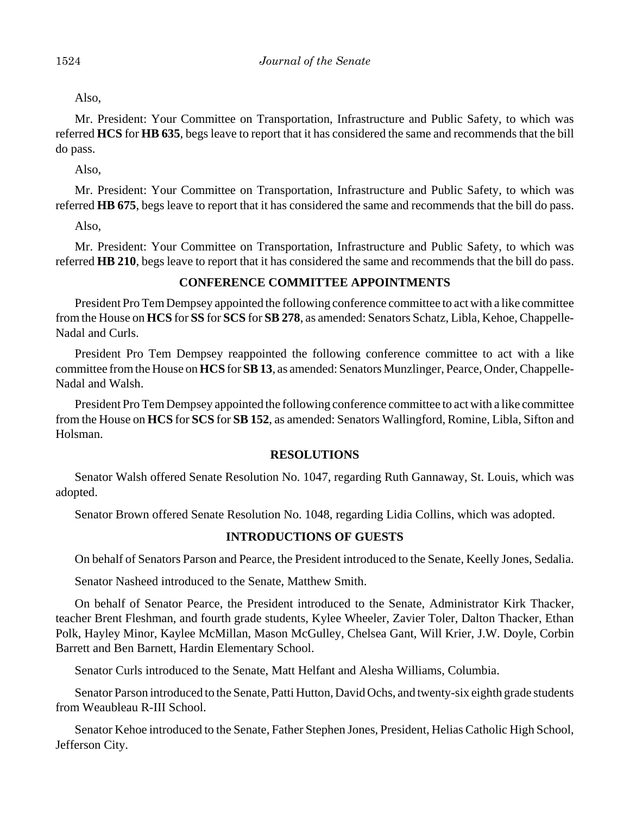Also,

Mr. President: Your Committee on Transportation, Infrastructure and Public Safety, to which was referred **HCS** for **HB 635**, begs leave to report that it has considered the same and recommends that the bill do pass.

Also,

Mr. President: Your Committee on Transportation, Infrastructure and Public Safety, to which was referred **HB 675**, begs leave to report that it has considered the same and recommends that the bill do pass.

Also,

Mr. President: Your Committee on Transportation, Infrastructure and Public Safety, to which was referred **HB 210**, begs leave to report that it has considered the same and recommends that the bill do pass.

### **CONFERENCE COMMITTEE APPOINTMENTS**

President Pro Tem Dempsey appointed the following conference committee to act with a like committee from the House on **HCS** for **SS** for **SCS** for **SB 278**, as amended: Senators Schatz, Libla, Kehoe, Chappelle-Nadal and Curls.

President Pro Tem Dempsey reappointed the following conference committee to act with a like committee from the House on **HCS** for **SB 13**, as amended: Senators Munzlinger, Pearce, Onder, Chappelle-Nadal and Walsh.

President Pro Tem Dempsey appointed the following conference committee to act with a like committee from the House on **HCS** for **SCS** for **SB 152**, as amended: Senators Wallingford, Romine, Libla, Sifton and Holsman.

### **RESOLUTIONS**

Senator Walsh offered Senate Resolution No. 1047, regarding Ruth Gannaway, St. Louis, which was adopted.

Senator Brown offered Senate Resolution No. 1048, regarding Lidia Collins, which was adopted.

### **INTRODUCTIONS OF GUESTS**

On behalf of Senators Parson and Pearce, the President introduced to the Senate, Keelly Jones, Sedalia.

Senator Nasheed introduced to the Senate, Matthew Smith.

On behalf of Senator Pearce, the President introduced to the Senate, Administrator Kirk Thacker, teacher Brent Fleshman, and fourth grade students, Kylee Wheeler, Zavier Toler, Dalton Thacker, Ethan Polk, Hayley Minor, Kaylee McMillan, Mason McGulley, Chelsea Gant, Will Krier, J.W. Doyle, Corbin Barrett and Ben Barnett, Hardin Elementary School.

Senator Curls introduced to the Senate, Matt Helfant and Alesha Williams, Columbia.

Senator Parson introduced to the Senate, Patti Hutton, David Ochs, and twenty-six eighth grade students from Weaubleau R-III School.

Senator Kehoe introduced to the Senate, Father Stephen Jones, President, Helias Catholic High School, Jefferson City.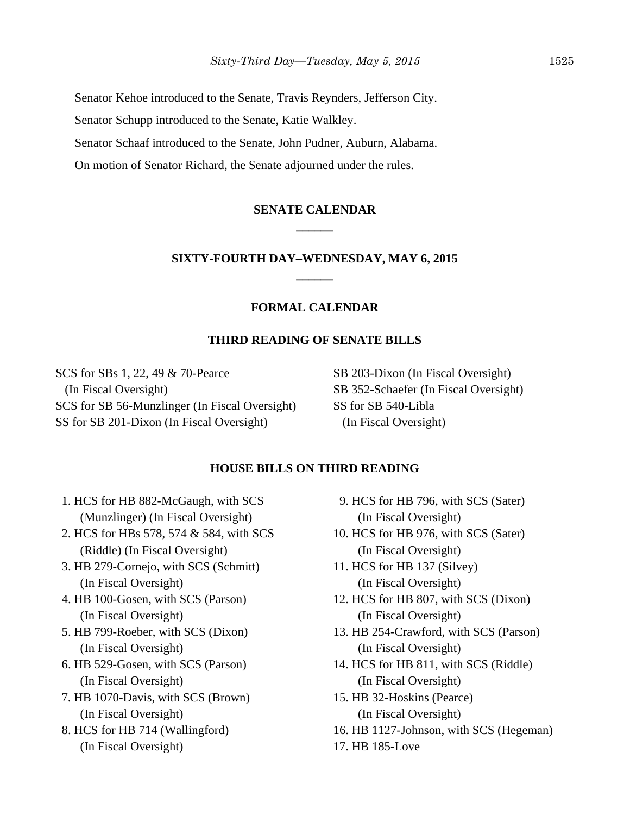Senator Kehoe introduced to the Senate, Travis Reynders, Jefferson City.

Senator Schupp introduced to the Senate, Katie Walkley.

Senator Schaaf introduced to the Senate, John Pudner, Auburn, Alabama.

On motion of Senator Richard, the Senate adjourned under the rules.

## **SENATE CALENDAR \_\_\_\_\_\_**

## **SIXTY-FOURTH DAY–WEDNESDAY, MAY 6, 2015 \_\_\_\_\_\_**

### **FORMAL CALENDAR**

### **THIRD READING OF SENATE BILLS**

SCS for SBs 1, 22, 49 & 70-Pearce (In Fiscal Oversight) SCS for SB 56-Munzlinger (In Fiscal Oversight) SS for SB 201-Dixon (In Fiscal Oversight)

SB 203-Dixon (In Fiscal Oversight) SB 352-Schaefer (In Fiscal Oversight) SS for SB 540-Libla (In Fiscal Oversight)

### **HOUSE BILLS ON THIRD READING**

- 1. HCS for HB 882-McGaugh, with SCS (Munzlinger) (In Fiscal Oversight)
- 2. HCS for HBs 578, 574 & 584, with SCS (Riddle) (In Fiscal Oversight)
- 3. HB 279-Cornejo, with SCS (Schmitt) (In Fiscal Oversight)
- 4. HB 100-Gosen, with SCS (Parson) (In Fiscal Oversight)
- 5. HB 799-Roeber, with SCS (Dixon) (In Fiscal Oversight)
- 6. HB 529-Gosen, with SCS (Parson) (In Fiscal Oversight)
- 7. HB 1070-Davis, with SCS (Brown) (In Fiscal Oversight)
- 8. HCS for HB 714 (Wallingford) (In Fiscal Oversight)
- 9. HCS for HB 796, with SCS (Sater) (In Fiscal Oversight)
- 10. HCS for HB 976, with SCS (Sater) (In Fiscal Oversight)
- 11. HCS for HB 137 (Silvey) (In Fiscal Oversight)
- 12. HCS for HB 807, with SCS (Dixon) (In Fiscal Oversight)
- 13. HB 254-Crawford, with SCS (Parson) (In Fiscal Oversight)
- 14. HCS for HB 811, with SCS (Riddle) (In Fiscal Oversight)
- 15. HB 32-Hoskins (Pearce) (In Fiscal Oversight)
- 16. HB 1127-Johnson, with SCS (Hegeman)
- 17. HB 185-Love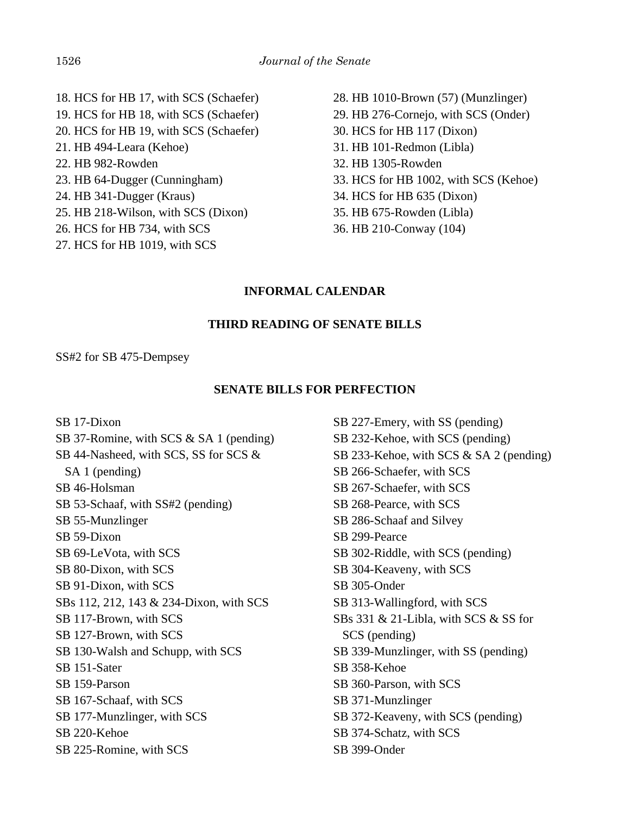- 18. HCS for HB 17, with SCS (Schaefer) 19. HCS for HB 18, with SCS (Schaefer) 20. HCS for HB 19, with SCS (Schaefer) 21. HB 494-Leara (Kehoe) 22. HB 982-Rowden 23. HB 64-Dugger (Cunningham) 24. HB 341-Dugger (Kraus) 25. HB 218-Wilson, with SCS (Dixon) 26. HCS for HB 734, with SCS 27. HCS for HB 1019, with SCS
- 28. HB 1010-Brown (57) (Munzlinger) 29. HB 276-Cornejo, with SCS (Onder) 30. HCS for HB 117 (Dixon) 31. HB 101-Redmon (Libla) 32. HB 1305-Rowden 33. HCS for HB 1002, with SCS (Kehoe) 34. HCS for HB 635 (Dixon) 35. HB 675-Rowden (Libla) 36. HB 210-Conway (104)

## **INFORMAL CALENDAR**

### **THIRD READING OF SENATE BILLS**

#### SS#2 for SB 475-Dempsey

### **SENATE BILLS FOR PERFECTION**

SB 17-Dixon SB 37-Romine, with SCS & SA 1 (pending) SB 44-Nasheed, with SCS, SS for SCS & SA 1 (pending) SB 46-Holsman SB 53-Schaaf, with SS#2 (pending) SB 55-Munzlinger SB 59-Dixon SB 69-LeVota, with SCS SB 80-Dixon, with SCS SB 91-Dixon, with SCS SBs 112, 212, 143 & 234-Dixon, with SCS SB 117-Brown, with SCS SB 127-Brown, with SCS SB 130-Walsh and Schupp, with SCS SB 151-Sater SB 159-Parson SB 167-Schaaf, with SCS SB 177-Munzlinger, with SCS SB 220-Kehoe SB 225-Romine, with SCS SB 227-Emery, with SS (pending) SB 232-Kehoe, with SCS (pending) SB 233-Kehoe, with SCS & SA 2 (pending) SB 266-Schaefer, with SCS SB 267-Schaefer, with SCS SB 268-Pearce, with SCS SB 286-Schaaf and Silvey SB 299-Pearce SB 302-Riddle, with SCS (pending) SB 304-Keaveny, with SCS SB 305-Onder SB 313-Wallingford, with SCS SBs 331 & 21-Libla, with SCS & SS for SCS (pending) SB 339-Munzlinger, with SS (pending) SB 358-Kehoe SB 360-Parson, with SCS SB 371-Munzlinger SB 372-Keaveny, with SCS (pending) SB 374-Schatz, with SCS SB 399-Onder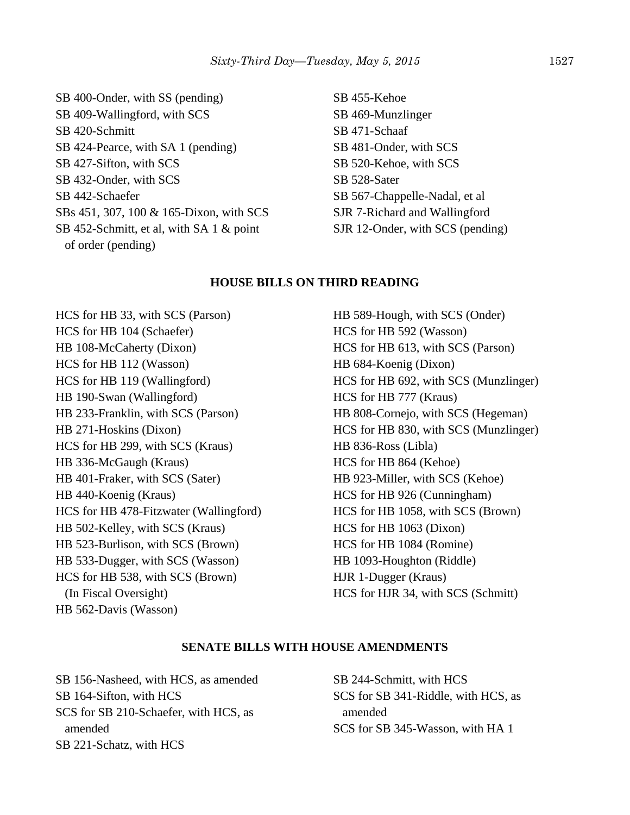SB 400-Onder, with SS (pending) SB 409-Wallingford, with SCS SB 420-Schmitt SB 424-Pearce, with SA 1 (pending) SB 427-Sifton, with SCS SB 432-Onder, with SCS SB 442-Schaefer SBs 451, 307, 100 & 165-Dixon, with SCS SB 452-Schmitt, et al, with SA 1 & point of order (pending)

SB 455-Kehoe SB 469-Munzlinger SB 471-Schaaf SB 481-Onder, with SCS SB 520-Kehoe, with SCS SB 528-Sater SB 567-Chappelle-Nadal, et al SJR 7-Richard and Wallingford SJR 12-Onder, with SCS (pending)

### **HOUSE BILLS ON THIRD READING**

HCS for HB 33, with SCS (Parson) HCS for HB 104 (Schaefer) HB 108-McCaherty (Dixon) HCS for HB 112 (Wasson) HCS for HB 119 (Wallingford) HB 190-Swan (Wallingford) HB 233-Franklin, with SCS (Parson) HB 271-Hoskins (Dixon) HCS for HB 299, with SCS (Kraus) HB 336-McGaugh (Kraus) HB 401-Fraker, with SCS (Sater) HB 440-Koenig (Kraus) HCS for HB 478-Fitzwater (Wallingford) HB 502-Kelley, with SCS (Kraus) HB 523-Burlison, with SCS (Brown) HB 533-Dugger, with SCS (Wasson) HCS for HB 538, with SCS (Brown) (In Fiscal Oversight) HB 562-Davis (Wasson)

HB 589-Hough, with SCS (Onder) HCS for HB 592 (Wasson) HCS for HB 613, with SCS (Parson) HB 684-Koenig (Dixon) HCS for HB 692, with SCS (Munzlinger) HCS for HB 777 (Kraus) HB 808-Cornejo, with SCS (Hegeman) HCS for HB 830, with SCS (Munzlinger) HB 836-Ross (Libla) HCS for HB 864 (Kehoe) HB 923-Miller, with SCS (Kehoe) HCS for HB 926 (Cunningham) HCS for HB 1058, with SCS (Brown) HCS for HB 1063 (Dixon) HCS for HB 1084 (Romine) HB 1093-Houghton (Riddle) HJR 1-Dugger (Kraus) HCS for HJR 34, with SCS (Schmitt)

#### **SENATE BILLS WITH HOUSE AMENDMENTS**

SB 156-Nasheed, with HCS, as amended SB 164-Sifton, with HCS SCS for SB 210-Schaefer, with HCS, as amended SB 221-Schatz, with HCS

SB 244-Schmitt, with HCS SCS for SB 341-Riddle, with HCS, as amended SCS for SB 345-Wasson, with HA 1